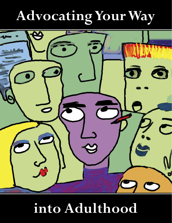# **Advocating Your Way**



## **into Adulthood**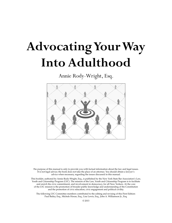## **Advocating Your Way Into Adulthood**

Annie Rody-Wright, Esq.



The purpose of this manual is only to provide you with factual information about the law and legal issues. It is not legal advice; the book does not take the place of an attorney. You should obtain a lawyer's advice when necessary, regarding the issues discussed in this manual.

This booklet, authored by Annie Rody-Wright, Esq., is published by the New York State Bar Association's Law, Youth and Citizenship Program (LYC). The mission of the Law, Youth and Citizenship Program is to facilitate and enrich the civic commitment, and involvement in democracy, for all New Yorkers. At the core of the LYC mission is the promotion of broader public knowledge and understanding of the Constitution and the promotion of civic education, civic engagement and political civility.

The following LYC Committee members contributed to the editing and revising of this First Edition: Paul Bailey, Esq., Michele Horan, Esq., Lisa Lewis, Esq., John A. Williamson Jr., Esq.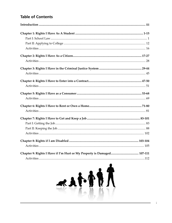## **Table of Contents**

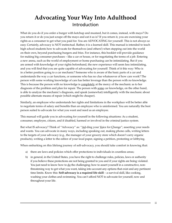## **Advocating Your Way Into Adulthood** Introduction

What do you do if you order a burger with ketchup and mustard, but it comes, instead, with mayo? Do you return it or do you just scrape off the mayo and eat it as is? If you return it, you are exercising your rights as a consumer to get what you paid for. You are ADVOCATING for yourself. This is not always so easy. Certainly, advocacy is NOT instinctual. Rather, it is a learned skill. This manual is intended to teach high school students how to advocate for themselves (and others!) when stepping out into the world on their own, beyond purchasing burgers and fries. For instance, this booklet will provide guidance for making big consumer purchases – like a car or house, or for negotiating the terms of a job. Entering a new arena, such as the world of employment or home purchasing can be intimidating. But if you are armed with knowledge of your rights beforehand, the new experience will seem less intimidating, and you will find that you are quite capable of advocating for yourself. Think of it this way: Who is in a better position going to a car mechanic? Someone who is aware of the basic parts of a car and understands the way a car functions, or someone who has no clue whatsoever of how cars work? The person with some working knowledge of cars has better leverage than the person with no knowledge. This is because the person with no knowledge is completely at the mercy of the mechanic as to her diagnosis of the problem and plan for repair. The person with some car knowledge, on the other hand, is able to analyze the mechanic's diagnosis, and speak (somewhat) intelligently with the mechanic about possible alternate means of repair (which might be cheaper).

Similarly, an employee who understands her rights and limitations in the workplace will be better able to negotiate terms of salary and benefits than an employee who is uninformed. You are naturally the best person suited to advocate for what you want and need as an employee.

This manual will guide you in advocating for yourself in the following situations: As a student, consumer, employee, citizen, and if disabled, harmed or involved in the criminal justice system.

But what IS advocacy? Think of "Advocacy" as: "Ad-ding your Voice for Change"; asserting your needs and wants. You can advocate in many ways, including speaking out, making phone calls, writing letters to the targets of your advocacy (e.g., the manager of your grocery store which doesn't carry organic products), writing a letter to the editor of your local paper, signing a petition, protesting or lobbying.

When embarking on this lifelong journey of self-advocacy, you should take comfort in knowing that:

- a) there are laws and policies which offer protections to individuals in countless areas;
- b) in general, in the United States, you have the right to challenge rules, policies, laws or authority if you believe these protections are not being granted to you and if your rights are being violated. You just need to know how to do the challenging; how to assert yourself in a constructive, nonthreatening way to get what you want, taking into account any options that exist and any pertinent time limits. Know this: **Self-advocacy is a required life skill** – a survival skill, like cooking, washing your clothes and swimming. You can't afford NOT to advocate for yourself, now and throughout your life.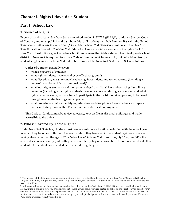## **Chapter I. Rights I Have As a Student**

## Part 1: School Law<sup>1</sup>

#### **1. Source of Rights**

Every school district in New York State is required, under 8 NYCRR §100.1(1), to adopt a Student Code of Conduct, and must publish and distribute this to all students and their families. Basically, the United States Constitution sets the legal "floor," to which the New York State Constitution and the New York State Education Law add. The New York Education Law cannot take away any of the rights the U.S. or New York Constitutions give to students, but it can increase the rights a student has. Finally, each school district in New York is required to write a **Code of Conduct** which can add to, but not subtract from, a student's rights under the New York Education Law and the New York State and U.S. Constitutions.

**Codes of Conduct** generally cover:

- what is expected of students;
- what rights students have on and even off school grounds;
- what disciplinary measures may be taken against students and for what cause (including a range of penalties which may be considered $)^2$ ;
- what legal rights students (and their parents/legal guardians) have when facing disciplinary measures (including what rights students have to be educated during a suspension and what rights parents/legal guardians have to participate in the decision-making process, to be heard through meaningful hearings and appeals);
- what procedures exist for identifying, educating and disciplining those students with special needs, including those with IEP's (individualized education programs).

This Code of Conduct must be reviewed **yearly**, kept on **file** in all school buildings, and made **accessible** to the public.

### **2. Who is Covered By These Rights?**

Under New York State law, children must receive a full-time education beginning with the school year in which they become six, through the year in which they become 17. If a student begins a school year having already reached the age of 17 (a "school year" in New York runs from July 1<sup>st</sup> to June 30<sup>th</sup>), the school does not necessarily (unless they have a written policy otherwise) have to continue to educate this student if the student is suspended or expelled during the year.

<sup>1.</sup> The majority of the following material is reprinted from, "You Have The Right To Remain Involved', A Parents' Guide to NYS School Law," by Annie Rody-Wright. See also, School Law, 33rd Edition, the New York State School Boards Association; the New York State Bar Association,2010.

<sup>2.</sup> In this vein, students must remember that in school as out in the world, it's all about ATTITUDE (one small word that can alter your life)! Attitude is critical to how you are disciplined at school, as well as how you are treated by police on the street or when pulled over in your car. Now that many schools have police officers on staff, it is more important than ever to adjust your attitude! That is: Be SMART: Act the part. If you walk the walk, worlds may open up to you. Adopt a belligerent attitude and doors will close in your face. Remember: Want some gratitude? Adjust your attitude!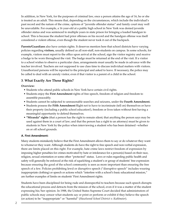In addition, in New York, for the purposes of criminal law, once a person attains the age of 16, he or she is treated as an adult. This means that, depending on the circumstances, which include the individual's past record and the nature of the crime, options of "juvenile offender status" and family court may well be unavailable. For example, a 16 year-old at a public high school in New York was denied juvenile offender status and was sentenced to multiple years in state prison for bringing a loaded handgun to school. This is because the student had prior offenses on his record and the handgun offense was itself considered a violent offense, even though the student never took it out of the backpack.

**Parents/Guardians** also have certain rights. It deserves mention here that school districts have varying policies regarding **visitors,** usually defined as all non-staff, non-students on campus. In some schools, for example, visitors must report to the office upon arrival at the school, sign the visitor registry and receive a badge to be worn throughout the visit. The badge must be returned at the end of the visit. If a visitor to a school wishes to observe a particular class, arrangements must usually be made in advance with the teacher involved. Teachers are not supposed to use class time to discuss individual matters with visitors. Unauthorized persons will be reported to the principal and asked to leave. If necessary, the police may be called to deal with an unruly visitor, even if that visitor is a parent of a child in the school.

### **3***.* **What Exactly Are These Rights?**

#### **Overview:**

- Students who attend public schools in New York have certain civil rights.
- Students enjoy the **First Amendment** rights of free speech, freedom of religion and freedom to assemble peaceably.
- Students cannot be subjected to unreasonable searches and seizures, under the **Fourth Amendment.**
- Students possess the **Fifth Amendment** Right not to have to incriminate (tell on) themselves or have their property (including a public school education!), freedom or lives taken without first having a meaningful opportunity to defend themselves.
- • **"Miranda" rights** (that a person has the right to remain silent; that anything the person says may be used against them in a court of law; and that the person has a right to an attorney) must be given to students in New York by the police when interviewing a student who has been detained –whether on or off school grounds.

#### **A. First Amendment:**

Many students mistakenly believe that the First Amendment allows them to say or do whatever they want to whomever they want. Although students do have the right to free speech and non-verbal expression, there are limits placed on this right. For example, hate crime laws restrict freedom of expression by imposing higher penalties for crimes motivated by hate or intolerance for a person(s) based on their race, religion, sexual orientation or some other "protected" status. Laws or rules regarding public health and safety will generally be enforced at the risk of squelching a student's or group of students' free expression because ensuring the good of the school community is seen as more important than ensuring the free speech of a few. Policies prohibiting lewd or disruptive speech ("disruptive speech" includes wearing inappropriate clothing) or speech or actions which "interfere with a school's basic educational mission," are further examples of limits on students' First Amendment rights.

Students have been disciplined for being rude and disrespectful to teachers because such speech disrupts the educational process and detracts from the mission of the school, even if it was a matter of the student expressing his/her opinion. In 1988, the United States Supreme Court decided that administrators of public schools may censor what students say or print or perform or exhibit if they believe the speech (or action) to be "inappropriate" or "harmful" (*Hazelwood School District v. Kuhlmeier*).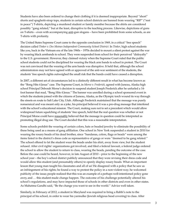Students have also been ordered to change their clothing if it is deemed inappropriate. Beyond "short" shorts and spaghetti-strap tops, students in certain school districts are banned from wearing "RIP" ("rest in peace") T-shirts, depicting a murdered student or family member because the shirts are considered possibly "gang related," but at the least, disruptive to the teaching process. Likewise, depictions of guns on T-shirts – even with accompanying anti-gun slogans – have been prohibited from some schools, as are T-shirts with profanity.

The United States Supreme Court came to the opposite conclusion in 1969, in a critical "free speech" decision called *Tinker v. Des Moines Independent Community School District.* In *Tinker*, high school students like you, back in the Vietnam era of the late 1960s – 1970s decided to mount a silent protest against the war by wearing black armbands to school. They were suspended from school for their perceived "disloyalty" to the U.S. government. However, they claimed victory when the Supreme Court ruled that the public school students could not be disciplined for wearing the black arm bands to school in protest. The Court was not convinced that the wearing of the arm bands was disruptive. It held that, although the school administrators may not have agreed with or approved of the anti-war sentiment of the students, the students' free speech rights outweighed the small risk that the bands could have caused a disruption.

In 2007, a different set of circumstances led to a distinctly different result in what has become known as the "Bong Hits 4 Jesus" case. The Supreme Court, in *Morse v. Frederick,* agreed with Juneau, Alaska high school Principal Deborah Morse's decision to suspend student Joseph Frederick after he unfurled a 14 foot banner that read, "Bong Hits 4 Jesus." The banner was unrolled during a school sponsored event in which the students joined with the citizens of Juneau, Alaska, as the Olympic torch wound its way through the streets en route to Salt Lake City, Utah. Although Frederick maintained that the message was purely nonsensical and was meant only as a joke, his principal believed it was a pro-drug message that interfered with the school's educational mission. The Court, making sure not to set a precedent which would allow widespread future squelching of students' free speech, held that the real question was whether or not Principal Morse could have reasonably believed that the message in question could be interpreted as promoting illegal drug use. The Court decided that this was a reasonable interpretation.

Some schools prohibit the wearing of certain colors, hats or beaded jewelry to eliminate the possibility of these being used as a means of gang affiliation. One school in New York suspended a student in 2010 for wearing the rosary beads of his dead brother, since "bandanas, colors, flags or beads" were among the items listed in the district's dress code as representative of gangs or were "deemed to be gang related." The school offered to let the student wear the beads under his shirt, away from view, but the student refused. After civil rights' organizations got involved, and filed a federal lawsuit, a federal judge ordered the school to allow the student to return to class, wearing the beads, pending the outcome of the case. Before the case could be heard, however, in late August of 2010 – prior to the beginning of the new school year – the boy's school district publicly announced that they were revising their dress code and would allow this student (and presumably others) to openly display rosary beads. What an important lesson that young man taught his classmates and all of us! He disagreed with a policy that he saw as an infringement of his rights; he found a way to protest the policy in a non-violent way; he welcomed publicity of the issue; people realized that this was an example of a perhaps well-intentioned policy gone awry, and … this student made change happen. The outcome of his challenge potentially altered his school's regulations, and may have impacted those of schools in other districts and even in other states. As Mahatma Gandhi said, "Be the change you want to see in the world." Advice well taken.

Similarly, in February of 2012, a student in Maryland was required to bring a Rabbi's note to the principal of his school, in order to wear his yarmulke (Jewish religious head covering) to class. After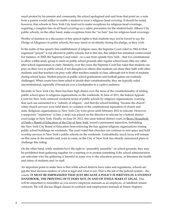much protest by his parents and community, the school apologized and said from that point on, a note from a parent would suffice to enable a student to wear a religious head covering. It should be noted, however, that schools in New York City tend not to make exceptions for religious head coverings, requiring a complete ban on all head coverings as a safety precaution for the student body. Albany City public schools, on the other hand, make exceptions from the "no hats" ban for religious head coverings.

Worthy of mention in a discussion of free speech rights is that students may not be forced to say the Pledge of Allegiance in public schools, but may stand or sit silently during the pledge, as they wish.

In the realm of free speech/free establishment of religion cases, the Supreme Court ruled in 1962-63 that organized "prayer" is not allowed in public schools, but to this day, this subject has remained controversial. For instance, in 2002, the Supreme Court ruled – in a case from upstate New York – that it is constitutional to allow a bible study group to meet on public school grounds after regular school hours (like any other after school organization or club). Similarly, over the years, the Supreme Court has ruled that students can pray on their own in public school, if not disruptive to others; that students can share their faith with other students; and that teachers can pray with other teachers outside of class, although not in front of students during school hours. Student prayers at public school graduations and football games are routinely challenged. When courts have been asked to decide their constitutionality, they are typically ruled unconstitutional, especially if broadcast over a loudspeaker to a captive audience.

Recently in New York City, there has been high drama over the issue of the constitutionality of renting public school space to religious organizations on the weekends. In June of 2011, the federal Appeals Court for New York outlawed weekend rental of public schools by religious organizations, warning that such use amounted to a "subsidy of religion," and that the school building "became the church" when church services were held there, in violation of the constitutional separation of church and state. Religious organizations in New York City were given until February 2012 to relocate. However, a temporary "injunction" (a ban, a stop) was placed on the directive to relocate by a federal district court judge in New York. Finally, on June 29, 2012, this same federal district court, in Bronx Household of Faith v. Board of Education of the City of New York, issued a permanent injunction, forbidding the New York City Board of Education from enforcing the ban against religious organizations renting public school buildings on weekends. The court ruled that churches can continue to rent space and hold worship services in New York's public schools on the weekends. Undoubtedly, much focus will remain on this issue in the months and years to come, as the City of New York has already announced plans to challenge this ruling.

On the other hand, while students have the right to "peaceably assemble" on school grounds, they may be prohibited from gathering together for a meeting or to protest something if the school administration can articulate why the gathering is harmful in some way to the education process, or threatens the health and safety of students and/or staff.

An important point to make here is that while school districts have rules and regulations, schools are not the final decision-makers of what is legal and what is not. That is the job of the judicial system – the courts. **IT MUST BE EMPHASIZED THAT JUST BECAUSE A POLICY IS WRITTEN IN A STUDENT HANDBOOK, THE PRINTING OF IT DOES NOT, IN AND OF ITSELF, MAKE IT LEGAL.** This will be important to remember as you receive employee manuals as an employee, or landlord/tenant contracts. We will discuss illegal clauses in contracts and employment manuals in future chapters.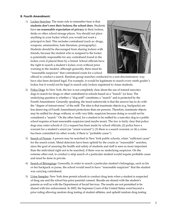#### **B. Fourth Amendment:**

1) Locker Searches: The main rule to remember here is that **students don't own their lockers; the school does**. Students have **no reasonable expectation of privacy** in their lockers, desks or other school storage places. You should not place anything in your locker which you would not want a principal to find. This includes contraband (such as: drugs, weapons, ammunition, hate literature, pornography). Students should be discouraged from sharing lockers with friends, because the student who is assigned to the locker is potentially responsible for any contraband found in the locker, even if placed there by a friend. School officials have the right to search a student's locker, even without prior warning to the student, although generally, there must be "reasonable suspicion" that contraband exists for a school



official to conduct a search. Random group searches conducted in a non-discriminatory way have also been declared legal. For example, it would be legitimate to search every ninth grader's locker, but it would not be legal to search only lockers registered to Asian students.

- 2) Police Dogs: In New York, the law is not completely clear about the use of trained narcotics dogs to search for drugs or other contraband in schools based on a "hunch" (or less). The underlying question is whether a "dog sniff" constitutes a "search" and is protected by the Fourth Amendment. Generally speaking, the trend nationwide is that the answer has to do with the "degree of intrusiveness" of the sniff. The idea is that inanimate objects (e.g. backpacks) are less deserving of Fourth Amendment protections than are persons. Therefore, inanimate objects may be sniffed for drugs without, or with very little, suspicion because doing so would not be considered a "search." On the other hand, for a student to be sniffed by a narcotics dog in a public school requires at least reasonable suspicion (and maybe more). The law is fairly clear that police dogs may enter schools if: (1) a request has been made by school officials; (2) police have a warrant for a student's arrest (an "arrest warrant"); (3) there is a search warrant; or (4) a crime has been committed (in other words, if there is "probable cause").
- 3) Search of Person: A person may be searched in New York public schools, when "sufficient cause" for the search exists. Metal detectors have been upheld by the courts as "reasonable" searches, since the goal of assuring the health and safety of students and staff is seen as more important than the individual right not to be searched, if there was no underlying suspicion. On the extreme other end, to conduct a strip search of a particular student would require probable cause and must be done in private.
- 4) Search of Belongings: Generally, in order to search a particular student's belongings, such as his or her backpack or purse, the school would need to have "reasonable suspicion" that the student was carrying contraband.
- 5) Urine Samples: New York does permit schools to conduct drug tests when a student is suspected of drug use and the school has prior parental consent. Results are shared with the student's parents as well as with the Department of Social Services. The results are not permitted to be shared with law-enforcement. In 2002, the Supreme Court of the United States went beyond a prior ruling allowing random drug testing of student athletes, and upheld random drug testing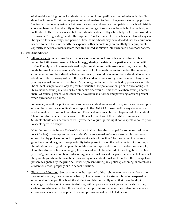of all middle and high school students participating in competitive extracurricular activities. To date, the Supreme Court has not permitted random drug testing of the general student population. Testing can be done by urine or hair samples, saliva and even a sweat patch, with school districts choosing based on the reliability of the method, range of substances testable by the method, and method cost. The presence of alcohol can certainly be detected by a breathalyzer test, and would be permissible "drug testing" under the Supreme Court's ruling. However, because alcohol stays in the system for a relatively short period of time, some schools may have decided that the equipment needed to detect it is not worth the expense. Other schools rely on breathalyzer equipment, especially to screen students before they are allowed admission into such events as school dances.

#### **C. Fifth Amendment:**

1) Miranda Rights: When questioned by police, on or off school grounds, students have rights under the Fifth Amendment which include not sharing the details of a particular situation with police. Frankly, if police are merely seeking information from witnesses to a crime, for example, it might be wise to answer an officer's questions. But if the questions are focused on the potentially criminal actions of the individual being questioned, it would be wise for that individual to remain silent until after speaking with an attorney. If a student is 15 or younger and criminal charges are pending against him or her, the student's parent/guardian must be notified by police as soon after the student is in police custody as possible (usually at the police station, prior to questioning). In this situation, having an attorney by a student's side would be more critical than having a parent there. Of course, persons 15 or under may have both an attorney and parents/guardians present when questioned by police.

Remember, even if the police officer is someone a student knows and trusts, such as an on-campus officer, the officer has an obligation to report to the District Attorney's office any statements a student makes in a criminal investigation. These statements can be used to prosecute the student. Therefore, students need to be aware of this fact as well as of their right to remain silent. Students should consider very carefully whether to give up this right not to speak to police prior to speaking with a lawyer.

Note: Some schools have a Code of Conduct that requires the principal (or someone designated to act for her) to attempt to notify a student's parent/guardian before a student is questioned or searched by police on school property or at a school function. The idea is that the parent/ guardian should be given the opportunity to be present during the police contact. Of course, if the situation is so urgent that parental notification is impossible or unreasonable (for example, if another student's life is in danger) the principal would be relieved of the obligation to notify parents/guardians beforehand. Absent urgent circumstances, if the principal is unable to contact the parent/guardian, the search or questioning of a student must wait. Further, the principal, or person designated by the principal, must be present during any police questioning or search of a student on school property or at a school function.

2) Right to an Education: Students may not be deprived of the right to an education without due process of law (i.e., the chance to be heard). That means that if a student is facing suspension or expulsion from public school, the student and his/her family must first have the right to challenge this decision in a meaningful way, with appropriate hearings and appeals. Further, certain procedures must be followed and certain provisions made for the student to receive an education elsewhere. These procedures and provisions will be detailed below.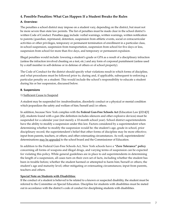#### **4. Possible Penalties: What Can Happen If a Student Breaks the Rules**

#### **A. Overview:**

The penalties a school district may impose on a student vary, depending on the district, but must not be more severe than state law permits. The list of penalties must be made clear in the school district's written Code of Conduct. Penalties may include: verbal warnings, written warnings, written notification to parents/guardian, reprimand, detention, suspension from athletic events, social or extracurricular activities or other privileges, temporary or permanent termination of enrollment in a particular class, in-school suspension, suspension from transportation, suspension from school for five days or less, suspension from school for more than five days, and temporary or permanent expulsion.

Illegal penalties would include: lowering a student's grade or GPA as a result of a disciplinary infraction (unless the infraction involved cheating on a test, etc.) and any form of corporeal punishment (unless used by a staff member in self-defense or in defense of others or of school property).

The Code of Conduct for the district should specify what violations result in which forms of discipline, and what procedures must be followed prior to, during and, if applicable, subsequent to enforcing a particular penalty on a student. This would include the school's responsibility to educate a student during his or her suspension, discussed below.

#### **B. Suspensions**

#### 1) Sufficient Cause to Suspend

A student may be suspended for: insubordination, disorderly conduct or a physical or mental condition which jeopardizes the safety and welfare of him/herself and/or others.

In addition, because New York complies with the **Federal Gun-Free Schools Act** (Education Law §3214[3] [d]), students found with a gun (the definition includes silencers and other explosive devices) must be suspended for a calendar year (not merely a 10-month school year). School district superintendents have the ability to modify a suspension under this law. Factors considered by a superintendent when determining whether to modify the suspension would be: the student's age, grade in school, prior disciplinary record; the superintendent's belief that other forms of discipline may be more effective; input from parents, teachers, or others; and other extenuating circumstances. As well, superintendents' determinations may be appealed to the school board and the Commissioner of Education.

In addition to the Federal Gun-Free Schools Act, New York schools have a **"Zero Tolerance" policy** concerning all forms of weapons and illegal drugs, and varying terms of suspension can be expected for violating this policy. While general guidelines are in place to aid superintendents in determining the length of a suspension, all cases turn on their own set of facts, including whether the student has been in trouble before; whether the student harmed or attempted to harm him/herself or others; the student's age and maturity level; other mitigating or extenuating circumstances; input from parents, teachers and others.

#### **Special Note on Students with Disabilities**:

If the conduct of a student is believed to be related to a known or suspected disability, the student must be referred to the Committee on Special Education. Discipline for students with disabilities must be meted out in accordance with the district's code of conduct for disciplining students with disabilities.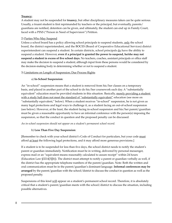#### **Truancy:**

A student may not be suspended for **truancy**, but other disciplinary measures taken can be quite serious. Usually, a truant student is first reprimanded by teachers or the principal, but eventually, parents/ guardians are notified, detention can be given, and ultimately, the student can end up in Family Court, faced with a PINS ("Person in Need of Supervision") Petition.

#### 2) Parties Who May Suspend

Unless a school board has a policy allowing school principals to suspend students, only the school board, the district superintendent, and the BOCES (Board of Cooperative Educational Services) district superintendent can suspend a student. In certain districts, school principals do have the ability to suspend a student. However, **even if a principal is granted the power to suspend, he/she may not suspend a student in excess of five school days.** No teachers, coaches, assistant principals or office staff may make the decision to suspend a student; although input from these persons would be considered by the decision-making body in determining whether or not to suspend a student.

#### 3) Limitations on Length of Suspension; Due Process Rights

#### a) **In-School Suspension**:

An "in-school" suspension means that a student is removed from his/her classes on a temporary basis, and placed in another part of the school to do his/her coursework each day. A "substantially equivalent" education must be provided students in this situation. Basically, merely providing a student with a study hall does not meet the standard of "substantially equivalent" education (see more on "substantially equivalent," below). When a student receives "in-school" suspension, he is not given as many legal protections and legal ways to challenge it, as a student facing an out-of-school suspension (see below). However, at the least, the student facing in-school suspension and his/her parent/guardian must be given a reasonable opportunity to have an informal conference with the person(s) imposing the suspension, so that the conduct in question and the proposed penalty can be discussed.

#### *An in-school suspension should not appear on a student's permanent school record.*

#### b) **Less Than Five Day Suspension**:

[Remember to check with your school district's Code of Conduct for particulars, but your code must afford at least the following legal protections, and it may afford more generous provisions.]

If a student is to be suspended for less than five days, the school district needs to notify the student's parent or guardian immediately. Notification must be in writing, delivered by personal messenger, express mail or an "equivalent means reasonably calculated to assure receipt" within 24 hours (Education Law §3214[3][b]). The district must attempt to notify a parent or guardian verbally as well, if the district has the appropriate telephone numbers of the parent/guardian. Note: Both the written and oral communication must be in the parent/guardian's dominant language. **Informal conferences may be arranged** by the parent/guardian with the school/district to discuss the conduct in question as well as the proposed penalty.

Suspensions of this kind will appear on a student's permanent school record. Therefore, it is absolutely critical that a student's parent/guardian meets with the school/district to discuss the situation, including possible alternatives.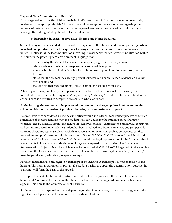#### \*\***Special Note About Students' Records**\*\*

Parents/guardians have the right to see their child's records and to "request deletion of inaccurate, misleading or inappropriate data." If the school and parent/guardian cannot agree regarding the removal of certain data from the record, parents/guardians can request a hearing conducted by a hearing officer designated by the school superintendent.

#### c) **Suspension in Excess of Five Days**: Hearing and Notice Required

Students may not be suspended in excess of five days unless **the student and his/her parent/guardian have had an opportunity for a Disciplinary Hearing after reasonable notice**. What is "reasonable notice"? Notice is, at the least, notification in writing. "Reasonable" notice is written notification within 24 hours, in the parent/guardian's dominant language that:

- + explains why the student faces suspension, specifying the incident(s) at issue;
- + advises when and where the suspension hearing will take place;
- + informs the student that he/she has the right to bring a parent and/or an attorney to the hearing;
- + states that the student may testify, present witnesses and submit other evidence on his/her own behalf; and
- + makes clear that the student may cross-examine the school's witnesses.

A hearing officer, appointed by the superintendent and school board conducts the hearing. It is important to note that the hearing officer's report is only "advisory" in nature. The superintendent or school board is permitted to accept it or reject it, in whole or in part.

#### **At the hearing, the student will be presumed innocent of the charges against him/her, unless the school, which has the burden of proving otherwise, can demonstrate such proof.**

Relevant evidence considered by the hearing officer would include: student transcripts, live or written statements of persons familiar with the student who can vouch for the student's good character (teachers, clergy, coaches, employers, neighbors, relatives, friends), examples of extracurricular activities and community work in which the student has been involved, etc. Parents may also suggest possible alternate discipline responses, less harsh than suspension or expulsion, such as counseling, conflict resolutions and guidance counselor interventions. Since 2007, New York University Law School, and now many of the law schools in New York, have offered free legal representation in the form of trained law students to low-income students facing long-term suspension or expulsion. The Suspension Representation Project of NYU Law School can be contacted at: (212) 998-6753. Legal Aid Offices in New York also offer this service, and can be reached online at: http://www.legal-aid.org/en/ineedhelp/ ineedhelp/self-help/education/suspensions.aspx

Parents/guardians have the right to a transcript of the hearing. A transcript is a written record of the hearing. This right is extremely important if a student wishes to appeal the determination, because the transcript will form the basis of the appeal.

If an appeal is made to the board of education and the board agrees with the superintendent/school board, and "confirms" the decision, the student and his/her parents/guardian can launch a second appeal – this time to the Commissioner of Education.

Students and parents/guardians may, depending on the circumstances, choose to waive (give up) the right to a hearing and accept the school district's determination.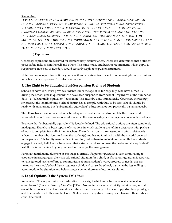#### **Remember:**

*IT IS A MISTAKE TO TAKE A SUSPENSION HEARING LIGHTLY. THIS HEARING (AND APPEALS OF THE HEARING) IS EXTREMELY IMPORTANT. IT WILL AFFECT YOUR PERMANENT SCHOOL RECORD, AND YOUR CHANCES OF GETTING INTO A GOOD COLLEGE. IF YOU ARE FACING CRIMINAL CHARGES AS WELL, IN RELATION TO THE INCIDENT(S) AT ISSUE, THE OUTCOME OF A SUSPENSION HEARING COULD HAVE BEARING ON THE CRIMINAL SITUATION. YOU SHOULD NOT GO TO THIS HEARING UNPREPARED. AT THE LEAST, YOU SHOULD SPEAK TO AN ATTORNEY BEFORE ATTENDING THE HEARING TO GET SOME POINTERS, IF YOU ARE NOT ABLE TO BRING AN ATTORNEY WITH YOU.*

#### d) **Expulsions:**

Generally, expulsions are reserved for extraordinary circumstances, where it is determined that a student poses safety risks to him/herself and others. The same notice and hearing requirements which apply to suspensions in excess of five days would certainly apply to expulsion situations.

Note: See below regarding options you have if you are given insufficient or no meaningful opportunities to be heard in a suspension/expulsion situation.

#### **5. The Right to be Educated: Post-Suspension Rights of Students:**

Schools in New York must provide students under the age of 16 (or, arguably, who have turned 16 during the school year in question) who have been suspended from school – regardless of the number of days – a "substantially equivalent" education. This must be done immediately. Courts are increasingly strict about the length of time a school district has to comply with this. To be safe, schools should be ready with an alternate but "substantially equivalent" educational option practically instantaneously.

The alternative education offered must be adequate to enable students to complete the course work required of them. The education offered is often in the form of a day or evening educational option, off-site.

Be aware that "substantially equivalent" is loosely defined. The educational options are often completely inadequate. There have been reports of situations in which students are left in a classroom with packets of work to complete from all of their teachers. The only person in the classroom to offer assistance is a faculty member who does not know the student(s) and has no familiarity with the material covered in the packets. This faculty member is not teaching, but is there to maintain order, while the students engage in a study hall. Courts have ruled that a study hall does not meet the "substantially equivalent" test. If this is happening to you, you need to challenge the arrangement.

Parental/guardian involvement at this stage is critical. If a parent/guardian is seen as unwilling to cooperate in arranging an alternate educational situation for a child, or if a parent/guardian is reported to have ignored teacher efforts to communicate about a student's work, progress or needs, this can prejudice the school/school district against a child, and cause the school/district to be less willing to accommodate the situation and help arrange a better alternate educational solution.

#### **6. Legal Options If the System Fails You:**

Remember: "The opportunity of an education … is a right which must be made available to all on equal terms." (*Brown v. Board of Education* [1954]). No matter your race, ethnicity, religion, sex, sexual orientation, financial level, or disability, all students are deserving of the same opportunities, privileges and treatments as all others in the United States. Sometimes, students may need to assert their rights to equal treatment.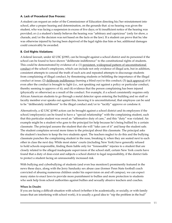#### **A. Lack of Procedural Due Process:**

A student can request an order of the Commissioner of Education directing his/her reinstatement into school, after a proper hearing and determination, on the grounds that: a) no hearing was given the student, who was facing a suspension in excess of five days; or b) insufficient notice of the hearing was provided; or c) a student's family believes the hearing was "arbitrary and capricious" (only for show, a charade, and/or the decision was not based on the facts or the law). If a student can prove that he/she was otherwise injured by having been deprived of the legal rights due him or her, additional damages could conceivably be awarded.

#### **B. Civil Rights Violations:**

A federal lawsuit, under 42 USC §1983, can be brought against a school district and its personnel if the school can be found to have shown "deliberate indifference" to the constitutional rights of students. This could be demonstrated by evidence of a: (1) persistent, widespread pattern of unconstitutional conduct of the school's employees, which can include not only evidence of illegal acts, but in addition, consistent attempts to conceal the truth of such acts and repeated attempts to discourage students from complaining of illegal conduct, by threatening students or belittling the importance of the illegal conduct at issue; (2) deliberate indifference (turning a blind eye) to this conduct; (3) tacit approval of it even after the conduct is brought to light (i.e., not speaking out against a policy or particular conduct, thereby seeming to approve of it); and (4) evidence that the person complaining has been injured (physically or otherwise) as a result of the conduct. For example, if a school consistently requires only African American students to go through a metal detector upon entering the building and no staff or faculty member ever speaks out against this, knowing it is unconstitutional, that employee can be said to be "deliberately indifferent" to the illegal conduct and/or to "tacitly" approve or condone it.

Alternatively, a 42 USC §1983 action can be brought against a school district and its employees if the school/employee(s) can be found to have a "special relationship" with the complaining student, such that this particular student was owed an "affirmative duty of care," and this "duty" was violated. An example might be a student who goes to the principal for help because he's being bullied by a certain classmate. The principal assures the student that she will "take care of it" and keep the student safe. The student complains several more times to the principal about this classmate. The principal asks the student's teachers to keep the two students apart. The teachers neglect to do this and the bullying classmate punches the complaining student in the nose, breaking it, when they are seated next to each other in class the next day. While most states' courts (including New York) have generally refused to hold schools responsible, finding them liable only for "foreseeable" injuries to a student that are closely related to the alleged inadequate supervision of the school staff, certain New York courts have found that a duty of does exist and subjects a school district to legal responsibility, if the district fails to protect a student facing an unreasonably increased risk.

With bullying and cyberbullying of students (and even bus monitors!) prominently featured in the news these days, along with the Jerry Sandusky sex abuse case (former Penn State football coach convicted of abusing numerous children under his supervision on and off campus), we can expect many states to enact laws to provide more punishment to bullies and more protection to students who seek help from school authorities against bullies and sexually abusive teachers and coaches.

#### **When In Doubt:**

If you are facing a difficult situation with school (whether it be academically, or socially, or with family issues that are interfering with school work), it is usually a good idea to "nip the problem in the bud"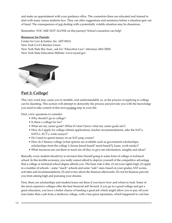and make an appointment with your guidance office. The counselors there are educated and trained to deal with many issues students face. They can offer suggestions and assistance before a situation gets out of hand. The consequences of not dealing with a potentially volatile situation may be disastrous.

Remember: YOU ARE NOT ALONE on this journey! School counselors can help!

#### **Resources for Parents:**

Center for Law & Justice, Inc. (427-8361) New York Civil Liberties Union New York State Bar Assn., ask for "Education Law" attorneys (463-3200) New York State Education Website: [www.nysed.gov](http://www.nysed.gov)



## **Part 2: College!**

This very word may cause you to tremble, and understandably so, as the process of applying to college can be daunting. This section will attempt to demystify the process and provide you with the knowledge you need to take control of this next exciting step in your life.

First, a few questions to consider:

- Why should I go to college?
- Is there a college for me?
- What are my career goals? (What if I don't know what my career goals are?)
- How do I apply for college (obtain applications, teacher recommendations, take the SAT's, SAT2's, ACT's, write essays)?
- Do I need to spend money on an SAT prep course?
- How do I finance college (what options are available such as government scholarships, scholarships from the college I choose [need based? merit based?], loans, work-study)?
- What resources are out there to teach me all this, to give me information, insights and ideas?

Basically, every student should try to envision him/herself going to some form of college or technical school. In this terrible economy, you really cannot afford to deprive yourself of the competitive advantage that a college or technical school degree affords you. The basic rule is this: (1) set your sights high; (2) apply to a number of schools – some "reach" schools and some "safe" ones, based on your grades, SAT scores, activities and recommendations; (3) and worry about the finances afterwards. Do not let finances prevent you from aiming high and pursuing your dreams.

First, there are scholarships and student loans out there if you know how and where to look. Some of the most expensive colleges offer the best financial aid! Second, if you go to a good college and get a great education, you have a better chance of landing a great job which might allow you to pay off your loan faster than a job from a mediocre college, with a less great reputation, which happened to cost less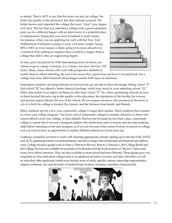to attend. That is NOT to say that the more you pay for college, the better the quality of the education! But don't delude yourself: The better known and respected the college, the more "clout" your degree will carry. The fact that you attended a college with a great reputation puts you in a different league with an interviewer at a potential place of employment. Seeing that you went to Julliard to study music, for instance, when you are applying for a job with the New York Philharmonic Orchestra is going to carry a lot more weight. Seeing RPI or MIT on your resume is likely going to be more attractive to a nanotech firm seeking an engineer than would be a degree from a college that didn't offer an engineering degree.



In sum, price should not be THE determining factor of where you choose to go to college. Certainly, it is *A* factor. Just don't let it be *THE* factor. Many, many schools will work with prospective students to

enable them to afford attending. Be sure to be aware that a grant does not have to be paid back, but a college loan does. Most financial aid packages contain both types of assistance.

Sometimes, students choosing between several schools can use this to their advantage, telling school "P" that school "Q" has offered a better financial package, which may result in your attending school "Q." Often, this results in an improved financial offer from school "P." So, when considering schools, be sure to think beyond the price tag to the quality of the education, the reputation of the faculty, the courses and special majors offered, the size of the school, the on-campus resources, the resources of the town or city in which the college is located, the climate, and the distance from family and friends.

Many students opt for a two-year community college to begin their studies. Many students then transfer to a four-year college program. The lower cost of community college is certainly attractive to those who cannot afford a four-year college, at least initially. But beyond its bang-for-the-buck value, community college is a great idea if you are a marginal student who needs more time to mature and develop studying skills before attending a four-year program, or if you are not sure what course of study to pursue in college and you want to have an opportunity to explore different options at a lower price tag.

Guidance counselors are there to assist with choosing appropriate schools, signing up to take the SATs, SAT2s and ACTs, gathering teacher recommendations, and discovering what scholarship and financial aid options exist. College resource guides such as Fiske's, Princeton Review, Barron's, Peterson's, the College Board and the College Prowler are available for purchase in bookstores and the book sections of "big box" stores and many have online resources. They are also available in most school and town libraries. These guides give you snapshots of what individual colleges seek in an applicant (in terms of scores, activities, diversity), as well as what they offer applicants (which may include areas of study, specific courses, internship opportunities, degrees conferred, size and diversity of student body, location, resources, amenities, financial aid).

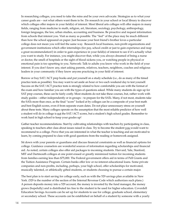In researching colleges, you need to take the reins and be your own advocate. Strategize as to what your career goals are – not what others want them to be. Do research in your school or local library to discover which colleges offer majors in your field(s) of interest. Most liberal arts colleges will offer majors in many fields, ranging from medicine to math, religion, art, literature, sociology, psychology, anthropology, foreign languages, the law, urban studies, accounting and business. Be proactive and request information from schools that interest you. Visit as many as possible. The "feel" of the place may be much different than how the school appeared on paper. Just because your best friend's brother loves a particular college does not mean you will feel the same way. Research local business, non-profit organizations and government institutions which offer internships (for pay, school credit or just to gain experience and reap a great recommendation!) in order to gain experience in your field(s) of interest to see if it's actually what you want to study. For instance, you might discover that, while you always dreamed of being a nurse or doctor, the smell of hospitals or the sight of blood sickens you, or watching people in physical or emotional pain is too upsetting to you. Network: Talk to adults you know who work in the field of your interest. If you don't know any, start asking parents, relatives, teachers, neighbors, coaches and religious leaders in your community if they know anyone practicing in your field of interest.

Borrow or buy SAT/ACT prep books and put yourself on a study schedule (i.e., do as many of the timed practice tests as possible). You may want to set aside an hour or two each weekend day to test yourself. Success on the SAT/ACT practice tests is strongly related to how comfortable you are with the format of the exam and how familiar you are with the types of questions asked. While many students do sign up for SAT prep courses, these can be fairly costly. Most students do not take these courses, but, rather work with study guides – either independently or in groups – to prepare for the SATs. Many, if not most, students take the SATs more than once, as the final "score" looked at by colleges can be a composite of your best math and best English scores, even if from separate exam dates. Do not place unnecessary stress on yourself about these tests. Many colleges operate on the assumption that the most reliable predictor of how well a student will do in college is not the SAT/ACT scores, but a student's high school grades. Remember to work hard in high school to keep your grades up!

Gather teacher recommendations. Start by cultivating relationships with teachers by participating in class, speaking to teachers after class about issues raised in class. Try to become the student you would want to recommend to a college. Prove that you are interested in what the teacher is teaching and are motivated to learn, by coming prepared to class with good questions from the reading or homework assigned.

Sit down with your parents or guardians and discuss financial constraints as well as financial options for college. Guidance counselors are wonderful sources of information regarding scholarships and financial aid. As noted, certain colleges also offer aid packages to incoming students. Harvard, Yale, Stanford, MIT and Dartmouth colleges at one point erased or greatly minimized tuition for incoming students from families earning less than \$75,000. The Federal government offers aid in terms of Pell Grants and the Tuition Assistance Program. Certain banks offer low or no-interest educational loans. Some private companies and non-profits, including, perhaps, your high school, offer scholarships for motivated, musically talented, or athletically gifted students, or students choosing to pursue a certain major.

The best plan is to start saving for college early, such as with the 529 savings plan available in New York. (529 is the number of the section of the Internal Revenue Code which authorizes such plans.) A person deposits money into a 529 account, the money is invested by the fund manager, the money grows (hopefully) and is distributed tax free to the student to be used for higher education. Coverdell Education Savings Accounts can be set up for students to use for college, graduate school, elementary or secondary school. These accounts can be established on behalf of a student by someone with a yearly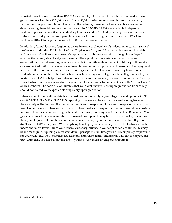adjusted gross income of less than \$110,000 (or a couple, filing taxes jointly, whose combined adjusted gross income is less than \$220,000 a year).3 Only \$2,000 maximum may be withdrawn per account, per year for this purpose. Stafford loans from the federal government allow students – even without demonstrating financial need – to borrow money. In 2012-2013, \$5,500 was available to dependent freshman applicants, \$6,500 to dependent sophomores, and \$7,500 to dependent juniors and seniors. If students are independent from parental resources, the borrowing limits are increased: \$9,500 for freshmen, \$10,500 for sophomores and \$12,500 for juniors and seniors.

In addition, federal loans are forgiven to a certain extent or altogether, if students enter certain "service" professions, under the "Public Service Loan Forgiveness Program." Any remaining student loan debt will be erased after 10 full-time years of employment in public service with an "eligible employer" (such as the federal, state, local government, military, public school system, or certain non-profit organizations). Partial loan forgiveness is available for as little as three years of full-time public service. Government education loans often carry lower interest rates than private bank loans, and the repayment terms are often more generous, such as permitting deferment of loans in the case of job loss. Some students enter the military after high school, which then pays for college, or after college, to pay for, e.g., medical school. A few helpful websites to consider for college financing assistance are: www.FinAid.org, www.Fastweb.com, www.savingforcollege.com and www.SimpleTuition.com (especially "TuitionCoach" on this website). The basic rule of thumb is that your total financial debt upon graduation from college should not exceed your expected starting salary upon graduation.

When sorting through all the details and considerations of applying to college, the main point is to BE ORGANIZED! PLAN FOR SUCCESS! Applying to college can be scary and overwhelming because of the enormity of the task and the numerous deadlines to keep straight. Be smart: keep a log of what you need to complete and when, so that you don't close the door on any opportunities. It would be a mistake to miss out on the chance for a huge scholarship because your essay was turned in late! Remember: Your guidance counselors have many students to assist. Your parents may be preoccupied with your siblings, their parents, jobs, bills and household maintenance. Perhaps your parents never went to college and don't know HOW to help you. When applying to college, you need to be you own best advocate on the macro and micro levels – from your general career aspirations, to your application deadlines. This may be the most grown-up thing you've ever done – perhaps the first time you've felt completely responsible for your own fate. Know that there are teachers, counselors, family and friends who can assist you, but that, ultimately, you need to run this show, yourself. And that is an empowering thing!

<sup>3.</sup> These are 2011 figures.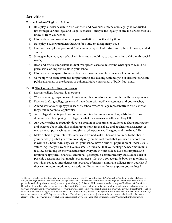## **Activities:**

#### **Part A: Students' Rights in School:**

- 1) Role play a locker search to discuss when and how such searches can legally be conducted (go through various legal and illegal scenarios); analyze the legality of any locker searches you know of from your school;
- 2) Discuss how you would set up a peer mediation council and try it out!
- 3) Role play a superintendent's hearing for a student disciplinary issue;
- 4) Examine examples of proposed "substantially equivalent" education options for a suspended student;
- 5) Strategize how you, as a school administrator, would try to accommodate a child with special needs;
- 6) Read and discuss important student free speech cases to determine what speech would be permissible or impermissible in your school;
- 7) Discuss any free speech issues which may have occurred in your school or community.
- 8) Come up with team strategies for preventing and dealing with bullying of classmates. Create public awareness of the dangers of bullying. Make your school a "bully-free" zone.

#### **Part B: The College Application Process:**

- 1) Discuss college financial loan options;
- 2) Work in small groups on sample college applications to become familiar with the experience;
- 3) Practice drafting college essays and have them critiqued by classmates and your teacher;
- 4) Attend sessions set up by your teacher/school where college representatives discuss what they seek in potential applicants;
- 5) Ask college students you know, or who your teacher knows, what they wish they'd done differently while applying to college, or what they were especially glad they DID do;
- 6) Ask your teacher to regularly devote a portion of class time for students to share information and insights about schools, scholarship options, financial aid and application assistance, as well as to support each other through shared experiences (the good and the dreadful!);
- 7) Make a chart of your interests, talents and trained skills. Then add columns to the chart of your needs (e.g., that you want to study only on the east coast; that you need a school that is within a 2-hour radius by car; that your school have a student population of under 2,000), values (e.g. that you want to live in a small, rural area; that your college be near mountains to allow for hiking on the weekends; that everyone at your college lives on campus), and limitations (physical, financial, emotional, geographic, communicatory, etc.). Make a list of possible occupations that match your interests. Get out a college guide book or go online to see which colleges offer degrees in your area of interest. Eliminate colleges from your list if they cannot accommodate your needs and limitations, or do not support your values.<sup>4</sup>

<sup>4.</sup> Helpful websites for deciding what and where to study are:<http://www.columbia.edu/cu/augustine/study>(for study skills); [www.](http://www.NACACnet.org) [NACACnet.org](http://www.NACACnet.org) (National Association for College Admissions Counseling); [www.nycareerzone.org](http://www.nycareerzone.org) (NY Career options and tools to get students thinking about a career); [www.ed.gov/index.jsp](http://www.ed.gov/index.jsp) (U.S. Dept. of Education); [www.labor.ny.gov](http://www.labor.ny.gov) (The New York State Labor Department, including what positions are available and "Career Zone," a tool to find a position that matches your skills and interests; [www.labor.ny.gov/youth](http://www.labor.ny.gov/youth); [www.laborny.jobs;](http://www.laborny.jobs) [www.rileyguide.com](http://www.rileyguide.com) (employment and career info); [www.bls.gov](http://www.bls.gov) (US Department of Labor, contains a handbook listing requirements needed for certain careers); [www.disability.gov](http://www.disability.gov) (info and resources for those differently abled); [www.careeronestop.org](http://www.careeronestop.org) (US Department of Labor). The following websites are just a sampling of those available which list ; [www.](http://www.albanycounty.com) [albanycounty.com](http://www.albanycounty.com); [www.cs.ny.gov](http://www.cs.ny.gov) (NYS Civil Service jobs); [www.acinet.org;](http://www.acinet.org) <http://nyjobsource.com/nyinterns.html>(internships)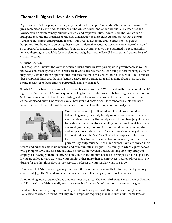## **Chapter II. Rights I Have As a Citizen**

A government "of the people, by the people, and for the people." What did Abraham Lincoln, our 16th president, mean by this? We, as citizens of the United States, and of our individual states, cities and towns, have an extraordinary number of rights and responsibilities. Indeed, both the Declaration of Independence and the Preamble to the U.S. Constitution make it clear: As citizens, we have certain "unalienable" rights; among them, to enjoy our lives, to live freely and to strive for  $-$  to pursue  $$ happiness. But the right to enjoying these largely indefinable concepts does not come "free of charge," so to speak. As citizens, along with our democratic government, we have inherited the responsibility to keep these rights, available for ourselves, our neighbors, our fellow U.S. citizens and generations of citizens to come.

#### **Citizens' Duties:**

This chapter will review the ways in which citizens must, by law, participate in government, as well as the ways citizens may choose to exercise their voices to seek change. One thing is certain: Being a citizen may carry with it certain responsibilities, but the amount of free choice one has in how he/she exercises these responsibilities and the satisfaction derived from participating and making change happen, are strong incentives to keep citizens perpetually actively engaged.

So what ARE the basic, non-negotiable responsibilities of citizenship? We covered, in the chapter on students' rights, that New York State's laws require schooling for students be provided between age six and seventeen. State laws also require that we be law-abiding and conform to certain rules of conduct. For example, one cannot drink and drive. One cannot leave a three year-old home alone. Once cannot walk into another's home uninvited. These rules will be discussed in more depth in the chapter on criminal justice.



One must serve on a jury, if asked and if eligible (as described, below). In general, jury duty is only required once every so many years, as determined by the county in which you live. Jury duty can last a day or many months, depending on the case to which you are assigned. Jurors may not lose their jobs while serving on jury duty and are paid to a certain extent. More information on jury duty can be found online at the *New York Unified Court System's* site. Jurors have to be U.S. citizens, they must live in the county in which they perform jury duty, must be 18 or older, cannot have a felony on their

record and must be able to understand and communicate in English. The county in which a juror serves will pay up to \$40 a day for each day she/he serves. However, if you are serving on a jury, and your employer is paying you, the county will only chip in the amount needed to bring you up to \$40 per day. If you are called for jury duty and your employer has more than 10 employees, your employer must pay during for the first three days of jury service, the lesser of your regular wage or \$40.00.

Don't even THINK of ignoring a jury summons (the written notification that informs you of your jury service date[s]). That'll land you in criminal court, as well as subject you to civil penalties.

Another obligation of citizenship is that one must pay taxes. The New York State Department of Taxation and Finance has a fairly friendly website accessible for specific information at [www.tax.ny.gov](http://www.tax.ny.gov)

Finally, U.S. citizenship requires that 18 year old males register with the military, although since 1973, there has been no formal military draft. Proposals requiring that all citizens fulfill some type of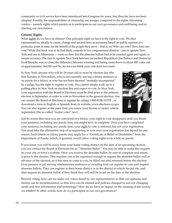community or civil service have been introduced into Congress for years, but, thus far, have not been adopted. Frankly, the responsibilities of citizenship are meager, compared to the rights citizenship confers – namely rights which permit us to participate in our own governance and well-being, and in charting our own futures.

#### **Citizens' Rights:**

What rights do we have as citizens? One principle right we have is the right to vote. We elect representatives, ideally, to create, change and rescind laws as necessary, based on public opinion at a particular point in time, for the benefit of the people they serve – that is, us! Who can vote? How does one vote? While this book was in its first draft, contests in two congressional districts – one in upstate New York and one in Minnesota — were so close that the absentee ballots had to be counted again and again, to ensure accuracy. The race in upstate New York between incumbent Republican Jim Tedisco and Democrat Scott Murphy was so close, the difference between winning and losing came down to about 400 votes out of approximately 164,700 cast! So, do not ever think your vote does not count!

In New York, anyone who will be 18 years old or more by election day (the first Tuesday in November), who is not currently serving a felony sentence or on parole for a felony, or who has not been deemed "mentally incompetent" by a judge, has the right to register to vote. You cannot simply walk up to a polling place in New York on election day and expect to vote. In New York, your registration with the Board of Elections must be filed prior to the primary election in September, in order to vote in November in the general election. You can contact the Board of Elections to register by calling 1-800-FOR-VOTE , or download a form in English or Spanish from its website: www.elections.ny.gov. You can also register at the same time you renew your license or motor vehicle registration (the so-called "motor-voter" law).



Just be aware that once you are convicted of a felony, your right to vote disappears until you finish your sentence, including any parole time you might have to complete. Once you have completed your sentence, including any parole time, your right to vote is restored, but not your registration. You must take the affirmative step of re-registering to vote once your registration has lapsed for any reason. Individuals on felony parole may apply for a "Certificate of Relief of Disabilities" from the Department of Parole, which, if granted, would allow voting rights even while on parole.

If you know you will be away from your home voting district on the date of an upcoming election, you can contact the Board of Elections for an "Absentee Ballot." You may be able to make this request on your city or town's website. Once you receive the absentee ballot, be sure to complete and return it prior to the election. This requires you to be organized enough to request the absentee ballot well in advance of the election, so it has time to come to you, be filled out, and returned before the election. Even persons in jail serving misdemeanor sentences or awaiting trial can register to vote and request absentee ballots. They can register in their home district or in the district in which the jail sits, and then request an absentee ballot, if they think they will still be in jail on the date of the election.

Beyond voting, how can we make our voices heard by our representatives so that our opinions and desires can be accommodated, so that laws can be created and policies changed to suit our changing needs and new information and technology? How do we have an impact on the running of the society we inhabit? In other words, how do we participate in our own governance?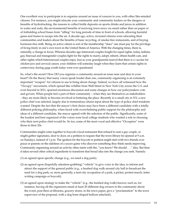One excellent way to participate is to organize around an issue of concern to you, with other like-minded citizens. For instance, you might educate your community and community leaders on the dangers or benefits of hydrofracking, the reasons to collect bottle deposits on sports drinks and juices in addition to water and soda, the environmental benefits of receiving town news via email rather than on paper or of forbidding school buses from "idling" for long periods of time in front of schools, allowing harmful gases and fumes to escape into the air. A decade ago, active, invested citizens were educating their communities and leaders about the benefits of basic recycling, of smoke-free restaurants, and of buying hormone-free milk. Being an active citizen is sort of the membership "dues" one must pay for the privilege of living freely in one's own town in the United States of America. With the changing times, there is, naturally, a change in focus. Whereas decades ago interracial couples fought for equal rights, today, lesbian, gay, bisexual and transgender couples fight for the rights to marry, adopt, inherit, obtain health care, and other rights which heterosexual couples enjoy. Just as your grandparents marvel that there is a vaccine for chicken pox and cervical cancer, your children will someday laugh when they learn that certain rights in controversy during your youth today were ever questioned.

So, what's the secret? How DO you organize a community around an issue near and dear to your heart? On the theory that many voices speak louder than one, community organizing is an extremely important "weapon" for citizens to use to bring about change. Indeed, we have all witnessed how the "Occupy" movement, which spread like wildfire from Wall Street in New York City across the U.S. and even beyond in 2011, spurred enormous discussion and some changes in how our policymakers vote and govern. When people feel a part of their community – when they see themselves as stakeholders – they are more likely to become involved in bettering the place. Recently in a small city in NY, a new police chief was selected, largely due to tremendous citizen input about the type of police chief residents wanted. Despite the fact that the mayor's first choice may have been a different candidate with a totally different policing philosophy, when faced with overwhelming public support for the philosophy and ideas of a different candidate, the mayor agreed with the selection of the public. Significantly, some of the loudest and best organized of the voices were local college students who wanted a role in choosing who their next police chief would be. So too, some of the most vocal and effective "Occupiers" were those in their 20s.

Communities might come together to boycott a local restaurant that refused to seat a gay couple, or might gather signatures, door to door, on a petition to require that the town library be opened at 9 a.m. on Sundays, instead of 1 p.m. The ignition for the boycott or petition might start with two friends over pizza or parents on the sidelines of a soccer game who discover something they think needs improving. Community organizing around an activity often starts with the, "you know? We should . . ." idea. But then it takes several other critical ingredients to transform that broad idea into the change you seek. Namely:

- (1) an agreed upon specific change (e.g., we need a dog park);
- (2) an agreed upon (hopefully attention-grabbing) "vehicle" to give voice to the idea, to inform and attract the support of the general public (e.g., a leashed dog walk around city hall to broadcast the need for a dog park; or, more generally, a tent-city occupation of a park, a picket, protest march, letter writing campaign or boycott);
- (3) an agreed upon strategy to make the "vehicle" (e.g., the leashed dog walk) known; such as, for instance, having all the organizers email at least 20 different dog owners in the community about the event, post fliers at libraries, grocery stores, in the town paper, give a "proclamation" to the town supervisor of the proposal, with a dog bone shaped balloon attached);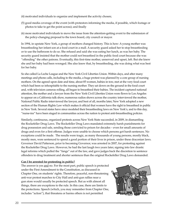- (4) motivated individuals to organize and implement the activity chosen;
- (5) good media coverage of the event (with protestors informing the media, if possible, which footage or photos to take to get the point across); and finally
- (6) more motivated individuals to move the issue from the attention-getting event to the submission of the policy-changing proposal to the town board, city council or mayor.

In 1994, in upstate New York, a group of mothers changed history. This is how: A young mother was breastfeeding her infant son at a food court in a mall. A security guard asked her to stop breastfeeding or to use the bathroom to do so. She refused and said she was eating her lunch, as was her baby. The security guard insisted that the mother could not breastfeed in the public food court because she was "offending" the other patrons. Eventually, this first-time mother, unnerved and upset, left. But she knew she and her baby had been wronged. She also knew that, by breastfeeding, she was doing what was best for her baby.

So she called La Leche League and the New York Civil Liberties Union. Within days, and after many meetings and phone calls, including to the media, a huge protest was planned by a core group of nursing mothers. On the agreed upon date and time, about 85 women, babies in tow, met at the very food court which had been so inhospitable to the nursing mother. They sat down on the ground in the food court and, with television cameras rolling, all began to breastfeed their babies. The incident captured national attention, the mother and a lawyer from the New York Civil Liberties Union were flown to Los Angeles to appear on a California talk show, numerous radios shows across the country interviewed the mother, National Public Radio interviewed the lawyer, and best of all, months later, New York adopted a new section of the Human Rights Law which makes it official that women have the right to breastfeed in public in New York. Several states have since modeled their breastfeeding laws on New York's, and to this day, "nurse-ins" have been staged in communities across the nation to protest anti-breastfeeding policies.

Similarly, continuous, organized protests across New York State succeeded, in 2009, in dismantling the Rockefeller Drug Laws. The Rockefeller Drug Laws mandated extremely harsh punishments for drug possession and sale, sending those convicted to prison for decades – even for small amounts of drugs and even for a first offense. Judges were unable to choose which persons got harsh sentences. No exceptions could be made. The results were tragic, as many thousands of young persons, mostly black, mostly men, were sentenced to spend a good portion of their lives in prison, under these draconian laws. Governor David Patterson, prior to becoming Governor, was arrested in 2007, for protesting against the Rockefeller Drug Laws. However, he had the last laugh two years later, signing into law drastic legal reforms which pulled the "fangs" out of the law, and gave judges back the discretion to sentence offenders to drug treatment and shorter sentences than the original Rockefeller Drug Laws demanded.

#### **Can I be arrested for protesting in public?**

The answer is yes and no. For the most part, public speech is protected under the First Amendment to the Constitution, as discussed in Chapter One, on students' rights. Therefore, peaceful, non-threatening anti-war protest marches to City Hall and anti-gun rallies near a gun store would usually be protected speech. But as with almost all things, there are exceptions to the rule. In this case, there are limits to the protections. Speech (which, you may remember from Chapter One, includes "action"), that threatens or harms others is not permitted

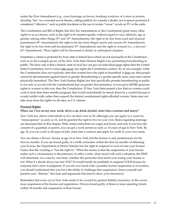under the First Amendment (e.g., cross burnings on lawns, breaking windows of a store in protest; shouting "fire" in a crowded movie theatre, calling publicly for a leader's death), nor is speech protected if considered "offensive," such as public lewdness or the use of certain "swear" words on TV or the radio.

The Constitution and Bill of Rights (the first Ten Amendments to the Constitution) grant many other rights to us as citizens, such as the right to be treated equally, without regard to race, ethnicity, age or gender, among other things (5<sup>th</sup> and 14<sup>th</sup> Amendments); the right to be free from cruel and unusual punishment ( $8<sup>th</sup>$  Amendment); the right to be free from illegal search and seizure ( $4<sup>th</sup>$  Amendment); the right to be free from self-incrimination (5<sup>th</sup> Amendment) and the right to counsel (i.e., a lawyer) (6th Amendment). These rights will be discussed in detail, in subsequent chapters.

Sometimes a citizen is protected by local, state or federal laws which are not necessarily in the Constitution – such as in the example given, of the New York State Human Rights Law permitting breastfeeding in public. The basic rule is that a federal, state or local law can give an individual more rights than the United States Constitution, but it cannot take away any rights the Constitution confers. So, in our example, while the Constitution does not explicitly state that women have the right to breastfeed, it does say that people cannot be discriminated against based on gender. Breastfeeding is a gender-specific issue, since men cannot physically breastfeed. The New York Human Rights law that specifically permits breastfeeding in public is not only in accord with the constitutional ban on gender discrimination, it even gives MORE generous rights to women in this way than the Constitution. If New York State passed a law that no woman could work if more than three months pregnant, that would undoubtedly be struck down by a court(s) because it would conflict with, rather than expand, the federal constitutional rights afforded women. States may not take away from the rights we all enjoy as U.S. citizens.

#### **Personal Rights**:

#### **When can I live on my own, work, drive a car, drink alcohol, enter into a contract and marry?**

New York law allows individuals to live on their own at 18, although you can apply to a court for "emancipation" as early as 16, and be granted the right to live on your own. Rules regarding marriage are discussed later in this chapter. With certain restrictions on wages and hours, and only if you have the consent of a guardian or parent, you can get a work permit as early as 14 years of age in New York. By age 18, you can work in all types of jobs, enter into a contract and apply for credit in your own name.

You can obtain a drivers' license at age 16 in New York, but the license is only probationary for the first six months. If you are found guilty of a traffic infraction within the first six months of obtaining your license, the Department of Motor Vehicles has the right to suspend or even revoke your license! Notice that the wording is "has the right to." What this means is that the suspension of your license under such a circumstance is discretionary. In other words, when faced with such a situation, the DMV will determine, on a case by case basis, whether the particular facts merit your losing your license or not. What if a drunk driver ran into YOU? It would hardly be justifiable to suspend YOUR license for someone else's error in judgment. If you are ever faced with a possible license suspension or revocation, you should understand that you have the ability to challenge that suspension! Assert yourself and present your "defense" (the facts and arguments that tend to show your innocence).

Remember that every car in New York needs to be covered by general liability insurance, or the owner faces suspension of his license and registration. Drivers found guilty of three or more speeding tickets within 18 months risk suspension of their license.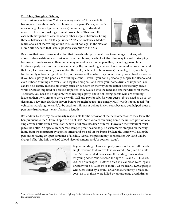#### **Drinking, Drugging, Driving**

The drinking age in New York, as in every state, is 21 for alcoholic beverages. Though in one's own home, with a parent's or guardian's consent (e.g., for a religious ceremony), an underage individual could drink without risking criminal prosecution. This is not the case with marijuana or cocaine or any other illegal substances. Using these substances is NEVER legal under ANY circumstances. Medical marijuana, as of the writing of this text, is still not legal in the state of New York. So, even that is not a possible exception to the rule!



Be aware that recent cases make clear that parents who provide alcohol to underage drinkers, who allow underage drinkers to drink openly in their home, or who look the other way instead of stopping teenagers from drinking in their home, may indeed face criminal penalties, including prison time. Hosting a party is an enormous responsibility. Beyond making sure you have prepared enough food and that the place is reasonably presentable, the host (the tenant or homeowner) incurs legal responsibility for the safety of his/her guests on the premises as well as while they are returning home. In other words, if you host a party and people are drinking alcohol – even if you don't personally supply the alcohol and even if those drinking are over 21 and legally doing so – and leave your home drunk or impaired, you can be held legally responsible if they cause an accident on the way home (either because they drove while drunk or impaired or because, impaired, they walked into the road and another driver hit them). Therefore, you need to be vigilant, when hosting a party, about not letting guests who are drinking leave on their own, either to drive or walk. Call and pay for cabs for your guests, if you need to do so, or designate a few non-drinking drivers before the night begins. It is simply NOT worth it to go to jail (for vehicular manslaughter) and/or be sued for millions of dollars in civil court because you helped cause a person's drunkenness – even if at arm's length.

Bartenders, by the way, are similarly responsible for the behavior of their customers, once they leave the bar, pursuant to the "Dram Shop Act." As of 2004, New Yorkers can bring home the unused portion of a single wine bottle from a restaurant where a full meal has been ordered. However, the restaurant must place the bottle in a special transparent, tamper-proof, sealed bag. If a customer is stopped on the way home from the restaurant by a police officer and the seal on the bag is broken, the officer will ticket the person for having an open container of alcohol. Worse, the person may be tested for DWI and will be charged if he/she fails the BAC (blood alcohol content) and/or sobriety test(s).



Beyond sending intoxicated party guests out into traffic, each single decision to drive while intoxicated (DWI) can be a fatal one. Alcohol-related crashes are the leading cause of death for young Americans between the ages of 16 and 24.<sup>5</sup> In 2008, 25% of drivers aged 15-20 who died in a car crash were legally drunk (with a BAC of .08 or more). Of the nearly 12,000 people who were killed by a drunk driver on our country's roads in 2008, 1,510 of these were killed by an underage drunk driver.

<sup>5.</sup> All of these statistics come from the National Highway Traffic Safety Administration, the Department of Transportation, and the Center for Disease Control.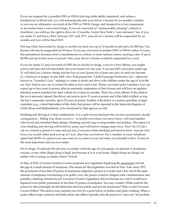If you are stopped for a possible DWI or DWAI (driving while ability impaired), and refuse a breathalyzer or blood test, you will automatically lose your driver's license for six months, whether or not you are ultimately convicted of the DWI or DWAI charge, and irrespective of any suspension or revocation time a conviction brings. If you are convicted of "unreasonably refusing" a blood or breathtest, you will lose the right to drive for 12 months. Under New York's "zero tolerance" law, if you are under 21 and have a BAC between .02% and .07%, your driver's license will be suspended for six months and you will be fined \$125.

Driving while intoxicated by drugs or alcohol can land you up to 12 months in jail and a \$1,000 fine. You license will also be suspended for 90 days. If you are convicted of another DWI or DWAI within 10 years, the punishment increases from a misdemeanor to a felony (a more serious crime), carrying a fine of up to \$5,000 and up to four years in prison! Also, your driver's license would be suspended for a year.

If you are under 21 and convicted of DWI due to alcohol or drugs, even for a first offense, you might receive jail time and will absolutely lose your license for one year. A second DWI conviction under age 21 will land you a felony charge and the loss of your license for at least one year, or until you become 21, whichever is longer. In late 2009, New York passed the "Child Passenger Protection Act," otherwise known as "Leandra's Law," making it a crime to drink and drive with children under the age of 16 in the car. New York is now one of at least 36 states to have such a law. Those convicted under Leandra's Law can expect up to four years in prison, plus an automatic suspension of their license and will have an ignition interlock system installed into their vehicle for at least six months. That's for a first offense! If the child in the car is seriously injured, the driver can receive up to 15 years in prison and if the child is killed, as was the law's namesake, Leandra, up to 25 years in prison. Further, if the driver is a parent, guardian or legal custodian (e.g., a hired babysitter) of the child, that person will be reported to the Statewide Register of Child Abuse and Maltreatment, to be monitored by that agency, as well.

Drinking and driving is a fatal combination. It is a split second decision that can have permanent, deadly consequences – killing you, those you love – or maybe even those you never knew, who had families who loved and cherished them deeply. Drinking and driving is irresponsible and reckless. The impact of your drinking and driving will be felt by many, and will forever change many lives. Don't do it! Call a cab or a friend or parent to come and get you, if you have been drinking and need to leave. Anyone who loves you would rather pick you up at 3 a.m., than lose you forever. Put a number on your cell phone speed dial NOW of a person you can count on, to come to your aid when you shouldn't drive. It may be the most important call you ever make!

On to drugs: To reiterate the obvious, no matter what the age of your guests, no amount of marijuana, cocaine, or any other illegal drug is legal, just because it is in your home. Illegal drugs are illegal, no matter who is using, no matter where. Period!

In May of 2012, Governor Andrew Cuomo proposed new legislation legalizing the possession, but not the use of a small amount of marijuana. The reason for this legislation was that in New York, since 1977, the possession of less than 25 grams of marijuana subjected a person to a ticket and a fine, but if the same amount of marijuana was burning or in public view, the person could be charged with a misdemeanor and possibly a lifelong criminal record. Governor Cuomo's legislation did not become law, but it would have legalized even public possession of less than 25 grams of marijuana. You may wonder: What could be the reason for this seemingly trivial distinction between public and private possession? Why would Governor Cuomo bother? The answer may surprise you, but it's a great lesson in politics and policy-making. When a police officer stops someone and frisks them, the officer typically asks the person to "turn out" his pockets,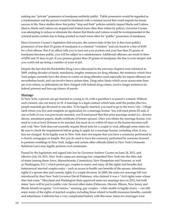making any "private" possession of marijuana suddenly public. Public possession would be regarded as a misdemeanor and the person would be burdened with a criminal record that could impede his future success in life. Since studies show that police "stop and frisk" policies unfairly impact blacks and Latinos (that is, blacks and Latinos are stopped and frisked more often than whites by police), Governor Cuomo was attempting to reduce or eliminate the chance that blacks and Latinos would be overrepresented in the criminal justice system due to being arrested so much more often for "public" possession of marijuana.

Since Governor Cuomo's legislation did not pass, the current state of the law is that (non-public) possession of less than 25 grams of marijuana is a criminal "violation" and can result in a fine of \$100 for a first offense. But if an officer tells you to turn out your pockets and your less than 25 grams of marijuana becomes public, you will be subject to a misdemeanor. Additional offenses can result in fines of \$250 and 15 days in jail. If you possess greater than 25 grams of marijuana, the fine is even steeper and you could end up doing a number of years in jail.

Despite the fact that the Rockefeller Drug Laws (discussed in the previous chapter) were reformed in 2009, ending decades of harsh, mandatory, lengthy sentences for drug offenses, the sentences which New York judges currently have the choice to confer on drug offenders (and especially for repeat offenses) are nevertheless harsh, and can involve heavy prison time. Drug sales/deals which occur across state lines are even riskier, as defendants are then charged with federal drug crimes, receive longer sentences (in federal prisons) and have no chance of parole.

#### **Marriage:**

In New York, a person can get married as young as 16, with a guardian's or parent's consent. Without such consent, one can marry at 18. A marriage is a legal contract which lasts until the parties (the two people married) get divorced or one dies. To be legally married, you need to go to the town/city /village clerk where you live and complete an application for a marriage license. You will need photo ID and, if one or both of you was previously married, you'll need proof that that prior marriage ended (i.e., divorce decree, annulment papers, death certificate of former spouse). Once you obtain the marriage license, you need to wait at least 24 hours to be married, but must do so within 60 days or the license becomes null and void. New York does not currently require blood tests for a couple to wed, although some states do. Be sure to check the requirements before going to apply for a marriage license, including what, if any, fees are charged. To be legally wed in New York does not require that you have a ceremony performed in a church, synagogue or temple. But you do need to have the ceremony performed by someone licensed to perform weddings in New York. Judges and certain other officials (listed in New York's Domestic Relations Law) may legally perform civil ceremonies.

Passed by the legislature and signed into law by Governor Andrew Cuomo on June 24, 2011, and effective July 24, 2011, New York's same-sex marriage law catapulted New York into the elite club of states (among them: Iowa, Massachusetts, Connecticut, New Hampshire and Vermont, as well as Washington, D.C.) which permit gay couples to marry and enjoy all the rights and benefits that heterosexual married couples enjoy – such as access to health care benefits of the spouse, inheritance rights if a spouse dies and custody rights if a couple divorces. In 2009, the same-sex marriage bill was introduced by then New York Governor David Patterson, who claimed it was a "civil rights issue whose time had come." Maryland and Washington State approved same-sex marriage laws in 2012, but both states' laws will be put to public vote. Several other states (Delaware, Hawaii, Illinois, New Jersey and Rhode Island) recognize "civil unions," meaning, gay couples – while unable to legally marry -- can still enjoy many of the rights of married couples, including those related to health insurance benefits, custody and inheritance. California has a very complicated history with this issue. Same-sex marriages were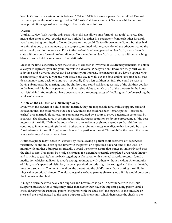legal in California at certain points between 2004 and 2008, but are not presently permitted. Domestic partnerships continue to be recognized in California. California is one of 30 states which continue to have prohibitions against gay marriage in their state constitutions.

#### **Divorce:**

Until 2010, New York was the only state which did not allow some form of "no-fault" divorce. This means that prior to 2010, couples in New York had to either live separately from each other for a full year before being permitted to file for divorce, or they could file for divorce immediately, but they had to claim that one of the members of the couple committed adultery, abandoned the other, or treated the other cruelly and inhumanly, etc. Prior to the no-fault law being passed in New York, it was the only state without some form of no-fault divorce. Now, couples in New York can divorce without attaching blame to an individual or stigma to the relationship.

Most of the time, especially when the custody of children is involved, it is extremely beneficial to obtain a lawyer to represent you and your interests in a divorce. What you don't know can truly hurt you in a divorce, and a divorce lawyer can best protect your interests. For instance, if you have a spouse who is emotionally abusive to you and you decide one day to walk out the door and never come back, that decision may come back to haunt you – especially if you left children behind. You could be seen as having abandoned the marriage and the children, and could risk losing custody of the children you left in the hands of this abusive person, as well as losing rights to much or all of the property in the house you left behind. You might not have been aware of the consequences of "walking out" before seeking the advice of a lawyer.

#### **A Note on the Children of a Divorcing Couple**:

Even when the parents of a child are not married, they are responsible for a child's support, care and education until the child reaches the age of 21, unless the child has been "emancipated" (discussed earlier) or is married. Blood tests are sometimes ordered by a court to prove paternity, if contested, by a parent. The driving force in assigning custody during a separation or divorce proceeding is "the best interests of the child." While the courts do try to award joint or shared custody, so that children can continue to interact meaningfully with both parents, circumstances may dictate that it would be in the "best interests of the child" not to associate with a particular parent. This might be the case if the parent was a substance abuser or very violent.

At times, a judge may "phase in" custody by first allowing a parent short segments of "supervised visitation," so the child can spend time with the parent on a specified day and time of the week or month with another adult present (usually a social worker) to assure that things go smoothly and that the child is safe. This might be a judge's strategy if a parent has recently completed drug rehabilitation and is trying to get his/her life back together; or if a parent with a mental disorder recently found a medication which stabilizes his moods enough to interact with others without incident. After months of this type of supervised visitation, longer supervised periods might be arranged and then, ultimately, unsupervised visits. The point is to allow the parent into the child's life without putting the child in physical or emotional danger. The ultimate goal is to have parents share custody, if this would best serve the interests of the child.

A judge determines who pays child support and how much is paid, in accordance with the Child Support Standards Act. A judge may order that, rather than have the support-paying parent send a check directly to the custodial parent (the parent with the child[ren] the majority of the time), he or she send the check instead to the state's support collections unit, which then sends the check to the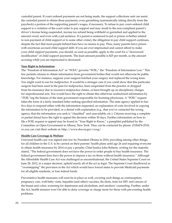custodial parent. If court ordered payments are not being made, the support collections unit can assist the custodial parent to obtain these payments, even garnishing (automatically taking directly from the paycheck) a portion of the supporting parent's wages, if necessary. To refuse to pay court-ordered child support is a violation of the court order to pay support and may result in the non-compliant parent's driver's license being suspended, income tax refund being withheld or garnished and applied to the amount owed, and even with a jail sentence. If a parent is sentenced to jail or prison (whether related to non-payment of child support or to some other crime), the obligation to pay child support continues, despite the fact that most people behind bars have no means to pay. Thus, many parents leave prison with enormous accrued child support debt. If you are ever imprisoned and cannot afford to make your child support payments, you should, as soon as possible, apply to the court for a "downward modification" of child support payments. The least amount possible is \$25 per month, so the amount accruing while you are imprisoned is decreased.

#### **Your Right to Information**:

The "Freedom of Information Act" or "FOIA" governs "FOIL," the "Freedom of Information Law." This law permits citizens to obtain information from government bodies that would not otherwise be public knowledge. For instance, suppose your surgeon botched your surgery and replaced the wrong knee. You might want to sue for malpractice. It would be a stronger case if you could show that this particular surgeon had been sued in the past for malpractice, been suspended from the practice or dropped from his insurance due to excessive malpractice claims, or been brought up on disciplinary charges for unprofessional acts. You would have the right to obtain this otherwise undisclosed information by "FOIL"ing the bureau of the state government responsible for licensing physicians. A "FOIL" request takes the form of a fairly standard letter seeking specified information. The state agency applied to has five days to respond either with the information requested, an explanation of costs involved in copying the information to be provided, or a denial with explanation (e.g., that you've contacted the wrong agency, that the information you seek is "classified" and unavailable, etc.). Citizens receiving a complete or partial denial have the right to appeal the decision within 30 days. Further information on how to file a FOIL request or appeal may be found in "Your Right to Know," a pamphlet published by the Committee on Open Government in Albany, New York. They can be contacted by phone: (518)474-2518, or you can visit their website at: http://www.dos.ny.gov/coog/

#### **Health Care Coverage & Welfare:**

Universal health care was signed into law by President Obama in 2010, providing among other things, for all children in the U.S. to be carried on their parents' health plans until age 26 and requiring everyone to obtain health insurance by 2014 or pay a penalty. Chief Justice John Roberts, writing for the majority stated, "The federal government does not have the power to order people to buy health insurance. The federal government does have the power to impose a tax on those without health insurance." Although the Affordable Health Care Act was challenged as unconstitutional, the United States Supreme Court on June 28, 2012, in a major decision, upheld nearly all of the act as legal. The Supreme Court disallowed as "overstepping" the provision in the Act which would have forced states to provide Medicaid payments for all eligible residents, or lose federal funds.

Preventative health measures will soon be in place as well, covering such things as contraception, pregnancy care, well-baby visits, hepatitis (and other) vaccines, flu shots, tests for HIV and cancers of the breast and colon, screening for depression and alcoholism, and smokers' counseling. Further, under the Act, health insurers won't be able to deny coverage or charge more for those with pre-existing health problems.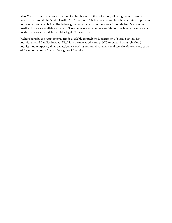New York has for many years provided for the children of the uninsured, allowing them to receive health care through the "Child Health Plus" program. This is a good example of how a state can provide more generous benefits than the federal government mandates, but cannot provide less. Medicaid is medical insurance available to legal U.S. residents who are below a certain income bracket. Medicare is medical insurance available to older legal U.S. residents.

Welfare benefits are supplemental funds available through the Department of Social Services for individuals and families in need. Disability income, food stamps, WIC (women, infants, children) monies, and temporary financial assistance (such as for rental payments and security deposits) are some of the types of needs funded through social services.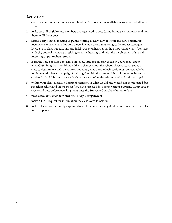## **Activities:**

- 1) set up a voter registration table at school, with information available as to who is eligible to vote;
- 2) make sure all eligible class members are registered to vote (bring in registration forms and help them to fill them out);
- 3) attend a city council meeting or public hearing to learn how it is run and how community members can participate. Propose a new law as a group that will greatly impact teenagers. Divide your class into factions and hold your own hearing on the proposed new law (perhaps with city council members presiding over the hearing, and with the involvement of special interest groups, teachers, students);
- 4) learn the value of civic activism: poll fellow students in each grade in your school about what ONE thing they would most like to change about the school; discuss responses as a class to determine which were most frequently made and which could most conceivably be implemented; plan a "campaign for change" within the class which could involve the entire student body; lobby and peaceably demonstrate before the administration for this change!
- 5) within your class, discuss a listing of scenarios of what would and would not be protected free speech in school and on the street (you can even read facts from various Supreme Court speech cases) and vote before revealing what lines the Supreme Court has drawn to date;
- 6) visit a local civil court to watch how a jury is empaneled;
- 7) make a FOIL request for information the class votes to obtain;
- 8) make a list of your monthly expenses to see how much money it takes an emancipated teen to live independently.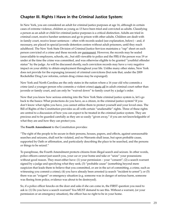## **Chapter III. Rights I Have in the Criminal Justice System:**

In New York, you are considered an adult for criminal justice purposes at age 16, although in certain cases of extreme violence, children as young as 13 have been tried and convicted as adults. Classifying a person as an adult or child for criminal justice purposes is a critical distinction. Adults are tried in criminal court, receive harsher sentences and go to prison with other adults. Children are dealt with in family court, receive lesser sentences – often with records sealed (see explanation, below) – and, if necessary, are placed in special juvenile detention centers without adult prisoners, until they reach adulthood. The New York State Division of Criminal Justice Services maintains a "rap" sheet on each person convicted of a crime and these records are permanent. However, the records may be sealed (unavailable to employers, schools, etc., but still viewable to police and the FBI) if the person was 19 or under at the time the crime was committed, and was otherwise eligible to be granted "youthful offender status" by the judge. As will be discussed shortly, such conviction records may have a very negative impact on your ability to obtain employment throughout your life. Unlike many other states, New York does not provide for the expunging (erasure) of criminal convictions (but note that, under the 2009 Rockefeller Drug Law reforms, certain drug crimes may be expunged).

New York and North Carolina are the only states in the nation where a 16 year old who commits a crime (and a younger person who commits a violent crime) starts off in adult criminal court rather than juvenile or family court, and can only be "waived down" to family court by a judge's order.

Now that you know how serious entering into the New York State criminal justice system is, let's go back to the basics: What protections do you have, as a citizen, in the criminal justice system? If you don't know what rights you have, you cannot utilize them to protect yourself and your loved ones. The Bill of Rights of the Constitution provides us all with certain "unalienable" rights. Three of these rights are central to a discussion of how you can expect to be treated in the criminal justice system. They are precious and to be guarded carefully as they are so easily "given away," if you are not knowledgeable of what they are and how they can protect you.

#### The **Fourth Amendment** to the Constitution provides:

"The right of the people to be secure in their persons, houses, papers, and effects, against unreasonable searches and seizures, shall not be violated, and no Warrants shall issue, but upon probable cause, supported by Oath or affirmation, and particularly describing the place to be searched, and the persons or things to be seized."

To paraphrase, the Fourth Amendment protects citizens from illegal search and seizure. In other words, police officers cannot just search you, your car or your home and take or "seize" your possessions without good reason. They must either have: (1) your permission – your "consent"; (2) a search warrant signed by a judge and specifying what they seek; (3) "probable cause" (something beyond mere suspicion that leads them to believe that you committed, or are in the act of committing, a crime, such as witnessing you commit a crime); (4) you have already been arrested (a search "incident to arrest"); or (5) there was an "exigent" or emergency situation (e.g. someone was in danger of serious harm, someone was fleeing from police, evidence was about to be destroyed).

So, if a police officer knocks on the door and asks if she can come in, the FIRST question you need to ask is: (1) Do you have a search warrant? You MUST demand to see this. Without a warrant, (or your permission or an emergency situation), the officer has no right to be in your home.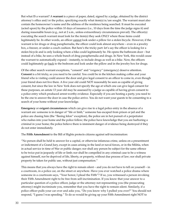But what IS a warrant? A **warrant** is a piece of paper, dated, signed by a judge, obtained by the district attorney's office and/or the police, specifying exactly what item(s) is/are sought. The warrant must also contain the homeowner's name and the address of the residence being searched. It must be executed (acted upon) by the police within 10 days of issuance (i.e., 10 days from the time the judge signs it) and during reasonable hours (e.g., not at 2 a.m., unless extraordinary circumstances prevail). The officer(s) executing the search warrant must look for the item(s) they seek ONLY where those items could legitimately be. In other words, an officer cannot look under a pillow for a stolen bicycle. However, if the warrant is for drugs or drug paraphernalia, the officer could look almost anywhere – even in a jewelry box, a freezer, or under a couch cushion. But here's the tricky part: let's say the officer is looking for a stolen bicycle and is only looking where a bike could legitimately be. He opens the bathroom door – but instead of a bike, he sees a whole bunch of drug paraphernalia and drugs. In New York, this would cause the warrant to automatically expand – instantly, to include drugs as well as a bike. Now, the officers could legitimately go back to the bedroom and look under the pillow and in the jewelry box for drugs.

Of the other search warrant exceptions, "consent" and "exigency" (emergency) deserve attention. **Consent** is a bit tricky, so you need to be careful. You could be in the kitchen making coffee and your friend who is visiting could answer the door and give legal consent to an officer to come in, even though your friend does not live there. A five year old could NOT reasonably be seen as capable of giving consent, but since the law in New York does not specify the age at which one can give legal consent for these purposes, an astute 13 year old may be assessed by a judge as capable of having given consent to a police entry which produced arrest-worthy evidence. Especially if you are hosting a party, you need to be the one to answer the door in case the police arrive. You do not want your guests to be consenting to a search of your home without your knowledge.

**Emergency** or **exigent circumstances** which can give rise to a legal police entry in the absence of a warrant are: someone is in danger of "life or limb," someone has escaped from prison or jail and the police are chasing him (the "fleeing felon" exception), the police are in hot pursuit of a perpetrator who rushes into your home and the police follow; the police have knowledge that you are harboring a criminal in your home; the police believe there is imminent danger of evidence being destroyed if they do not enter immediately.

#### The **Fifth Amendment** to the Bill of Rights protects citizens against self-incrimination:

"No person shall be held to answer for a capital, or otherwise infamous crime, unless on a presentment or indictment of a Grand Jury, except in cases arising in the land or naval forces, or in the Militia, when in actual service in time of War or public danger; nor shall any person be subject for the same offence to be twice put in jeopardy of life or limb; nor shall be compelled in any criminal case to be a witness against himself, nor be deprived of life, liberty, or property, without due process of law; nor shall private property be taken for public use, without just compensation."

This means that you always have the right to remain silent – and you do not have to tell on yourself – in a courtroom, in a police car, on the street or anywhere. Have you ever watched a police drama where someone in a courtroom says, "Your honor, I plead the Fifth"? If so, you witnessed a person invoking their Fifth Amendment right to be free from self-incrimination. If you know that your answer to a particular question of a police officer, judge or the attorney not representing you (the prosecuting attorney) might incriminate you, remember that you have the right to remain silent. Similarly, if a police officer pulls your car over and asks you, "Do you know why I pulled you over?" You should not respond, "I guess I was speeding." To do so would be giving up your Fifth Amendment right NOT to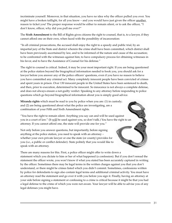incriminate yourself. Moreover, in that situation, you have no idea why the officer pulled you over. You might have a broken taillight, for all you know – and you would have just given the officer another reason to ticket you! The proper response would be either to remain silent, or to ask the officer, "I don't know, officer, why did you pull me over?"

The **Sixth Amendment** to the Bill of Rights gives citizens the right to counsel, that is, to a lawyer, if they cannot afford one on their own, when faced with the possibility of incarceration:

"In all criminal prosecutions, the accused shall enjoy the right to a speedy and public trial, by an impartial jury of the State and district wherein the crime shall have been committed, which district shall have been previously ascertained by law, and to be informed of the nature and cause of the accusation; to be confronted with the witnesses against him; to have compulsory process for obtaining witnesses in his favor, and to have the Assistance of Counsel for his defense."

The right to counsel is critical. Indeed, it may be your most important right. If you are being questioned at the police station beyond the biographical information needed to book you, you should ask for a lawyer before you answer any of the police officers' questions, even if you have no reason to believe you have committed any criminal act. Many completely innocent people have been convicted of crimes and spent years in prison. Over 130 innocent people in the United States have been sentenced to death, and then, prior to execution, determined to be innocent. So innocence is not always a complete defense, and does not always ensure a not-guilty verdict. Speaking to any attorney before responding to police questions which go beyond biographical information about you is simply good advice.

**Miranda rights** which must be read to you by police when you are: (1) in custody; and (2) are being questioned about what the police are investigating, are a combination of your Fifth and Sixth Amendment rights.

"You have the right to remain silent. Anything you say can and will be used against you in a court of law." (It will be used against you, so don't talk.) You have the right to an attorney. If you cannot afford one, the state will provide one for you."

Not only before you answer questions, but importantly, before signing anything at the police station, you need to speak with an attorney – whether your own private lawyer or one the state (or county) provides for you (i.e., a public or conflict defender). State politely that you would like to speak with an attorney.

There are many reasons for this. First, a police officer might offer to write down a statement which you dictate to him or her of what happened (a confession). But if you don't reread the statement the officer wrote, you won't know if what you stated has been accurately captured in writing by the officer. Sometimes there may be legal terms in the written charges against you that you don't understand, or there might be crimes listed which you didn't commit. Sometimes, confessions written by police for defendants to sign also contain legal terms and additional criminal activity. You must have an attorney read the statement and go over it with you before you sign it. Finally, having an attorney at your side before signing a statement or confessing to a crime is critical because it might be that you had a legal defense to the crime of which you were not aware. Your lawyer will be able to advise you of any legal defenses you might have.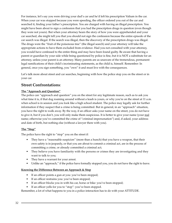For instance, let's say you were driving your dad's car and he'd left his prescription Valium in the car. When your car was stopped because you were speeding, the officer ordered you out of the car and searched it, finding your father's prescription. You are charged with having an illegal prescription. You might have been about to sign a confession that you had the prescription drugs in question (even though they were not yours). But when your attorney hears the story of how you were apprehended and your car searched, she might tell you that you should not sign the confession because the entire episode of the car search was illegal. If the search was illegal, then the discovery of the prescription drugs was illegal. The drugs were the "fruit of the poisonous tree" (the illegal search) and your attorney will take the appropriate actions to have them excluded from evidence. Had you not consulted with your attorney, you would have confessed to the entire thing and may have been found guilty. Be aware that having a parent or guardian by your side while being questioned by police is fine, but it is NOT a substitute for an attorney, unless your parent is an attorney. Many parents are as unaware of the tremendous, permanent legal ramifications of their child's incriminating statements, as the child is, himself. Remember: In general, once you sign something, you "own" it and must live with the consequences.

Let's talk more about street and car searches, beginning with how the police stop you on the street or in your car.

### **Street Confrontations**:

#### **The "Approach and Question"**

The police can "approach and question" you on the street for any legitimate reason, such as to ask you what time it is, if that dog roaming around without a leash is yours, or why you're on the street at 11 a.m. when school is in session and you look like a high school student. The police may legally ask for further information if they suspect that a crime is being committed. But in general, in an "approach" situation, you have the right to walk away. By the way, if an officer asks your name on the street, you do not have to give it, but if you don't, you will only make them suspicious. It is better to give your name (your real name; otherwise you've committed the crime of "criminal impersonation") and, if asked, your address and date of birth, but nothing else (without a lawyer there with you).

#### **The "Stop"**

The police have the right to "stop" you on the street if:

- They have a "reasonable suspicion" (more than a hunch) that you have a weapon, that their own safety is in jeopardy, or that you are about to commit a criminal act, are in the process of committing a crime, or already committed a criminal act;
- They believe you have familiarity with the persons or crimes they are investigating and they want to talk to you;
- They have a warrant for your arrest.
- Unlike an "approach," if the police have formally stopped you, you do not have the right to leave.

#### **Knowing the Difference Between an Approach & Stop**

- If an officer points a gun at you: you've been stopped;
- If an officer restrains you: you've been stopped;
- If an officer blocks you in with his car, horse or bike: you've been stopped;
- If an officer yells for you to "stop": you've been stopped.

Remember, a lot of what happens to you in a police interaction has to do with your ATTITUDE.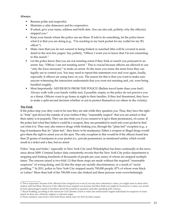### **Always:**

- Remain polite and respectful.
- Maintain a calm demeanor and be cooperative.
- If asked, give your name, address and birth date. You can also ask, politely, why the officer(s) stopped you.<sup>6</sup>
- Keep your hands where the police can see them. If told to do something, let the police know what it is that you are doing (e.g., "I'm reaching in my back pocket for my wallet for my ID, officer").
- Make clear that you do not consent to being frisked or searched (this will be covered in more detail in the next few pages). Say, politely, "Officer, I want you to know that I'm not consenting to this search."
- Let the police know that you are not resisting arrest if they frisk or search you pursuant to an arrest. Say, "Officer, I am not resisting arrest." This is crucial because officers are allowed to use "only the force necessary" to make an arrest. So the more you resist, the more force they can legally use to control you. You may need to repeat this statement over and over again, loudly, especially if officers are using force on you. The reason for this is that you want to make sure anyone witnessing the interaction understands that you were not resisting and, yet, were being handled roughly.
- Most Importantly: NEVER RUN FROM THE POLICE! (Bullets travel faster than your feet!) Always walk with your hands visible and, if possible, empty, so the police do not perceive you as a threat. Officers want to go home at night to their families. If they feel threatened, they have to make a split-second decision whether or not to protect themselves (or others in the vicinity).

## **The Frisk**

If the police stop you, they want to be sure they are safe while they question you. Thus, they have the right to "frisk" (pat down) the outside of your clothes if they "reasonably suspect" that you are armed or that their safety is in jeopardy. They can also frisk you if you consent to it (give them permission), of course. If the police feel what they believe could be a weapon, they are permitted to reach into your pocket to find out what it is. They may also remove drugs while frisking you, through the "plain feel" exception (e.g., a bag of marijuana that, by "plain feel," they know to be marijuana). Either a weapon or illegal drugs would give them the right to arrest you on the spot. The only exception to this would be if the officers found less than 25 grams of marijuana in your pocket (i.e., private possession), as mentioned earlier, which would result in a ticket and a fine, but no arrest.

Police "stop and frisks," especially in New York City (and Philadelphia) has been continually in the news since about 2009. Criminal Justice data consistently reveals that the New York City police department is stopping and frisking hundreds of thousands of people per year, many of whom are stopped multiple times. The concern raised is two-fold: (1) that these stops are made without the required "reasonable suspicion" of wrong-doing, and (2) that the stops are racially discriminatory, or a result of "racial profiling."7 In 2011, police in New York City stopped nearly 700,000 people, 87% of whom were black or Latino.<sup>8</sup> More than half of the 700,000 were also frisked and these persons were overwhelmingly

7. Racial Profiling, according to the American Civil Liberties Union is when law enforcement targets individuals for suspicion of crime based on their race, ethnicity, religion or national origin.

<sup>6.</sup> This is important, because if the officer(s) have stopped you to see if you may have witnessed a crime, you might want to share information with her/them. However, if the officer(s) have stopped you because she/they think you might be involved in a crime, you would be best advised not to speak to her/them about the incident in question until after speaking with a lawyer.

<sup>8.</sup> These numbers come from a New York Times article, June 18, 2012 by John Leland.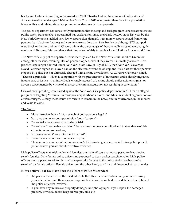blacks and Latinos. According to the American Civil Liberties Union, the number of police stops of African American males ages 14-24 in New York City in 2011 was greater than their total population. News of this, and related statistics, prompted wide-spread citizen protests.

The police department has consistently maintained that the stop and frisk program is necessary to ensure public safety. But some have questioned this explanation, since the nearly 700,000 stops last year by the New York City police yielded very few weapons (less than 2%, with more weapons seized from white persons than blacks or Latinos) and very few arrests (less than 9%). Ironically, although 87% stopped were black or Latino, and only13% were white, the percentages of those actually arrested were roughly equivalent! To some, this is evidence that the police unfairly target blacks and Latinos for stop and frisks.

The New York City police department was recently sued by the New York Civil Liberties Union for, among other reasons, retaining files on people stopped, even if they weren't ultimately arrested. This practice is no longer allowed under New York State Law. In July of 2010, then New York Governor David Patterson signed into law a ban on the electronic retention of stop-and-frisk data for those persons stopped by police but not ultimately charged with a crime or violation. As Governor Patterson noted, "There is a principle -- which is compatible with the presumption of innocence, and is deeply ingrained in our sense of justice – that individuals wrongly accused of a crime should suffer neither stigma nor adverse consequences by virtue of an arrest or criminal accusation not resulting in conviction."

Cries of racial profiling were raised against the New York City police department in 2011 for an alleged program of targeting Muslims – in mosques, neighborhoods, stores, and Muslim student organizations at certain colleges. Clearly, these issues are certain to remain in the news, and in courtrooms, in the months and years to come.

# **The Search**

- More intrusive than a frisk, a search of your person is legal if:
- You give the police your permission (your "consent")
- Police feel a weapon on you during a frisk;
- Police have "reasonable suspicion" that a crime has been committed and that evidence of this crime is on you somewhere;
- You are arrested ("search incident to arrest")
- Police have a search warrant to search you;
- There is an emergency situation: someone's life is in danger, someone is fleeing police pursuit; police believe you are about to destroy evidence.

Male police officers may frisk males and females, but male officers are not supposed to deep-pocket search females. Only female police officers are supposed to deep pocket search females. Male police officers are supposed to ask for female backup or take females to the police station so they can be searched by female officers. Female officers, on the other hand, can frisk and deep-pocket search males.

# **If You Believe That You Have Been the Victim of Police Misconduct:**

- Keep a written record of the incident. Note the officer's name and/or badge number during your interaction, and then, as soon as possible afterwards, write down a detailed description of the police officer(s) involved.
- If you have any injuries or property damage, take photographs. If you repair the damaged property or visit a doctor keep all receipts, bills, etc.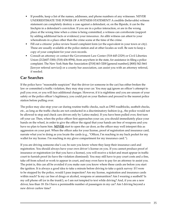- If possible, keep a list of the names, addresses, and phone numbers of any witnesses. NEVER UNDERESTIMATE THE POWER OF A WITNESS STATEMENT! A credible (believable) witness statement can completely destroy a case against a defendant, or, on the flipside, it can be the linchpin in a defendant's conviction. If you are in a police interaction, or are in the wrong place at the wrong time when a crime is being committed, a witness can corroborate (support by adding additional facts or evidence) your innocence. An alibi witness can attest to your whereabouts in a place other than the crime scene at the time of the crime.
- Fill out a citizens' police review board complaint form (or the equivalent in your town or city). These are usually available at the police station and at other locales as well. Be sure to keep a copy of your complaint for your own records.
- Consult an attorney or contact the Government Law Center (518-445-2329) or Civil Liberties Union (212)607-3300; (518)-436-8594), from anywhere in the state, for assistance in filing a police complaint. The New York State Bar Association ([518] 463-3200 [general number]; [800]-342-3661 [lawyer referral service]) or a county bar association, can assist you with an attorney referral, if needed.

# **Car Searches**

If the police have "reasonable suspicion" that the driver (or someone in the car) has either broken the law or committed a traffic violation, they may stop your car. You may not ignore an officer's attempt to pull you over, or you will face additional charges. However, if it is nighttime and you are unsure of your safety or the police officer's legitimacy, you could put on your flashers and proceed to the nearest police station before pulling over.

The police may also stop your car during routine traffic checks, such as DWI roadblocks, seatbelt checks, etc., as long as the traffic checks are not conducted in a discriminatory fashion (e.g., the police would not be allowed to stop and check cars driven only by Latino males). If you have been pulled over, first turn off your car. Then, when the police officer first approaches your car, you should immediately place your hands on the wheel, in order to give the officer the signal that your hands are free of weapons and you have no plan to harm him. **NEVER** start to open the car door, as the officer may well interpret this as aggression on your part. When the officer asks for your license, proof of registration and insurance card, narrate what you're doing as you locate the cards (e.g., "Officer, I'm reaching in my back pocket for my wallet for my license. I'm reaching in my glove compartment for my insurance card.").

If you are driving someone else's car, be sure you know where they keep their insurance card and registration. You should always have your own driver's license on you. If you cannot produce proof of insurance or registration (or that you have a license), you will receive a ticket and must appear in traffic court to furnish proof (to have the violation dismissed). You may still have to pay court costs and a fine, take off from school or work to appear in court, and may even have to pay for an attorney to assist you. The point is, this can all be avoided if you make sure you know where these cards are before you start the ignition. It is always a good idea to take a minute before driving to take a quick survey: If I were to be stopped by the police, would I pass inspection? Are my license, registration and insurance cards within reach? Is my car free of drugs or alcohol, weapons or ammunition? Am I wearing a seatbelt? Is my cell phone off (or in the trunk!), so I am not tempted to text while driving? And, if you are a new driver, less than 18: Do I have a permissible number of passengers in my car? Am I driving beyond a new driver curfew time?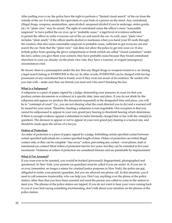After pulling over a car, the police have the right to perform a "limited visual search" of the car from the outside of the car. It is basically the equivalent of a pat frisk of a person on the street. Any contraband, (illegal drugs, weapons, ammunition, open alcohol, unopened alcohol if you're underage, stolen goods, etc.) in "plain view" may be seized. The sight of contraband raises the officer's mere "reasonable suspicion" to have pulled the car over, up to "probable cause," a legal level of evidence sufficient to permit the officer to order everyone out of the car and search the car. As well, since "plain view" includes "plain smell," if the officer smells alcohol or marijuana when you hand your ID cards through the window, that also raises reasonable suspicion to probable cause, sufficient to get everyone out and search the car. Note that the "plain view" rule does not allow the police to get into your car. It also forbids police from opening the glove compartment or trunk (which are called "closed containers" under the law), unless you give them your consent, they have probable cause because they found contraband elsewhere in your car already via the plain view rule, they have a warrant, or exigent (emergency) circumstances exist.

Be Aware: there is a presumption under the law that any illegal drugs or weapons found in a car during a legal search belong to EVERYONE in the car. In other words, EVERYONE can be charged with having possession of any contraband that is found, even if they were not aware of its existence. Be careful who you ride with – make sure they are friends you trust and who aren't breaking the law.

### **What is a Subpoena?**

A subpoena is a piece of paper, signed by a judge, demanding your presence in court (or that you produce certain documents or evidence) at a specific date, time and place. If you do not abide by the subpoena and appear (or produce the documents requested) at the designated time and place, you will be in "contempt of court" (i.e., you are not obeying what the court directed you to do) and a warrant will be issued for your arrest. Therefore, heeding a subpoena is non-negotiable. One exception is that you cannot be subpoenaed to appear in your own grand jury hearing (a threshold hearing which determines if there is enough evidence against a defendant to indict [formally charge] him or her with the crime[s] in question). The decision to appear or not to appear in your own grand jury hearing is a tactical one, and should be made upon the advice of a lawyer.

### **Orders of Protection**:

An order of protection is a piece of paper, signed by a judge, forbidding certain specified contact between certain specified individuals for a certain specified length of time. Orders of protection can forbid illegal contact only, or they can be complete "stay away" orders, preventing any contact – even phone, mail or intentional eye contact! Most orders of protection last for two years, but they can be extended in five-year increments. Violations of orders of protection are considered felonies and are punishable by imprisonment.

### **What if I'm Arrested?**

If you were ever to be arrested, you would be booked (processed): fingerprinted, photographed and questioned. In New York, your parents (or guardian) must be called if you are under 16. If you are 16 or over, (remember, no longer a minor for criminal justice purposes in New York), the police are not obligated to notify your parents/guardian, but you are allowed one phone call. In this situation, you'd need to call someone trustworthy, who can help you. Don't say anything over the phone at the police station, other than that you have been arrested and need the person you called to come to the station to meet you. The phones at the police station are tapped. If you do not want to hear your voice coming back to you at your trial saying something incriminating, don't talk about your situation on the phones at the police station.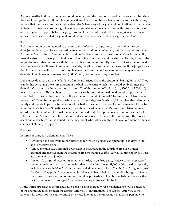As noted earlier in this chapter, you should never answer the questions posed by police about the crime they are investigating until your lawyer gets there. If you don't have a lawyer or the funds to hire one, request that the police produce a public defender (a free lawyer) for you, and don't talk until that person arrives. You have the absolute right to stop a police interrogation at any time. Within 24 hours of being arrested, you will appear before the judge. You will then be informed of the charge(s) against you, an attorney may be appointed for you, if you don't already have one, and the judge may set bail.

# **Bail**

Bail is an amount of money used to guarantee the defendant's appearance at her trial or next court date. Judges have great leeway in setting an amount of bail for a defendant, but the amount cannot be "excessive" or "arbitrary," and must be based on the defendant's circumstances, such as his reliability, mental status, work history, criminal record, ties to the community, and the risk that he might flee. If the judge deems a defendant to be a flight risk or a threat to the community, she will not set a bail or bond, and the defendant will need to remain in custody, pending his next court appearance. If the judge trusts that the defendant will return to court on his own for his next court appearance, she may release the defendant "on his own recognizance" ("ROR" him), without even requiring bail.

If the judge does set bail, the defendant's family and friends have the option of "bailing him out." They can do this by paying the entire amount of the bail to the court, which they would get back after the defendant's matter concludes, or they can pay 10% of the amount of bail set (e.g., \$500 for \$5,000 bail) to a bail bondsman. The bail bondman guarantees to the court that the defendant will appear when scheduled to do so, or the bondsman will pay the full amount of the bail. The family and friends never recoup the 10% of the bail paid to the bondsman. If the judge sets "cash bail," it requires the defendant's family and friends to pay the full amount of the bail to the court. The use of a bondsman would not be an option in such a case. Sometimes, even though bail is set, a defendant's family and friends cannot afford to bail him out and he must remain in custody, despite the option to leave and return for trial. If the defendant's family bails him out but he does not show up for court, the family loses the money spent and a bench warrant is issued for the defendant who, when caught, will have to contend with new charges of "failing to appear."

### **Charges**

In terms of charges a defendant could face:

- A violation is a relatively minor infraction for which a person can spend up to 15 days in jail and/or receive a fine.
- A misdemeanor (e.g., criminal possession of marijuana in the fourth degree [2-8 ounces], criminal impersonation in the second degree, or making graffiti) carries jail time of up to a year and a fine of up to \$1,000.
- A felony (e.g., grand larceny, arson, rape, murder, large drug sales, drug/weapon possession) carries anywhere from a year to life in prison and a fine of over \$1,000. While the death penalty technically exists in New York, it has been ruled "unconstitutional" by the State's highest court, the Court of Appeals. But even when it did exist in New York, no one under the age of 18 when the crime in question was committed, could be put to death. That is now federal law, as is the fact that no one with an IQ of 70 or below can be put to death in the U.S.

At the initial appearance before a judge, a person being charged with a misdemeanor will be advised of the charges he faces through the District Attorney's "information." The District Attorney is the lawyer who works for the county, and is otherwise known as the prosecutor. This is the person who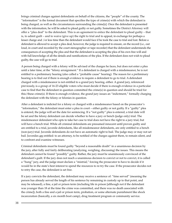brings criminal charges against defendants on behalf of the citizens, the "people" of the county. The "information" is the formal document that specifies the type of crime(s) with which the defendant is being charged, as well as the circumstances surrounding the crime[s]. Once the defendant is presented with the information, he will be asked to plead guilty or not guilty. Sometimes the District Attorney will offer a "plea deal" to the defendant. This is an agreement to entice the defendant to plead guilty – that is, to admit guilt – and to waive (give up) the right to trial and to appeal, in exchange for perhaps a lesser charge and /or less time than the defendant would face if he took the case to trial and lost. Before a defendant is allowed to accept a plea deal, however, the judge is required to ensure, on the record (i.e., out loud, in court and recorded by the court stenographer or tape recorder) that the defendant understands the consequences of accepting the plea and that the defendant is accepting the plea of his own free will and with full knowledge of all the details and ramifications of the plea. If the defendant does not wish to plead guilty, the case will go to trial.

A person being charged with a felony will be advised of the charges he faces, but does not enter a plea until a later time, at the "felony arraignment." If a defendant is charged with a misdemeanor, he is not entitled to a preliminary hearing (also called a "probable cause" hearing). The reason for a preliminary hearing is to find out if there is enough evidence to require a defendant to go to trial. A defendant charged with a misdemeanor is not entitled to a grand jury hearing, either. A grand jury, referenced previously, is a group of 16-23 eligible voters who must decide if there is enough evidence in a particular case to find that the defendant in question committed the crime(s) in question and should be tried for this/these crime(s). If there is enough evidence, the grand jury issues an "indictment," formally charging the defendant with the felony or felonies in question.

After a defendant is indicted for a felony or charged with a misdemeanor based on the prosecutor's "information," the defendant must enter a plea in court – either guilty or not guilty. If a "guilty" plea is entered, the judge will set the date for sentencing. If a "not guilty" plea is entered, a trial date will be set and the felony defendant can decide whether to have a jury or bench (judge only) trial. The misdemeanor defendant who opts to take her case to trial does not have the right to a jury trial, but will have a bench trial. While all criminal defendants are presumed innocent until proven guilty and are entitled to a trial, juvenile defendants, like all misdemeanor defendants, are only entitled to a bench (non-jury) trial. Juvenile defendants do not have an automatic right to bail. The judge may or may not set bail. Juveniles are entitled: to an attorney, to be notified of the charges against them, to remain silent, and to confront and examine witnesses.

Criminal defendants must be found guilty "beyond a reasonable doubt" in a unanimous decision by the jury, after fully and fairly deliberating (analyzing, weighing, discussing) the issues. This means the defendant cannot be found "possibly" guilty. Rather, the jury must be unanimously convinced of the defendant's guilt. If the jury does not reach a unanimous decision to convict or not to convict, it is called a "hung" jury, and the judge must declare a "mistrial," forcing the prosecutor to have to decide if it would be in the state's best interest to spend the resources to re-try the case. If the prosecutor decides not to retry the case, the defendant is set free.

If a jury convicts the defendant, the defendant may receive a sentence of: "time served" (meaning the person has already served the length of his sentence by remaining in custody up to that point, and may be released), a fine, a jail or prison term (including life in prison [although not if the defendant was younger than 18 at the time the crime was committed, and there was no death associated with the crime]), both a fine and a jail or prison term, probation, or some alternate punishment like shock incarceration (basically, a six month boot camp), drug treatment program or community service.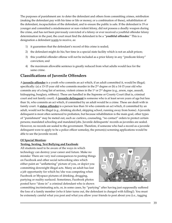The purposes of punishment are: to deter the defendant and others from committing crimes, retribution (making the defendant pay with his time or life or money, or a combination of these), rehabilitation of the defendant, incapacitation of the defendant, and to ensure the public is safe. If the defendant is 19 or younger and committed a misdemeanor or non-violent felony, did not possess a deadly weapon during the crime, and has not been previously convicted of a felony or ever received a youthful offender felony determination in the past, the court must find the defendant to be a "**youthful offender.**" This is a designation a defendant wants to receive, as:

- 1) it guarantees that the defendant's record of this crime is sealed;
- 2) the defendant might do his/her time in a special state facility which is not an adult prison;
- 3) this youthful offender offense will not be included as a prior felony in any "predicate felony" conviction; and
- 4) the maximum allowable sentence is greatly reduced from what adults would face for the same crime.

# **Classifications of Juvenile Offenders**

A **juvenile offender** is a youth who commits an act which, if an adult committed it, would be illegal; specifically: (a) a 13-15 year old who commits murder in the  $2<sup>nd</sup>$  degree or (b) a 14-15 year old who commits any of a long list of serious, violent crimes in the 1<sup>st</sup> or 2<sup>nd</sup> degree (e.g., arson, rape, assault, kidnapping, burglary, robbery). These are handled in the Supreme or County Court (that is, criminal court and not family court). A **juvenile delinquent** is someone who is at least seven years of age but less than 16, who commits an act which, if committed by an adult would be a crime. These are dealt with in family court. A **status offender** is a person less than 16 who commits an act which, if committed by an adult, would not be illegal (e.g., drinking alcohol, skipping school, running away from home). A juvenile delinquent is most often sentenced to probation, but because rehabilitation is the main goal, other types of "punishment" may be meted out, such as: curfews, counseling, "no contact" orders to protect certain persons; mandated schooling and mandated jobs. Juvenile delinquents' records as juveniles are sealed. However, no records are sealed to the government. Therefore, if someone who had a record as a juvenile delinquent were to apply to be a police officer someday, the person(s) screening applications would be able to see the juvenile record.

# **Of Special Mention:**

# **Texting, Sexting, Text Bullying and Facebook**:

All students need to be aware of the ways in which technology can destroy your career and future. Make no mistake: There are very real consequences to posting things on Facebook and other social networking sites which either paint an "unflattering" picture of you, or depict you committing downright illegal acts. Many an adult has lost a job opportunity for which he/she was competing when Facebook or Myspace pictures of drinking, drugging, partying or nudity surfaced. Sometimes, Facebook photos posted have "done in" a criminal defendant who is shown



committing incriminating acts, or, in some cases, by "partying" after having just supposedly suffered the loss of a family member (who it later turns out, the defendant is charged with killing!). You must be extremely careful what you post and what you allow your friends to post about you (i.e., tagging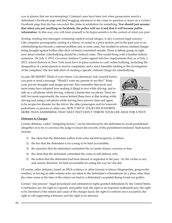you in photos that are incriminating). Criminal cases have been lost when prosecutors search a defendant's Facebook page and find bragging references to the crime in question or learn on a victim's Facebook page that she has concocted the crime in retaliation for something. **You should just assume that when you put anything on Facebook, the police will see it and that it will become public information**. In this way, you will train yourself to be hyper-sensitive to the content of what you post.

Sexting, sending text messages containing explicit sexual images, is also a serious legal concern. Like computer pornography, sexting is a felony. As noted in a prior section, just in the past year or so, cyberbullying has become a national problem and, in some cases, has resulted in serious criminal charges being brought against bullies after their victim(s) committed suicide. There is debate going on right now about whether cyberbullying should be a federal crime. This would bring with it harsher federal sentences. On July 9, 2012, Governor Andrew Cuomo signed into law requirements that, as of July 1, 2013, school districts in New York must have in place systems to curb online bullying, including the designation of a point-person to receive complaints, and a strict timetable relating to the investigation of the complaint. The law falls short of creating a specific criminal charge for cyberbullying.

In sum: BE SMART! Think of your future. Use discretion! Ask yourself before you post or send a message: "Would I want my parents to see this?" Keep your private thoughts and images private! Also remember that more and more states have adopted laws making it illegal to text while driving, and to talk on a cell phone while driving, without a hands-free car phone. Fines are stiff, but more importantly, the reason behind these laws is that texting while driving and using a cell phone while driving have proven, time and again, to be recipes for disaster for the driver, the other passengers and for innocent pedestrians or persons in other cars. DON'T DO IT. YOUR LIFE IS WORTH

MORE THAN ANSWERING THAT NEXT TEXT! DON'T THROW YOUR LIFE AWAY FOR A TEXT!

### **Defenses to Charges**

Certain defenses, called "mitigating factors," can be introduced by the defendant to avoid punishment altogether or to try to convince the judge to lessen the severity of the punishment rendered. Such factors include:

- 1) the claim that the defendant suffers from some mental incapacity or defect;
- 2) the fact that the defendant is too young to be held accountable;
- 3) the assertion that the defendant committed the act under duress, coercion or fear;
- 4) the claim that the defendant committed the crime in self-defense only;
- 5) the notion that the defendant had been abused or neglected in the past by the victim or not, and cannot, therefore, be held accountable for acting the way he/she did.

Of course, other defenses, based on DNA evidence or other forensic evidence (fingerprints, gunpowder residue), or having an alibi witness who can attest to the defendant's whereabouts (at a place other than the crime scene at the time of the crime) can lead to a defendant's acquittal (being found not guilty).

Certain "due process" (legal procedural and substantive) rights granted defendants by the United States Constitution are: the right to a speedy and public trial; the right to an impartial (unbiased) jury; the right to be informed of the nature and cause of the charges faced; the right to confront one's accuser(s); the right to call supporting witnesses; and the right to an attorney.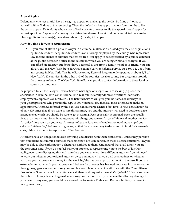# **Appeal Rights**

Defendants who lose at trial have the right to appeal or challenge the verdict by filing a "notice of appeal" within 30 days of the sentencing. Then, the defendant has approximately four months to file the actual appeal. Defendants who cannot afford a private attorney to file the appeal should apply for a court appointed "appellate" attorney. If a defendant doesn't lose at trial but is convicted because he pleads guilty to the crime(s), he waives (gives up) his right to appeal.

#### **How do I find a lawyer to represent me?**

• If you cannot afford a private lawyer in a criminal matter, as discussed, you may be eligible for a "public defender." A "public defender" is an attorney, employed by the county, who represents low-income clients in criminal matters for free. You apply to be represented by a public defender at the public defender's office in the county in which you are being criminally charged. If you can afford an attorney but do not have a referral to one from a family member or friend, you can always call the New York State Bar Association's Lawyer Referral Service at: 1-800-342-3661 from any county in New York. The State Bar Attorney Referral Program only operates in about 2/3 of New York's 62 counties. In the other 1/3 of the counties, local or county bar programs provide the attorney referrals. The New York State Bar can provide contact information to these local or county bar programs.

Be prepared to tell the Lawyer Referral Service what type of lawyer you are seeking (e.g., one that specializes in criminal law, constitutional law, real estate, family/domestic relations, contracts, employment, corporate law, DWI, etc.). The Referral Service will give you the names of attorneys in your geographic area who practice the type of law you need. You then call those attorneys to make an appointment. Attorneys referred by the Bar Association charge clients a first time, ½ hour consultation fee of only \$25. After that, if you want to hire this attorney, you and the attorney will need to decide on a fee arrangement, which you should be sure to get in writing. Fees, especially in criminal cases, are usually fixed at an hourly rate. Sometimes attorneys will charge one rate for "in court" time and another rate for "in office" time spent on your case. Attorneys often ask for a considerable amount of money up-front, called a "retainer fee," before starting a case, so that they have money to draw from to fund their research costs, hiring of experts, transportation, filing fees, etc.

Attorneys have an obligation to keep anything you discuss with them confidential, unless they perceive that you intend to commit a crime or that someone's life is in danger. In these discrete situations, lawyers may be able to share information a client has confided to them. Understand that at all times, you are the consumer here. If you do not feel that your attorney is representing you to the best of his/her ability, even after discussing this with him/her, you can always hire a different attorney. You will need to work out whether your original attorney owes you money that you paid as a retainer, or whether you owe your attorney any money for the work he/she has done up to that point in the case. If you are extremely unhappy with your attorney and believe the attorney has harmed your case in any way either through negligence or on purpose, you can file a complaint against the attorney with the Committee on Professional Standards in Albany. You can call them and request a form at: (518)474-8816. You also have the option of filing a law suit against an attorney for malpractice if you believe the attorney damaged your case. In any case, you should be aware of the following Rights and Responsibilities you have, in hiring an attorney: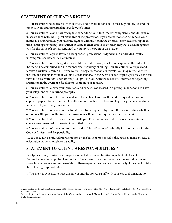# **STATEMENT OF CLIENT'S RIGHTS9**

1. You are entitled to be treated with courtesy and consideration at all times by your lawyer and the other lawyers and personnel in your lawyer's office.

2. You are entitled to an attorney capable of handling your legal matter competently and diligently, in accordance with the highest standards of the profession. If you are not satisfied with how your matter is being handled, you have the right to withdraw from the attorney-client relationship at any time (court approval may be required in some matters and your attorney may have a claim against you for the value of services rendered to you up to the point of discharge).

3. You are entitled to your lawyer's independent professional judgment and undivided loyalty uncompromised by conflicts of interest.

4. You are entitled to be charged a reasonable fee and to have your lawyer explain at the outset how the fee will be computed and the manner and frequency of billing. You are entitled to request and receive a written itemized bill from your attorney at reasonable intervals. You may refuse to enter into any fee arrangement that you find unsatisfactory. In the event of a fee dispute, you may have the right to seek arbitration; your attorney will provide you with the necessary information regarding arbitration in the event of a fee dispute, or upon your request.

5. You are entitled to have your questions and concerns addressed in a prompt manner and to have your telephone calls returned promptly.

6. You are entitled to be kept informed as to the status of your matter and to request and receive copies of papers. You are entitled to sufficient information to allow you to participate meaningfully in the development of your matter.

7. You are entitled to have your legitimate objectives respected by your attorney, including whether or not to settle your matter (court approval of a settlement is required in some matters).

8. You have the right to privacy in your dealings with your lawyer and to have your secrets and confidences preserved to the extent permitted by law.

9. You are entitled to have your attorney conduct himself or herself ethically in accordance with the Code of Professional Responsibility.

10. You may not be refused representation on the basis of race, creed, color, age, religion, sex, sexual orientation, national origin or disability.

# **STATEMENT OF CLIENT'S RESPONSIBILITIES10**

"Reciprocal trust, courtesy and respect are the hallmarks of the attorney-client relationship. Within that relationship, the client looks to the attorney for expertise, education, sound judgment, protection, advocacy and representation. These expectations can be achieved only if the client fulfills the following responsibilities:

1. The client is expected to treat the lawyer and the lawyer's staff with courtesy and consideration.

<sup>9.</sup> As adopted by the Administrative Board of the Courts and as reprinted in "Now that You've Turned 18" published by the New York State Bar Association

<sup>10.</sup> As adopted by the Administrative Board of the Courts and as reprinted in "Now that You've Turned 18" published by the New York State Bar Association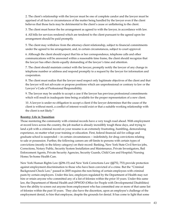2. The client's relationship with the lawyer must be one of complete candor and the lawyer must be apprised of all facts or circumstances of the matter being handled by the lawyer even if the client believes that those facts may be detrimental to the client's cause or unflattering to the client.

3. The client must honor the fee arrangement as agreed to with the lawyer, in accordance with law.

4. All bills for services rendered which are tendered to the client pursuant to the agreed upon fee arrangement should be paid promptly.

5. The client may withdraw from the attorney-client relationship, subject to financial commitments under the agreed to fee arrangement, and, in certain circumstances, subject to court approval.

6. Although the client should expect that his or her correspondence, telephone calls and other communications will be answered within a reasonable time frame, the client should recognize that the lawyer has other clients equally demanding of the lawyer's time and attention.

7. The client should maintain contact with the lawyer, promptly notify the lawyer of any change in telephone number or address and respond promptly to a request by the lawyer for information and cooperation.

8. The client must realize that the lawyer need respect only legitimate objectives of the client and that the lawyer will not advocate or propose positions which are unprofessional or contrary to law or the Lawyer's Code of Professional Responsibility.

9. The lawyer may be unable to accept a case if the lawyer has previous professional commitments which will result in inadequate time being available for the proper representation of a new client.

10. A lawyer is under no obligation to accept a client if the lawyer determines that the cause of the client is without merit, a conflict of interest would exist or that a suitable working relationship with the client is not likely."

# **Reentry: Life in Transition**:

Those reentering the community with criminal records have a very tough road ahead. With employment at record lows across the country, the job market is already incredibly tough these days, and trying to land a job with a criminal record on your resume is an extremely frustrating, humbling, demoralizing experience, no matter what your training or education. First, federal financial aid for college and graduate school is suspended -- in certain circumstances -- indefinitely, for drug convictions relating to sale or possession. Further, the following careers are off-limits to persons with certain types of convictions (mostly in the felony category) on their record: Banking, New York State Civil Service jobs, Corrections, Notary Public, Security System Installation and Maintenance, Private Investigators, Bail Enforcement Agents, Private Security Agencies, Security Guards, Child Care and Hospital/Nursing Home/In-home Health Care.

New York Human Rights Law (§296.15) and New York Corrections Law (§§752, 753) provide protection against employment discrimination to those who have been convicted of a crime. But the "Criminal Background Check Law," passed in 2005 requires the non-hiring of certain employees with criminal pasts by certain employers. Under this law, employers regulated by the Department of Health may not hire or retain anyone who committed any of a list of felonies within the prior 10 years. Under this same law, the Department of Mental Health and OPWDD (Office for People with Developmental Disabilities) have the ability to screen out anyone from employment who has committed one or more of that same list of felonies within the past 10 years. They also have the discretion, upon an employee's challenge of the employment denial, to hire that employee, despite the grounds for denial. It has come to light that some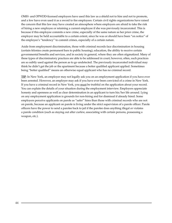OMH- and OPWDD-licensed employers have used this law as a shield not to hire and not to promote, and a few have even used it as a sword to fire employees. Certain civil rights organizations have raised the concern that this law may have created an atmosphere where employers are afraid to take the risk of hiring a new employee or retaining a current employee if she was previously incarcerated. This is because if this employee commits a new crime, especially of the same nature as her prior crime, the employer may be held accountable to a certain extent, since he was or should have been "on notice" of the employee's "tendency" to commit crimes, especially of a certain nature.

Aside from employment discrimination, those with criminal records face discrimination in housing (certain felonies create permanent bars to public housing), education, the ability to receive certain governmental benefits and services, and in society in general, where they are often stigmatized. Many of these types of discriminatory practices are able to be addressed in court; however, often, such practices are so subtly used against the person as to go undetected. The previously incarcerated individual may think he didn't get the job or the apartment because a better qualified applicant applied. Sometimes being "better qualified" means an otherwise equal applicant who has no criminal record.

**TIP**: In New York, an employer may not legally ask you on an employment application if you have ever been arrested. However, an employer may ask if you have ever been convicted of a crime in New York. If you have a criminal record in New York, you must be truthful on the application about your record. You can explain the details of your situation during the employment interview. Employers appreciate honesty and openness as well as clear determination in an applicant to turn his/her life around. Lying on any employment application is grounds for non-hiring and for dismissal if already hired. Some employers perceive applicants on parole as "safer" hires than those with criminal records who are not on parole, because an applicant on parole is living under the strict supervision of a parole officer. Parole officers have the power to send a parolee back to jail if the parolee does anything illegal or violates a parole condition (such as staying out after curfew, associating with certain persons, possessing a weapon, etc.).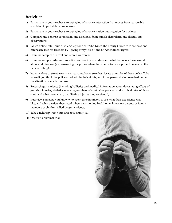# **Activities:**

- 1) Participate in your teacher's role-playing of a police interaction that moves from reasonable suspicion to probable cause to arrest;
- 2) Participate in your teacher's role-playing of a police station interrogation for a crime;
- 3) Compare and contrast confessions and apologies from sample defendants and discuss any observations;
- 4) Watch online "48 Hours Mystery" episode of "Who Killed the Beauty Queen?" to see how one can nearly lose his freedom by "giving away" his  $5<sup>th</sup>$  and  $6<sup>th</sup>$  Amendment rights;
- 5) Examine samples of arrest and search warrants;
- 6) Examine sample orders of protection and see if you understand what behaviors these would allow and disallow (e.g. answering the phone when the order is for your protection against the person calling);
- 7) Watch videos of street arrests, car searches, home searches; locate examples of these on YouTube to see if you think the police acted within their rights, and if the persons being searched helped the situation or made it worse;
- 8) Research gun violence (including ballistics and medical information about devastating effects of gun shot injuries, statistics revealing numbers of youth shot per year and survival rates of those shot [and what permanent, debilitating injuries they received]);
- 9) Interview someone you know who spent time in prison, to see what their experience was like, and what barriers they faced when transitioning back home. Interview parents or family members of children killed by gun violence;
- 10) Take a field trip with your class to a county jail;
- 11) Observe a criminal trial.

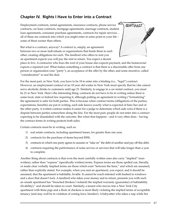# **Chapter IV. Rights I Have to Enter into a Contract**

Employment contracts, rental agreements, insurance contracts, phone service contracts, car lease contracts, mortgage agreements, marriage contracts, student loan agreements, consumer purchase agreements, contracts for repair services… all of these are contracts into which you might enter at some point in your life – some of these sooner than others.

But what is a contract, anyway? A contract is, simply, an agreement between two or more individuals or organizations that binds them to each other, creating obligations for each. The landlord who offers to rent you an apartment expects you will pay the rent in return. You expect a decent



CONTRACT

place to live. A contractor who fixes the roof of your house also expects payment, and the homeowner expects a repaired roof. What makes something a contract is that there is a discernable offer from one person or organization (one "party"), an acceptance of the offer by the other, and some incentive, called "consideration" to seal the deal.

For the most part, in New York, you have to be 18 to enter into a binding (i.e., "legal") contract. However, an employment contract of an 18 year old waiter in New York must specify that he/she cannot serve alcoholic drinks to customers until age 21. Similarly, to engage in a car rental contract, you must be 21 in New York. Here's the interesting thing: contracts do not have to be in writing unless there is some local, state or federal law requiring it, although putting an agreement in writing ("formalizing" the agreement) is safer for both parties. This is because when contract terms (obligations of the parties, expectations, benefits) are put in writing, each side knows exactly what is expected of him/her and of the other party. A written contract makes it easier for a judge to determine which side wins if there is a dispute between parties somewhere along the line. For the most part, people do not enter into a contract expecting to be dissatisfied with the outcome. But when that happens – and it very often does – having the contract terms in writing protects both sides.

Certain contracts must be in writing, such as:

- 1) real estate contracts, including apartment leases, for greater than one year,
- 2) contracts for the purchase of items beyond \$500,
- 3) contracts in which one party agrees to assume or "take on" the debt of another and pay off this debt,
- 4) contracts requiring the performance of some service or services that will take longer than a year to complete.

Another thing about contracts is that even the most carefully written ones also carry "implied" (nonwritten), rather than "express" (specifically written) terms. Express terms are those spelled out, literally, or made clear verbally. Implied terms are those which exist "between the lines," and which are assumed, rather than explicitly stated. For example, when you rent an apartment, you expect, and it should be assumed, that the apartment is habitable, livable. It cannot be roach-infested with bashed in windows and a door that doesn't lock. A landlord who takes your money and in return, presents you with such an unsafe apartment has "breached (broken/violated) the implied warranty (guarantee) of habitability (livability)," and should be taken to court. Similarly, a tenant who moves into a New York City apartment with three pigs and a flock of chickens is most likely violating the implied terms of acceptable tenancy (and may well be in violation of zoning laws, besides!). A babysitter who takes a nap while her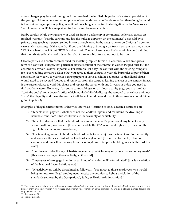young charges play in a swimming pool has breached the implied obligation of careful supervision of the young children in her care. An employee who spends hours on Facebook rather than doing her work is likely violating employer policy, even if not breaching any contractual obligation under New York's "employment at will" law (explained further in employment chapter).

But be careful: While buying a new or used car from a dealership or commercial seller also carries an implied warranty (that the car runs and has the mileage apparent on the odometer) a car sold by a private party (such as a person selling his car through an ad in the newspaper or on Craigslist) does not carry such a warranty! Make sure that if you are thinking of buying a car from a private party, you have YOUR mechanic check it out FIRST, hood to trunk. The purchaser is not likely to win in court claiming that the private seller claimed this or that about the car which turned out not to be true.

Clearly, parties to a contract can be sued for violating implied terms of a contract. When an express term of a contract is illegal, that particular clause (section) of the contract is voided (wiped out), but the contract as a whole is saved, if possible. For example, let's say the contract with the catering company for your wedding contains a clause that you agree to their using a 16-year-old bartender as part of their services. In New York, 16 year olds cannot prepare or serve alcoholic beverages, so this illegal clause would need to be severed (voided and removed) from the contract, leaving the rest of the contract intact. If the caterer refuses to void this clause and replace the server with one 21 years or older, you need to find another caterer. However, if an entire contract hinges on an illegal activity (e.g., you are hired to "cook the books" for a doctor's office which regularly bills Medicare), the removal of one clause will not "cure" the illegality and the entire contract will be void (and beyond that, in this scenario, you might be going to prison!).

Examples of illegal contract terms (otherwise known as: "learning to smell a rat in a contract") are:

- 1) "Tenants must pay rent, whether or not the landlord repairs and maintains the dwelling in habitable condition" [this would violate the warranty of habitability].
- 2) "Tenant understands that the landlord may enter the tenant's premises at any time, for any reason, without prior notice" [this would violate the 4<sup>th</sup> Amendment rights to privacy and the right to be secure in your own home].
- 3) "The tenant agrees not to hold the landlord liable for any injuries the tenant and/or her family and guests suffer as a result of the landlord's negligence" [this is unenforceable; a landlord cannot shield himself in this way from the obligations to keep the building in a safe/hazard-free state].
- 4) "Employees under the age of 16 driving company vehicles may only do so on secondary roads" [this is sanctioning an illegal activity, so it is void].<sup>11</sup>
- 5) "Employees who engage in union organizing of any kind will be terminated" [this is a violation of the National Labor Relations Act].12
- 6) "Whistleblowers will be disciplined as follows…" [this threat to those employees who would bring an unsafe or illegal employment practice or condition to light is a violation of the standards set forth by the Occupational, Safety & Health Administration].<sup>13</sup>

<sup>11.</sup> This clause would only pertain to those employees in New York who have actual employment contracts. Most employees, and certainly most entry-level employees in New York are employed "at will," without an actual contract. This will be explained in more detail in the employment section.

<sup>12.</sup> See footnote 10.

<sup>13.</sup> See footnote 10.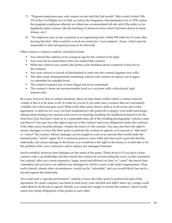- 7) "Pregnant employees may only remain on site until the 2nd month" [this would violate Title VII of the Civil Rights Act of 1964, as well as the Pregnancy Discrimination Act of 1978, unless the pregnant employees affected are otherwise accommodated off-site and if the policy is for legitimate safety reasons, like the leaching of chemical toxins which had been shown to harm fetuses, etc.].
- 8) "No employee may accept a position at an engineering firm within 500 miles for 10 years after leaving this firm" [this would be a much too restrictive "non-compete" clause, which must be reasonable in time and general scope to be allowed].

Other reasons a contract could be cancelled include:

- You entered the contract at too young an age for the contract to be legal;
- You were not of sound mind when you entered the contract;
- When the contract was created, the parties were mistaken about a material or key fact to the contract;
- You were coerced or forced or blackmailed to enter into the contract (against your will);
- The other party misrepresented something critical to the contract to induce you to agree, or committed an outright fraud;
- The contract required one or more illegal acts to be committed;
- The contract's terms are unconscionable (such as a car lease with a ridiculously high interest rate).

Be aware, however, that in certain situations, there are time limits within which a contract must be voided, if this is to be done at all. So what do you do if you enter into a contract that isn't necessarily voidable, but which just goes sour? What if the other party doesn't deliver at all on her part of the agreement, or delivers in a way you find unsatisfactory (the paint job is sloppy; your math tutor keeps falling asleep during your sessions and you're not learning anything; the landlord promised to fix the front door lock, but hasn't done so in a reasonable time; all of the wedding photographer's photos came out blurry)? You may have the right to get out of the contract (and your obligations under the contract) if the other party breaches (breaks, violates the terms of ) the contract. You may also have the right to money damages, to force the other party to perform the contract as agreed, or to rescind or "take back" or "cancel" the contract. Money damages can be sought in court in an amount that would make the harmed party "whole" again. So if a contractor puts in a new toilet and does such a poor job that the toilet leaks and causes damage to the house, you would have the right to the money it would take to fix the problem with a new contractor, and to replace any damaged furniture.

Just be mindful, however, that damages are the name of the game. Think about it: If you have a lease contract with a car dealership and they breach the contract by not providing the exact car they promised, but, instead, offer you a more expensive, larger, more fuel-efficient car, they've "cured" the breach they committed and you have not suffered any damages for which a court could order compensation. Thus, such a breach, absent other circumstances, would not be "actionable" and you would likely lose such a lawsuit against the dealership.

You could seek a "specific performance" remedy, to force the other party to perform his part of the agreement. If a trash company was hired to haul away your old junk and didn't show up, a judge could order them to do the job as agreed. Finally, you could ask a judge to rescind the contract, which would cancel any future obligations of the parties to each other.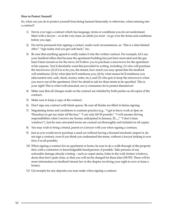#### **How to Protect Yourself**

So, what can you do to protect yourself from being harmed financially or otherwise, when entering into a contract?

- 1) Never, ever sign a contract which has language, terms or conditions you do not understand. Meet with a lawyer – or at the very least, an adult you trust – to go over the terms and conditions before you sign;
- 2) Do not be pressured into signing a contact, under such circumstances, as: "this is a time-limited offer;" "sign today and you get cash back," etc;
- 3) Be sure that anything agreed to orally makes it into the written contract. For example, let's say your landlord offers that because the apartment building has just been renovated and the gas hasn't been turned on for the stove, he'll allow you to purchase a microwave for the apartment at his expense. You'd absolutely want that provided in writing, including: (1) who will purchase the microwave; (2) if it is to be you, the tenant, how much you may spend that the landlord will reimburse; (3) by what date he'll reimburse you; (4) by what means he'll reimburse you (discounted rent, cash, check, money order, etc.); and (5) who gets to keep the microwave when you move out of the apartment. Don't be afraid to ask for these terms to be specified. This is your right! This is what well-educated, savvy consumers do to protect themselves!
- 4) Make sure that all changes made on the contract are initialed by both parties on all copies of the contract;
- 5) Make sure to keep a copy of the contract;
- 6) Don't sign any contract with blank spaces. Be sure all blanks are filled in before signing;
- 7) Negotiating terms and conditions is common practice (e.g., "I get to leave work at 3pm on Thursdays to get my sister off the bus;" "I can only lift 50 pounds;" "I will assume driving responsibilities when I receive my license, anticipated in January, 20\_\_;" "I don't clean windows"). Just be sure unwanted terms are crossed out thoroughly and initialed on all copies;
- 8) You may wish to bring a friend, parent or a lawyer with you when signing a contract;
- 9) Just as you would never purchase a used car without having a licensed mechanic inspect it, do not sign a contract, even if you think you understand the terms, without a lawyer looking it over first, if at all possible;
- 10) When signing a contract for an apartment or home, be sure to do a walk-through of the property first, with a contractor or knowledgeable handyperson, if possible. Take pictures of any noticeable damage already existing – such as carpet stains, holes in the wall, broken windows, doors that don't quite close, so that you will not be charged for these later (NOTE: There will be more information on landlord/tenant law in the chapter involving your right to own or lease a home);
- 11) Get receipts for any deposits you may make when signing a contract.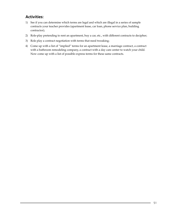# **Activities:**

- 1) See if you can determine which terms are legal and which are illegal in a series of sample contracts your teacher provides (apartment lease, car loan, phone service plan, building contractor);
- 2) Role-play pretending to rent an apartment, buy a car, etc., with different contracts to decipher;
- 3) Role play a contract negotiation with terms that need tweaking;
- 4) Come up with a list of "implied" terms for an apartment lease, a marriage contract, a contract with a bathroom remodeling company, a contract with a day care center to watch your child. Now come up with a list of possible express terms for these same contracts.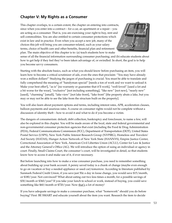# **Chapter V: My Rights as a Consumer**

This chapter overlaps, to a certain extent, the chapter on entering into contracts, since when you enter into a contract – for a car, an apartment or a repair – you are acting as a consumer. That is, you are exercising your right to buy, rent and sell commodities. You are also entitled to certain consumer protections which exist in law and in practice. Even when you accept a new job, many of the choices this job will bring you are consumer-related, such as your salary terms, choice of health care and other benefits, financial plan and retirement plan. The main objective of this chapter is to: (a) teach students how to make



sense of all the financial information surrounding consumer purchasing; and (b) educate students about how to get help if they feel they've been taken advantage of, or swindled. In short, the goal is to help you become savvy consumers.

Starting with the absolute basics, such as what you should know before purchasing an item, you will learn how to become a critical scrutinizer of ads, even the ones that proclaim: "You may have already won a million dollars!" Studying the jargon of purchasing is crucial. You must be able to translate and fully comprehend the meaning of "handyman special" [needs a ton of work and we want to unload it. Make your best offer!], "as is" [no warranty or guarantee that it'll work], "well-loved" [used a lot and a bit worse for the wear], "exclusive" [not including something], "like new" [not new], "nearly new" [used], "charming" [small], "lake view" [not lake front], "lake front" [the property abuts a lake, but you may or may not be able to see the lake from the structure built on the property].

You will also learn about payment options and terms, including interest rates, APR, acceleration clauses, balloon payments and usurious rates. A course on consumer rights would not be complete without a discussion of identity theft – how to avoid it and what to do if you become a victim.

The dangers of consumerism: default, debt collection, bankruptcy and foreclosure, to name a few, will also be explored in this chapter. You will be made aware of the local, state and federal governmental and non-governmental consumer protection agencies that exist (including the Food & Drug Administration (FDA), Federal Communications Commission (FCC), Department of Transportation (DOT), United States Postal Service (USPS), New York Public Interest Research Group (NYPIRG), Homeless and Travelers' Aid Society (HATAS), Hunger Action Network of New York State (HANNYS), Empire Justice Center, Correctional Association of New York, American Civil Liberties Union (ACLU), Center for Law & Justice and the Attorney General's Office (AG). We will introduce the option of suing an individual or agency in court. Finally, Small Claims Court, the consumer's court, will be investigated in detail, so that students know how to access it and make use of it, if ever necessary.

But before launching into how to make a wise consumer purchase, you need to remember something about building up your bank account: A penny saved today is a chunk of change (maybe even enough to go on vacation or buy a needed appliance or used car) tomorrow. According to literature published by Sunmark Federal Credit Union, if you save just 50¢ a day in loose change, you would save \$15/month, or \$180/year. Not convinced? What about eating out two less times a month, for a possible savings of \$30/month or \$360/year? If you take your lunch to school or work, instead of buying, you could save something like \$60/month or \$720/year. Now that's a lot of money!

If you have adequate savings to make a consumer purchase, what "homework" should you do before buying? First: BE SMART and educate yourself about the item you want. Research the item to decide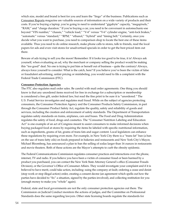which size, model and brand is best for you and learn the "lingo" of the business. Publications such as Consumer Reports magazine are valuable sources of information on a wide variety of products and their costs. If you're buying a laptop, you're going to need to understand "gigabyte" capacity, "megapixels," "RAM," and "charge duration." If you're buying a car, you need to be conversant in automechanic-ese beyond "VIN number," "chassis," "vehicle load," "V-4" versus "V-6" cylinder engine, "anti-lock brakes," "automatic" versus "standard," "RPM," "ethanol," "hybrid" and "timing belt." Certainly, once you decide what you want to purchase, you need to comparison shop to locate the best one of these items available. Thus you need to do online research, make phone calls to stores, talk to friends, read the local papers for ads and even visit stores for unadvertised specials in order to get the best priced item out there.

Beware of ads trying to sell you the moon! Remember: If it looks too good to be true, it is! Always ask yourself, when evaluating an ad, why the merchant or company selling the product would be making this "too good" deal. No one is trying to put him or herself out of business – quite the contrary! Always, always force yourself to consider: What is the catch, here? If you believe you've been the victim of false or fraudulent advertising, unfair pricing or mislabeling, you would need to file a complaint with the Federal Trade Commission (FTC).

#### **Consumer Protection Agencies**

The FTC also regulates mail order sales. Be careful with mail order agreements. One thing you should know is that any unordered items received for free in exchange for a subscription or membership is considered a free gift, under federal law, but read the fine print to be sure it is "unordered." The U.S. Postal Service investigates and regulates mail fraud. While on the subject of agencies protecting consumers, the Consumer Protection Agency and the Consumer Products Safety Commission, in part through the Consumer Product Safety Act, regulate the quality, safety and reliability of goods and services, including the creation and enforcement of safety standards. The Department of Transportation regulates safety standards on trains, airplanes, cars and buses. The Food and Drug Administration regulates the safety of food, drugs and cosmetics. The "Consumer Nutrition Labeling and Education Act" is one example of an act of Congress meant to assist consumers to make informed decisions when buying packaged food at stores by requiring the items be labeled with specific nutritional information, such as ingredients, grams of fat, grams of trans fats and sugar content. Local legislators can enhance these regulations by requiring even more. For example, in New York City there is a "trans fat" ban (a ban on the use of trans fatty oils) on foods prepared in bakeries and restaurants and New York City's Mayor, Michael Bloomberg, has announced a plan to ban the selling of sodas larger than 16 ounces in restaurants and movie theaters. Both of these actions are the Mayor's attempts to curb the obesity epidemic.

The Federal Communications Commission regulates consumer practices and interactions over the phone, internet, TV and radio. If you believe you have been a victim of consumer fraud or been harmed by a product you purchased, you can contact the New York State Attorney General's office (Consumer Frauds Division), or the Governor's Office of Consumer Affairs. They would investigate your complaint and if it is believed to have merit, could take action, including: suing the company at fault; ordering a cease and desist (stop work or stop illegal action) order, creating a consent decree (an agreement which spells out how the parties have decided to "fix" a situation, signed by the parties involved), and collecting restitution for you (enough money to make you "whole" again).

Federal, state and local governments are not the only consumer protection agencies out there. The Commission on Judicial Conduct monitors the actions of judges, and the Committee on Professional Standards does the same regarding lawyers. Other state licensing boards regulate the standards for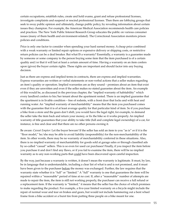certain occupations, establish rules, create and hold exams, grant and refuse professional licenses, investigate complaints and suspend or rescind professional licenses. Then there are lobbying groups that seek to sway public opinion and ultimately, change public policy, by revealing information about certain issues they champion. For example, the American Medical Association recommends health care policies and practices. The New York Public Interest Research Group educates the public on various consumer issues (many of them health and environment-related). The Correctional Association monitors prison policies and conditions.

Price is only one factor to consider when spending your hard earned money. A cheap price combined with a weak warranty or limited repair options or expensive delivery or shipping costs, or restrictive return policies can be a deal breaker. But what IS a warranty? Essentially, a warranty is a guarantee made by someone or some company to the person buying some item that the item purchased is of a certain quality and/or that it will last at least a certain amount of time. Having a warranty on an item confers upon (gives) the buyer certain rights. These rights are important and should factor into any buying decision.

Just as there are express and implied terms in contracts, there are express and implied warranties. Express warranties are written or verbal statements or non-verbal actions that a seller makes regarding an item's quality or operation. Implied warranties are as they sound – promises about an item that exist even if they are unwritten and even if the seller makes no stated guarantee about the item. An example of this would be, as discussed in the previous chapter, the "implied warranty of habitability" which every landlord confers to his/her tenant about the apartment rented. There is an implied guarantee that the apartment is in livable condition – free of rodents, with a front door that locks and with heat and running water. An "implied warranty of merchantability" means that the item you purchased comes with the guarantee that it is of at least average quality for that particular kind of item. So if you purchase a bike from a store and the gears don't shift, you would have the legal right, for example, to demand the seller take the item back and return your money, or fix the bike so it works properly. An implied warranty of title guarantees that your ability to take title (full and complete legal ownership) of a car, for instance, is free and clear and that there are no other persons owning it.

Be aware: *Caveat Emptor*: Let the buyer beware! If the seller has sold an item to you "as is" or if it is the "floor model," he/she may be able to avoid liability (responsibility) for the non-merchantability of the item. In other words, there may be no warranty of merchantability conferred in these situations. Also, there is no implied warranty of merchantability for goods sold at garage sales or through classified ads by so-called "casual" sellers. This is so even for used car purchases! Finally, if you inspect the item before you purchase it and don't find any flaws, or if you fail to examine the item, there will be no implied warranty as to any non-working parts that could have been discovered upon careful inspection.

By the way, just because a warranty is written, it doesn't mean the warranty is legitimate. It must, by law, be in language that is understandable, including a clear list of what is and is not promised, and it must have been given to the purchaser before the money was exchanged. Further, the law requires that the warranty state whether it is "full" or "limited." A "full" warranty is one that guarantees the item will be repaired within a "reasonable" period of time at no cost. If, after a "reasonable" number of attempts are made to repair the item, the item is still not working properly, the purchaser can receive a full refund or a replacement item. If the warranty is "limited," it means that the seller has the choice of which promises to make regarding the product. For example, a five-year limited warranty on a bicycle might include the repair of normal wear and tear on brakes and gears, but would not include hammering out a bent wheel frame from a bike accident or a burst tire from putting three people on a bike meant for one.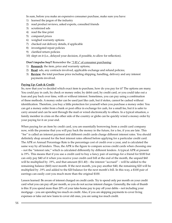In sum, before you make an expensive consumer purchase, make sure you have:

- 1) learned the jargon of the industry
- 2) read product reviews, asked experts, consulted friends
- 3) scrutinized ads
- 4) read the fine print
- 5) compared prices
- 6) weighed warranty options
- 7) checked out delivery details, if applicable
- 8) investigated repair policies
- 9) clarified return policies
- 10) slept on it (i.e., delayed your decision, if possible, to allow for reflection).

**Don't impulse buy!!** Remember the "3 R's" of consumer purchasing:

- 1) **Research**: the item, price and warranty options;
- 2) **Read**: ads, any contracts involved, applicable exchange and refund policies;
- 3) **Review**: the total purchase price including shipping, handling, delivery and any interest payments involved.

## **Paying Up: Cash & Credit**

So, now that you've decided which exact item to purchase, how do you pay for it? The options are many. You could pay in cash, by check or money order, by debit card, by credit card, or you could take out a loan and pay back over time, with or without interest. Sometimes, you can pay using a combination of these methods. A money order can be used just like cash, but if stolen, cannot be cashed without identification. Therefore, you buy a little protection for yourself when you purchase a money order. You can get a money order from a bank or post office in exchange for cash, for a small fee, but it is safer to carry around and can be sent through the mail or wired electronically to others. In a typical situation, a family member in crisis on the other side of the country or globe can be quickly wired a money order by your paying for it on your end.

When paying for an item by credit card, you are essentially borrowing from a credit card company now, with the promise that you will pay back the money in the future, for a fee, if you are late. This "fee" is called an interest payment and different credit cards charge different interest rates. You should definitely shop around for the best interest rates offered before applying for a particular credit card. The APR or Annual Percentage Rate is the percentage cost of credit over a year, and is calculated the same way by all lenders. Thus, the APR is the figure to compare across credit cards when choosing one – not the "interest rate," which is calculated differently by different lenders. A typical APR at present is 19%. This means that if you use a credit card to buy a fancy pair of earrings for a friend for \$100 but can only pay \$40 of it when you receive your credit card bill at the end of the month, the unpaid \$60 will be multiplied by .19%, and that amount (\$11.40) – the interest "accrued" – will be added to the remaining balance (\$60) next month. If the next month, you pay another \$40, the remaining \$20 will be multiplied by .19% and added to the \$20 balance for the next month's bill. In this way, a \$100 pair of earrings can easily cost you much more than the original \$100.

Lesson learned: Be aware of interest charged on credit cards. Try to spend only per month on your credit card what you can pay off per month, so you do not accrue interest charges. Generally, the rule of thumb is this: If you spend more than 20% of your take-home pay to pay off your debts – not including your mortgage – you are spending too much on credit. Also, if you are skipping payments to cover living expenses or take out new loans to cover old ones, you are using too much credit.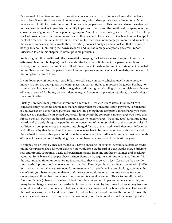Be aware of hidden fees and restrictions when choosing a credit card. Some are free and some have yearly fees. Some offer a very low interest rate at first, which rises quickly over a few months. Most have a credit limit of a maximum amount you can charge per month. This limit can rise or be extended as the consumer makes known his/her ability to pay each month and the credit card company sees the consumer as a "good risk." Some people sign up for "credit card monitoring services" to help them keep track of possible fraud and unauthorized use of their account. These services (such as Equifax Complete, Bank of America, Citi Bank, TransUnion, Experian, Intersections, Inc.) charge per month and are not, in the view of some consumers, worth the price. Many financial analysts advise instead that consumers be vigilant about monitoring their own accounts and take advantage of a yearly free credit report (discussed later in this chapter) to reveal possible problems.

Reviewing monthly credit card bills is essential to keeping track of erroneous charges or identity theft (discussed later in this chapter). Luckily, under the Fair Credit Billing Act, if a person complains in writing about an error in a credit card bill within 60 days of the date the credit card statement is mailed to him/her, the creditor (the person/store to whom you owe money) must acknowledge and respond to the complaint within 90 days.

If you do not pay off your credit card bills, the credit card company, which allowed you to borrow money to purchase your goods in the first place, has certain rights to repossess the goods. Further, nonpayment can lead to credit card debt, a negative credit rating (which will greatly diminish your chances of being approved for home, car or student loans), and even job application rejections, due to having a poor credit rating.

Luckily, new consumer protections went into effect in 2010 for credit card users. First, credit card companies may no longer charge fees that are bigger than the consumer's non-payment. For instance, if you owe \$25 on a credit card purchase, and are late paying it, the company cannot charge you more than \$25 as a penalty. If you exceed your credit limit by \$15 the company cannot charge you more than \$15 as a penalty. Further, credit card companies can no longer charge "inactivity fees" for failure to use a card, and can only charge one penalty fee per consumer infraction (violation of the payment rules). In addition, if a company raises the interest rate charged for use of their credit card, they must inform you and tell you why they have done this. Any rate increase has to be reevaluated every six months and if the evaluation reveals that you should have the rate lowered, the credit card company must do so within 45 days of the evaluation. Finally, all gift cards purchased are now good for at least five years.

If you pay for an item by check, it means you have a checking (or savings) account at a bank or credit union. Comparison shop for your bank as you would for a credit card or a car! Banks charge different fees and provide sometimes vastly different interest rates from one another on savings and checking accounts. Some banks charge per check written. Some banks require a minimum balance (amount) in the account at all times, or penalties are incurred (i.e., they charge you a fee). Certain banks provide free overdraft protection from one account to another. Thus, if you have a savings account with \$2,000 in it and you write a check to someone for more money than you have in your checking account at the same bank, your bank account with overdraft protection would cover you and use money from your savings to pay off the check you wrote from your empty checking account. This is technically called a "bounced" check (when you have insufficient funds in your account to pay for a check you wrote), and many banks charge a large fee for overdrafts. Typically, banks will try two times to draw money from an account (spaced a day or more apart) before charging a customer a fee for a bounced check. That way, if the customer wrote a check and then realized he did not have sufficient funds in the account to cover the check, he could have an extra day or so to deposit money into the account without incurring a penalty.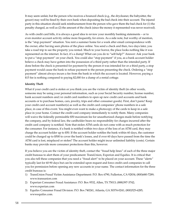It may seem unfair, but the person who receives a bounced check (e.g., the drycleaner, the babysitter, the grocer) may well be fined by their own bank when depositing the bad check into their account. The injured party in this situation should seek reimbursement from the person who gave them the bad check for (1) the penalty charged, as well as (2) the amount of the check (since the money it represented was never received).

As with credit card bills, it is always a good idea to review your monthly banking statements – or to even monitor account activity online more frequently, for errors. As a side note, but worthy of mention, is the "stop payment" situation. You rent a summer home for a week after email correspondence with the owner, after having seen photos of the place online. You send a check and then, two days later, you take a road trip to see the property you rented. Much to your horror, the place looks nothing like it was represented on the internet. In fact, it's a dump! What can you do to "self-help?" Answer: Ask your bank to put a "stop payment" on your check. You could also "stop payment" if you, as a bank account holder believe a check may have gotten into the possession of a third party rather than the intended party. If done before the check is presented for payment by the person it was intended for or a third party, a stop payment would cause the bank to refuse payment to the person presenting the check. Ordering a "stop payment" almost always incurs a fee from the bank in which the account is located. However, paying a \$15 fee is nothing compared to paying \$2,000 for a dump of a rental cottage.

### **Identity Theft**

What if your credit card is stolen or you think you are the victim of identity theft (in other words, someone may be using your personal information, such as your Social Security number, license number, bank account numbers and/or credit card numbers to open up new credit card accounts and bank accounts or to purchase homes, cars, jewelry, trips and other consumer goods). First, don't panic! Keep your credit card account number(s) as well as the credit card companies' phone numbers in a safe place, in case of this event. You might even want to make a photocopy of the cards to keep in a safe place in your home. Contact the credit card company immediately to notify them. Many companies will waive the federally permissible \$50 maximum fee for unauthorized charges made before notifying the company, and by federal law, the cardholder bears no responsibility for charges incurred after the credit card company is notified. Note that stolen ATM cards do not come with as much protection for the consumer. For instance, if a bank is notified within two days of the loss of an ATM card, they may charge the account holder up to \$50. If the account holder notifies the bank within 60 days, the customer could be charged up to \$500 to cover the bank's losses, and if over 60 days have passed from the time the ATM card is lost, misplaced or stolen? The account holder might incur unlimited liability (costs). Certain banks may provide more consumer protections than this, however.

If you believe you are the victim of identity theft, contact the "fraud help lines" of each of the three major credit bureaus to alert them of your predicament: TransUnion, Experion and Equifax. It is critical that you also tell these companies that you need a "fraud alert" to be placed on your account. These "alerts" typically last for 60-90 days but can be extended upon request and force credit card companies to call you for permission before opening any new accounts in your name. The contact information for the three credit bureaus is:

- 1) TransUnion Fraud Victim Assistance Department: P.O. Box 6790, Fullerton, CA 92834; (800)680-7289; www.transunion.com
- 2) Experian Consumer Fraud Assistance: P.O. Box 9532, Allen, TX 75013; (888)397-3742; www.experian.com
- 3) Equifax Consumer Fraud Division: P.O. Box 740241, Atlanta, GA 30374-0241; (800)525-6285; wwwequifax.com.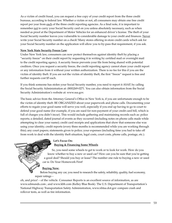As a victim of credit fraud, you can request a free copy of your credit report from the three credit bureaus, according to federal law. Whether a victim or not, all consumers may obtain one free credit report per year from each of the three credit reporting agencies. As a final note, it is important to remember not to carry your Social Security card on you unless absolutely necessary, such as when needed as proof at the Department of Motor Vehicles for an enhanced driver's license. The theft of your Social Security number leaves you vulnerable to considerable damage to your credit and finances. Never write your Social Security number on a check! Many stores offering in-store credit cards which ask for your Social Security number on the application will allow you to by-pass that requirement, if you ask.

### **New York State Security Freeze Law**:

Under New York law, consumers can now protect themselves against identity theft by placing a "security freeze" on their credit report by requesting it in writing by certified mail or overnight mail to the credit reporting agency. A security freeze prevents your file from being shared with potential creditors. Once you request a security freeze, the credit reporting agency cannot share your credit report or any information from it without your written authorization. There is no fee for this if you are the victim of identity theft. If you are not the victim of identity theft, the first "freeze" request is free and further requests cost \$5 each.

If you think someone has stolen your Social Security number, you need to report it ASAP, by calling the Social Security Administration at: (800)269-0271. You can also obtain information from the Social Security Administration's website at: [www.ssa.gov.](http://www.ssa.gov)

The basic advice from the Attorney General's Office in New York is, if you are unfortunate enough to be the victim of identity theft: BE ORGANIZED about your paperwork and phone calls. Documenting your efforts to regain your good name will serve you well, especially if you end up having to go to court to defend your good name (for example, if you are sued for non-payment of your credit card bill, which is full of charges you didn't incur). This would include gathering and maintaining records such as: police reports; a detailed, dated journal of events as they occurred (including notes on phone calls made while attempting to clear your name); credit card receipts and applications that show that someone else was using your identity; credit reports (every three months is recommended while you are working through this); any court papers; statements given to police; your expenses (including time you had to take off from work to deal with the identity theft situation, legal costs, court costs, phone calls, postage, etc.).

# **Let's Focus On:**

# **Buying & Financing Some Wheels**

So, you need some wheels to get to work or to look for work. How do you know whether to buy a new or used car? How can you be sure that you're getting a good deal? Should you buy or lease? The number one rule to buying a new or used car is: Do Your Homework First!

# **Buying New:**

Before buying any car, you need to research the safety, reliability, quality, fuel economy, repair ratings –

oh, and price! – of the vehicle. Consumer Reports is an excellent source of information, as are [www.edmunds.com](http://www.edmunds.com) ; and [www.kbb.com](http://www.kbb.com) (Kelley Blue Book). The U.S. Department of Transportation's National Highway Transportation Safety Administration, [www.nhtsa.dot.gov](http://www.nhtsa.dot.gov) compare crash and rollover tests, as well as tire information.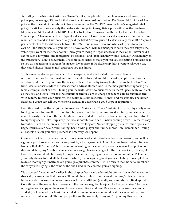According to the New York Attorney General's office, people who do their homework and research car prices pay, on average, 5% less for their cars than those who do not bother. Don't ever think of the sticker price as the true cost of the vehicle. Otherwise known as the "MSRP" (manufacturer's suggested retail price), the sticker price is merely the dealer's starting point to negotiate a price with you, the purchaser. Most cars are NOT sold at the MSRP. Do not be tricked into thinking that the dealer has paid the listed "invoice price" to a manufacturer. Typically, dealers get all kinds of rebates, discounts and incentives from manufacturers, and so have not actually paid the listed "invoice price." Dealers usually make 10-20% profit per car sold. That's the difference between the MSRP and invoice price (or, wholesale price, for a used car). So if the salesperson tells you that he'll have to check with his manager to see if they can sell you the vehicle you want for the "rock bottom" price you're trying to negotiate, because they've: (1) "never sold a car for such a low price, and it might not be possible;" and (2) in fact, they would "actually LOSE money on the transaction," don't believe them. These are sales tactics to make you feel you are getting a fantastic deal, so you do not attempt to bargain for an even lower price! If the dealership didn't want to sell you a car, they could always "just say no!" and spare you the drama.

To choose a car dealer, peruse ads in the newspaper and ask trusted friends and family for recommendations. Go and visit various dealerships to see if you like the salespeople as well as the selection and price. If you think the salespeople are too pushy (using high-pressure tactics like "onetime" deals), or sexist (does the salesperson address all "car talk" to the male purchaser, ignoring his female companion?) or aren't telling you the truth, don't do business with them! Speak with your feet, as they say, and leave! **You are the consumer and you are in charge of where you do business and with whom**. To earn your business, the dealer must be respectful, honest and reasonable. The Better Business Bureau can tell you whether a particular dealer has a good or poor reputation.

Definitely test drive the car(s) that interest you. Make sure it "feels" just right for you, physically – not too big and not too small, with comfortable seats – and that you have good visibility and can reach the controls easily. Check out the acceleration from a dead stop and when transitioning from local street to highway speed. Take it up steep inclines, if possible, and see if, when coming down, it remains easy to control. Slam on the brakes to test how reactive they are. Notice stopping distance, blind spots, air bags, features such as air conditioning, heat, audio player and radio, sunroof, etc. Remember: Testing all aspects of a car you may purchase is time very well spent!

Once you decide to buy a new car, and have negotiated a fair price based on your research, you will be signing a purchase contract and, very possibly, a loan agreement. About the purchase contract: Be careful to check that all "promises" have been put in writing in the contract – even the original car pick up or drop-off details, any "freebie" items or services (e.g., free oil changes for the first year), any rebates, etc. Don't be pressured into hurrying through the contract. Buying a car is a serious commitment! This is your only chance to read all the terms to which you are agreeing, and you need to be given ample time to do so thoroughly. Finally, before you sign a purchase contract, just be certain that the serial number of the car you're buying is the same as the one listed in the contract you are signing.

We discussed "warranties" earlier in this chapter. Your car dealer might offer an "extended warranty" (basically, a guarantee that the car will remain in working order beyond the time/mileage covered in the standard warranty) on your new car for an additional (usually substantial) cost. Be skeptical. Conditions of the warranty coverage and the cost are negotiable – just like the car's price! The dealer must give you a copy of the warranty terms, conditions and cost. Be aware that warranties can be voided (broken, made useless) if scheduled car maintenance is ignored or if the car is not used as intended. Think about it: The company offering the warranty is saying, "If you buy this extended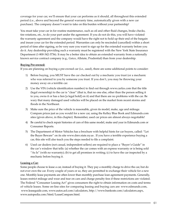coverage for your car, we'll ensure that your car performs as it should, all throughout this extended period (i.e., above and beyond the general warranty time, automatically given with a new car purchase). The company doesn't want to take on this burden without your partnership!

You must take your car in for routine maintenance, such as oil and other fluid changes, brake checks, tire rotations, etc., to do your part under the agreement. If you do not do this, you will have violated the warranty agreement and the company would have the right not to hold up their end of the bargain and insure your car for the extended period. Warranties can only be rescinded (cancelled) within a short period of time after signing, so be very sure you want to sign up for the extended warranty before you do it. Any dealership providing such a warranty must be registered with the New York State Insurance Department (1-800-342-3736). It may be a better idea to obtain an extended warranty from a nationally known service contract company (e.g., Geico, Allstate, Prudential) than from your dealership.

# **Buying Pre-owned:**

If you are planning on buying a pre-owned car (i.e., used), there are some additional points to consider:

- 1) Before buying, you MUST have the car checked out by a mechanic you trust (or a mechanic who was referred to you by someone you trust. If you don't, you may be throwing your money away on a terrible car.
- 2) Use the VIN (vehicle identification number) to find out through www.carfax.com that the title (legal ownership) to the car is "clear" (that is, that no one else, other than the person selling it to you, owns it or has a lien [a legal hold] on it) and that there are no problems with the car. Be wary that many damaged used vehicles will be placed on the market from recent storms and floods in the Northeast.
- 3) Make sure the price of the vehicle is reasonable, given its model, make, age and mileage. Compare prices just as you would for a new car, using the Kelley Blue Book and Edmunds.com sites (given above, in this chapter). Remember, used car prices are almost always negotiable!
- 4) Be careful to check repair histories of cars of this same model, make and year in Edmunds.com or Consumer Reports.
- 5) The Department of Motor Vehicles has a brochure with helpful hints for car buyers, called: "Let the Buyer Beware" on its site [www.dmv.state.ny.us](http://www.dmv.state.ny.us) . If you have a terrible experience buying a car, this site will also teach you the steps needed to file a complaint.
- 6) Used car dealers (not casual, independent sellers) are required to place a "Buyer's Guide" in the car's window that tells: (a) whether the car comes with an express warranty or is being sold "As Is" (with no warranty); (b) to get all promises in writing; (c) to have the car inspected by a mechanic before buying it.

# **Leasing a Car:**

Some people choose to lease a car, instead of buying it. They pay a monthly charge to drive the car, but do not ever own the car. Every couple of years or so, they are permitted to exchange their vehicle for a new one. Monthly lease payments are often lower than monthly purchase loan agreement payments. Generally, leases restrict mileage and wear and tear on cars and charge penalty fees if these restrictions are violated. The Federal "Consumer Leasing Act" gives consumers the right to obtain information on costs and terms of vehicle leases. Some on-line sites for comparing leasing and buying cars are: [www.edmunds.com,](http://www.edmunds.com) [www.leaseguide.com,](http://www.leaseguide.com) [www.autos.aol.com/calculators](http://www.autos.aol.com/calculators), http://www.bankrate.com/calculators.aspx, [www.autopedia.com/html/LeaseCompare.html](http://www.autopedia.com/html/LeaseCompare.html).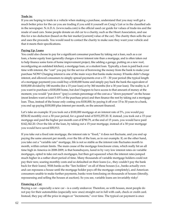## **Trade in:**

If you are hoping to trade in a vehicle when making a purchase, understand that you may well get a much better price for the car you are trading if you sold it yourself on Craig's List or in the classified ads in the newspaper. N.A.D.A. (www.nada.com) is the official used car guide for values of trade-ins and the resale of used cars. Some people donate an old car to a charity, such as the Heart Association, and use this for a tax deduction (based on the fair market [current] value of the car). The charity then sells the car and uses the proceeds. You would need to contact the charity to make sure they want your vehicle and that it meets their specifications.

## **Paying Up: Loans**

You could also choose to pay for a significant consumer purchase by taking out a loan, such as a car loan, a home equity loan (generally charges a lower interest rate than a mortgage, and is often taken out to help finance some form of home improvement project, like adding a garage, putting on a new roof, reconfiguring an outdated kitchen), a mortgage loan, or a student loan. Typically, a loan is paid back over time with interest, the "cost" you pay for the service of borrowing the money from the bank to make your purchase NOW! Charging interest is one of the main ways that banks make money. If banks didn't charge interest, and allowed consumers to simply spread payments over a 15 – 30 year period (the typical length of a mortgage payment) you could buy a \$100,000 home and simply pay back the bank the equivalent of \$100,000 divided by 180 months (for a 15 year loan) or by 360 months (for a 30 year loan). The reality is, if you want to purchase a \$100,000 home, but don't happen to have access to that amount of money at the moment, you would "put down" (pay) a certain percentage of the cost as a "down payment" on the house (most lenders want at least 3-10% of the purchase price) and then finance the rest by taking out a mortgage loan. Thus, instead of the house only costing you \$100,000, by paying it off over 15 to 30 years to a bank, you end up paying \$100,000 plus interest per month, on the amount financed.

Let's take an example: If you took out a \$100,000 mortgage at an interest rate of 5%, you would pay \$536.82 monthly over a 30-year period, for a grand total of \$193,255.20. If, instead, you took out a 15-year mortgage and paid the higher per-month cost of \$790.79, at the end of 15 years, you would have paid \$142,342.20. Over the life of the loan, by taking out a 15-year mortgage, instead of a 30-year mortgage you would have saved \$50,913.

If you take out a fixed rate mortgage, the interest rate is "fixed," it does not fluctuate, and you end up paying the same amount per month, over the life of the loan, as in our example. If, on the other hand, you take out a "variable rate" mortgage, life is not so stable as the interest rate fluctuates month to month, within certain limits. The main cause of the mortgage foreclosure crisis, which really hit an all time high in America in 2008-2009, is that homebuyers, lured in by very low interest rates on variable mortgages, opted to take out such mortgages, but then got squeezed when the interest rates jumped much higher in a rather short period of time. Many thousands of variable mortgage holders could not pay their new, soaring monthly costs and so defaulted on their loans (i.e., they couldn't pay the bank back for their loans). With banks as the "lien holders" on all of these houses (i.e., banks actually own and can repossess a house until the mortgage holder pays off the mortgage completely), and American consumers unable to make further payments, banks were foreclosing on thousands of houses (literally, repossessing and selling the houses at auction). So you see, variable loans are invariably risky!

# **Financing a Car:**

Buying a car – especially a new car – is a costly endeavor. Therefore, as with houses, most people do not pay for their automobiles (especially new ones) straight out in full with cash, check or credit card. Instead, they pay off the price in stages or "increments," over time. The typical car payment is once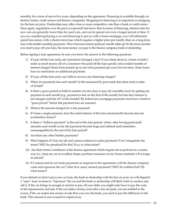monthly, for a term of one to five years, depending on the agreement. Financing is available through car dealers, banks, credit unions and finance companies. Shopping for financing is as important as shopping for the best car price. Dealerships may offer a less or more competitive rate than a bank or credit union. Once again, negotiation over the price is expected! Just know that in terms of financing, interest rates for new cars are generally lower than for used cars, and can be spread out over a longer period of time. If you are considering buying a car and financing it, just as with a home mortgage, you will ultimately spend less money with a shorter-term loan which requires a higher price per month, than on a long-term loan with smaller monthly payments. This is because interest paid per month adds up! So the more months you need to pay off your loan, the more money you pay to the finance company, bank or dealership.

Before signing a loan agreement, be sure you know the answer to the following questions:

- 1) If I pay off the loan early, am I penalized (charged a fee)? If you think about it, a bank wouldn't make as much money off of a consumer who paid off the loan quickly and avoided months of interest charges! Some loans permit up to one extra payment per year, but not more. Some loans have no restrictions on additional payments.
- 2) If I pay off the loan early, am I able to recover any financing charges?
- 3) When are payments due each month? Is this measured by post mark date (date sent) or date of receipt?
- 4) Is there a grace period (a built-in number of extra days to pay off a monthly loan) for getting my payment in each month (e.g., payment is due on the first of the month, but late fees/interest is not charged until the 16<sup>th</sup> of the month)? By federal law, mortgage payments must have a built-in "grace period" before late payment fees are assessed.
- 5) What is the amount charged for a late payment?
- 6) If I miss a single payment, does the entire balance of the loan automatically become due (an acceleration clause)?
- 7) Is there a "balloon payment" at the end of the loan period, where, after having paid small amounts each month so far, the payments become huge and inflated (and sometimes unmanageable) by the end of the loan period?
- 8) Are there any other hidden payments?
- 9) What happens if I lose my job and cannot continue to make payments? Can I renegotiate the terms? Will I be penalized for this? If so, to what extent?
- 10) Are there terms/conditions of the finance agreement which require me to perform in a certain way (i.e., keep my car in excellent shape; purchase insurance on my house; maintain a B average in school)?
- 11) If I cannot and do not make payments as required in the agreement, will the finance company come and repossess the car? After how many missed payments? Will I be notified first? By what means?

If you default on (don't pay) your car loan, the bank or dealership with the lien on your car will dispatch a "repo" man/woman to "repossess" the car and the bank or dealership will likely hold an auction and sell it. If the car brings in enough at auction to pay off your debt, you might only have to pay the costs of the repossession and sale. If the car makes money, even after costs are paid, you are entitled to the excess. If the car makes less money at sale than you owe the bank, you need to pay the difference to the bank. This amount is not excused or wiped away.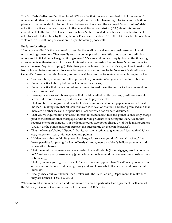The **Fair Debt Collection Practices Act** of 1978 was the first tool consumers had to hold repo-men/ women (and other debt collectors) to certain legal standards, implementing rules for acceptable time, place and manner of debt collection. If you believe you have been the victim of "unscrupulous" debt collection practices, you can complain to the Federal Trade Commission (FTC) about this. Recent amendments to the Fair Debt Collections Practices Act have created even harsher penalties for debt collectors who fail to abide by the regulations. For instance, section 813 of the FDCPA subjects collection violators to a \$1,000 fine per violation (i.e., per harassing phone call!).

## **Predatory Lending:**

"Predatory lending" is the term used to describe the lending practices some businesses employ with unsuspecting consumers. They usually focus in on people who have little or no access to credit, but who want big ticket items like gigantic big-screen TV's, cars and homes. They typically offer financing arrangements with extremely high rates of interest, sometimes using the purchaser's current home to secure the loan ("equity stripping"). This, then, puts the home in jeopardy! It's a great idea to seek advice from a lawyer before entering into a loan, but in any case, according to the New York State Attorney General's Consumer Frauds Division, you must watch out for the following, when entering into a loan:

- Lenders who guarantee they will approve a loan, no matter what your credit rating or history;
- Pressure tactics to hurry before the loan offer disappears;
- Pressure tactics that make you feel embarrassed to read the entire contract like you are doing something wrong!
- Loan applications with blank spaces that could be filled in after you sign, with undesirable terms – like more fees and penalties, less time to pay back, etc;
- That you have been given and have looked over and understood all papers necessary to seal the loan – making sure that all loan terms are identical to what you had been promised and that there are no other fees and/or penalties attached which hadn't been discussed;
- That you've inquired not only about interest rates, but about fees and points (a once-only charge paid to the bank or other mortgage lender for the privilege of securing the loan. A loan that requires one point charges1% of the loan amount. Two points charge 2% of the loan amount, etc. Usually, as the points on a loan increase, the interest rate on the loan decreases).
- That the loan isn't being "flipped" (that is, you aren't refinancing an unpaid loan with a higher cost, longer term loan, with new fees and points);
- Hidden terms that could bite you like charges for services you don't need ("packing" the loan), penalties for paying the loan off early ("prepayment penalties"), balloon payments and acceleration clauses;
- That the monthly payments you are agreeing to are affordable (for mortgages, less than or equal to 29% of your yearly gross salary [your salary before taxes and medical insurance costs, etc. are subtracted]);
- That if you are agreeing to a "variable" interest rate as opposed to a "fixed" one, you are aware of the amount the rate could change/vary and you know what affects when and how the rates fluctuate;
- Finally, check out your lender/loan broker with the State Banking Department, to make sure they are licensed (1-800-522-3330).

When in doubt about a particular lender or broker, or about a particular loan agreement itself, contact the Attorney General's Consumer Frauds Division at: 1-800-771-7755.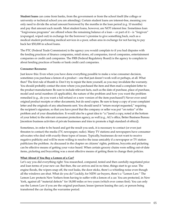**Student loans** can come from banks, from the government or from the school itself (the college or university or technical school you are attending). Certain student loans are interest-free, meaning you only need to divide the actual amount borrowed by the months in the loan period (e.g. 10 months) and pay that amount each month. Most student loans, however, are NOT interest free. Sometimes loan "forgiveness programs" are offered where the remaining balance of a loan -- or part of it – is "forgiven" (expunged, wiped out) in exchange for the borrower's promise to give something back, such as a medical student performing medical services in a poor, urban area in exchange for not having to pay back her \$50,000 in school loans.

The FTC (Federal Trade Commission) is the agency you would complain to if you had disputes with the lending practices of finance companies, retail stores, oil companies, travel companies, entertainment companies or credit card companies. The FRB (Federal Regulatory Board) is the agency to complain to about lending practices of banks or bank credit card companies.

## **Consumer Recourse:**

Just know this: Even when you have done everything possible to make a wise consumer decision, sometimes you purchase a lemon of a product – one that just doesn't work well or perhaps, at all. What then? The first rule of thumb is: Don't try to repair the item yourself, as you may invalidate the warranty. You should probably contact the store where you purchased the item and then mail a complaint letter to the product manufacturer. Be sure to include relevant facts, such as the date of purchase, place of purchase, model and serial numbers (if applicable), the nature of the problem and how you want the problem remedied (e.g., do you want a full refund or a new version of the item purchased?) Never ever send original product receipts or other documents, but do send copies. Be sure to keep a copy of your complaint letter and the originals of any attachments sent. You should send it "return receipt requested," requiring the recipient's signature, so that you have proof that the company or seller was put "on notice" of the problem and of your dissatisfaction. It would also be a great idea to "cc"(send a copy, noted at the bottom of your letter) to the relevant consumer protection agency, as well (e.g., AG's office, Better Business Bureau [monitors business activities of private businesses and tries to promote a high standard of ethics]).

Sometimes, in order to be heard and get the result you seek, it is necessary to contact (or even just threaten to contact) the media (TV, newspaper, radio). Many TV stations and newspapers have consumer advocates who deal with exactly these types of issues. Typically, businesses do not want to receive negative publicity and will be more willing to resolve the issue amicably if a newspaper or TV station publicizes the problem. As discussed in the chapter on citizens' rights, petitions, boycotts and picketing can be effective means of getting your voice heard. When certain grocery chains were selling out-of-date items, picketing and boycotting was a most effective means of getting them to change their policies.

# **What About if You Buy a Lemon of a Car?**

Let's say you did everything right: You researched, compared, tested and then carefully negotiated price and loan terms of your new car. But then, the car arrives and in no time, things start to go sour. The engine floods, the wipers snap off, the roof leaks, the door sticks, there's a whistling noise even though all the windows are shut. What do you do? Luckily, for NEW car buyers, there's a "Lemon Law." The Lemon Law protects New Yorkers from having to suffer with a lemon of a car. You are protected, in New York, against all "material defects" for 18,000 miles or two years (which ever comes first). You can only use the Lemon Law if you are the original purchaser, lessee (person leasing the car), or person being transferred the car during the warrantee period.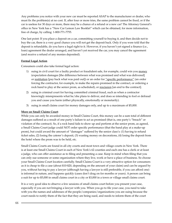Any problems you notice with your new car must be reported ASAP to the manufacturer or dealer, who must fix the problem(s) at no cost. If, after four or more tries, the same problem cannot be fixed, or if the car is useless for 30 days or more, there may be a chance of a refund or a new car! The Attorney General's office in New York has a "New Car Lemon Law Booklet" which can be obtained, for more information, free of charge, by calling: 1-800-771-7755.

One last point: If you place a deposit on a car, committing yourself to buying it, and then decide not to buy the car, there is a very good chance you will not get the deposit back. Only if you were told that the deposit is refundable, do you have a legal right to it. However, if you haven't yet signed a finance (i.e., loan) agreement the dealer arranged, and haven't yet received the car, you may cancel the agreement (and receive a refund of any monies deposited).

## **Formal Legal Action**

Consumers could also take formal legal action:

- 1) suing in civil court for a faulty product or fraudulent sale, for example, could win you money (expectation damages [the difference between what was promised and what was delivered] or restitution [pay back what was paid out]) or an order for "specific performance" (an order forcing the contractor, for example, to make the repairs promised in the contract, or ordering a rock band to play at the senior prom, as scheduled), or rescission [an end to the contract].
- 2) suing in criminal court for having committed criminal fraud, such as when a contractor knowingly misrepresents what he/she plans to deliver, and does so intending to fool or defraud you and cause you harm (either physically, emotionally or monetarily).
- 3) suing in small claims court for money damages only, and up to a maximum of \$5,000.

### **More on Small Claims Court**:

While you can only be awarded money in Small Claims Court, this money can be a sum total of different damages suffered as a result of one party's failure to act as promised (that is, one party's "breach" or violation of the contract). So, if a rock band fails to show up and perform at the senior prom, as agreed, a Small Claims Court judge could NOT order specific performance (that the band play at a make-up prom), but could award the amount of "damages" suffered by the senior class's: (1) having to refund ticket sales, (2) losing the caterer's deposit, (3) wasting money on decorations, (4) losing the deposit from the hotel where the prom was to be held, etc.

Small Claims Courts are found in all city courts and most town and village courts in New York. There is at least one Small Claims Court in each of New York's 62 counties and each one has a clerk or at least a judge, who can offer assistance as to filing and presenting a case. Keep in mind when filing that you can only sue someone or some organization where they live, work or have a place of business. So choose your Small Claims Court location carefully. Small Claims Court is a very attractive option for consumers as it is cheap to file a case (about \$10-\$20, depending on the amount of your claim) and can be argued by you, without having to pay a lawyer (although having a lawyer is still preferable, if you can afford one) is informal in nature, and happens quickly (cases don't drag on for months or years). A person can bring a suit for up to \$5,000 in small claims court in a city or \$3,000 in a town or village small claims court.

It is a very good idea to observe a few sessions of small claims court before you present your case, especially if you are not bringing a lawyer with you. When you go to file your case, you need to take with you the names and addresses of the people/companies/organizations you are suing because the court needs to notify them of the fact that they are being sued, and needs to inform them of the court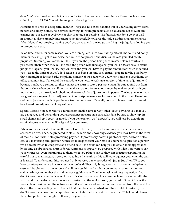date. You'll also need to be able to state on the form the reason you are suing and how much you are suing for, up to \$5,000. You will be assigned a hearing date.

Remember to dress in a respectful manner – no jeans, no boxers hanging out of your falling down jeans, no torn or skimpy clothes, no cleavage showing. It would probably also be advisable not to wear any earrings in your nose or eyebrows or chin or tongue, if possible. The fad fashions don't go over well in court. It is also extremely important to act respectfully towards the judge, addressing him or her as "Your Honor," not cursing, making good eye contact with the judge, thanking the judge for allowing you to present your case.

Be on time, and if, for some reason, you are running late (such as a traffic jam), call the court and notify them or they might get to your case, see you are not present, and dismiss the case you filed "with prejudice" (meaning you cannot re-file). If you are the person being sued in small claims court, and you are not there when they call the case, the person who filed against you will be awarded a "default judgment" against you (that is, they will win and you will have to pay the amount for which they sued you – up to the limit of \$5,000). So, because your being on time is so critical, prepare for the possibility that you might be late and take the phone number of the court with you when you leave your home or office that morning. If ahead of the court date, you need to seek an extension of time (an adjournment) because you have a serious conflict, contact the court to seek a postponement. Be sure to find out from the court clerk when you call if you can make a request for an adjournment by mail or email, or if you must show up on the original scheduled date to seek the adjournment in person. The judge may or may not grant your request for an adjournment, as postponements are inconvenient to the court. Therefore, seek an adjournment only if you have a truly serious need. Typically, in small claims court, parties will be allowed one adjournment request only.

Special Note: If you ever receive a notice from small claims (or any other) court advising you that you are being sued and demanding your appearance in court on a particular date, be sure to show up! In small claims and civil court, as noted, if you do not show up ("appear"), you will lose by default. In criminal court, a warrant will be issued for your arrest.

When your case is called in Small Claims Court, be ready to briefly summarize the situation in a sentence or two. Then, be prepared to state the facts and show any evidence you may have in the form of receipts, contracts, notes promising payment ("promissory notes"), photos, x-rays, doctor's notes, etc. You may bring and question witnesses to help present your case. If you need to question a person who does not wish to cooperate and attend court, the court can help you to obtain their appearance by issuing a subpoena (a court ordered summons to appear). Be prepared with what you want to ask your witnesses, even mentioning to them what you plan to ask so they can practice responding. Be careful not to manufacture a story or try to hide the truth, as this will work against you when the truth is learned. To understand this, you need only observe a few episodes of "Judge Judy" on TV to see how counter-productive it is to anger a judge by deliberately lying about a situation. A well-planned case will be obvious to the judge and will impress him or her that you are very serious about your claims. Always remember the trial lawyer's golden rule: Don't ever ask a witness a question if you don't know the answer he/she will give. It is simply too risky. For example, in our scenario with the rock band that neglected to show up and perform at the senior prom, you wouldn't want to ask the senior class president on the witness stand if she'd received any call or text or email from the band the day of the prom, alerting her to the fact that their bus had crashed and they couldn't perform, if you don't know the answer to that question. What if she had received just such a call? That could change the entire picture, and might well lose you your case.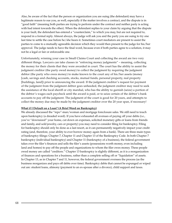Also, be aware of the fact that the person or organization you are suing (the defendant) may have a legitimate reason to sue you, as well, especially if the matter involves a contract, and the dispute is in "good faith" (meaning both parties are trying to perform under the contract and neither party is acting with bad intent towards the other). When the defendant replies to your claim by arguing that the dispute is your fault, the defendant has entered a "counterclaim," to which you may, but are not required to, respond in a formal reply. Almost always, the judge will ask you and the party you are suing to try one last time to settle the case before he/she hears it. Sometimes court mediators are present to assist the parties to come to a mutually agreeable decision which they would then present to the judge for his/her approval. The judge needs to have the final word, because even if both parties agree to a solution, it may not be a legal or fair or enforceable one.

Unfortunately, winning your case in Small Claims Court and collecting the award are two very different things. Lawyers can take classes in "enforcing money judgments" – meaning, collecting the money for their clients that they were awarded in court. The court has the ability to assist the judgment creditor (the party owed money) to collect the judgment by requiring the judgment debtor (the party who owes money) to make known to the court any of his/her assets (money [cash, savings and checking accounts, stocks, mutual funds, personal property, real property [buildings, land]) prior to announcing the award. If the judgment creditor's request for payment of the judgment from the judgment debtor goes unheeded, the judgment creditor may need to seek the assistance of the local sheriff or city marshal, who has the ability to garnish (seize) a portion of the debtor's wages each paycheck until the award is paid, or to seize certain of the debtor's bank accounts to pay off the judgment. The judgment of the court is good for 20 years, and attempts to collect the money due may be made by the judgment creditor over the 20 year span, if necessary!

#### **What if I Default on a Loan? (A Brief Word on Bankruptcy)**

We already discussed the "repo"-man/woman and mortgage foreclosure sales. We still need to touch upon bankruptcy (a dreaded word). If you have exhausted all avenues of paying off your debts (i.e., you've "downsized" your home, cut down on expenses, solicited monetary gifts or loans from friends and family, and sold jewelry, cars or property) you may need to consider filing for bankruptcy. Filing for bankruptcy should only be done as a last resort, as it can permanently negatively impact your credit rating (and, therefore, your ability to ever borrow money again from a bank). There are three main types of bankruptcy filings: Chapter 7, Chapter 11 and Chapter 13 of the Bankruptcy Code. In both Chapter 7 bankruptcy (individual bankruptcy) and Chapter 11 (bankruptcy of a business), the federal government takes over the filer's finances and sells the filer's assets (possessions worth money, even including land and homes) to pay off the people and organizations to whom the filer owes money. These people owed money are called "creditors." Chapter 13 bankruptcy is slightly different, as it is a reorganization of finances and operations for a business, rather than a complete selling off or "liquidation" of assets. In Chapter 13, as in Chapter 7 and 11, however, the federal government oversees the process (as the business reorganizes and pays off debts over time). Bankruptcy debts that cannot be expunged or wiped out are: student loans, alimony (payment to an ex-spouse after a divorce), child support and taxes.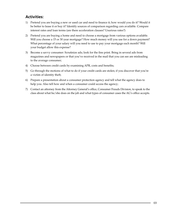# **Activities:**

- 1) Pretend you are buying a new or used car and need to finance it; how would you do it? Would it be better to lease it or buy it? Identify sources of comparison regarding cars available. Compare interest rates and loan terms (are there acceleration clauses? Usurious rates?)
- 2) Pretend you are buying a home and need to choose a mortgage from various options available. Will you choose a 15 or 30 year mortgage? How much money will you use for a down payment? What percentage of your salary will you need to use to pay your mortgage each month? Will your budget allow this expense?
- 3) Become a savvy consumer: Scrutinize ads; look for the fine print. Bring in several ads from magazines and newspapers or that you've received in the mail that you can see are misleading to the average consumer;
- 4) Choose between credit cards by examining APR, costs and benefits;
- 5) Go through the motions of what to do if your credit cards are stolen; if you discover that you're a victim of identity theft;
- 6) Prepare a presentation about a consumer protection agency and tell what the agency does to help you. Also tell how and when a consumer could access the agency;
- 7) Contact an attorney from the Attorney General's office, Consumer Frauds Division, to speak to the class about what he/she does on the job and what types of consumer cases the AG's office accepts.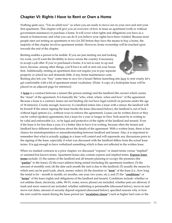# **Chapter VI: Rights I Have to Rent or Own a Home**

Nothing quite says, "I'm an adult now" as when you are ready to move out on your own and rent your first apartment. This chapter will give you an overview of how to lease an apartment (with or without government assistance) or purchase a home. It will cover what rights and obligations you have as a tenant or homeowner, and what you can do if you believe your rights have been violated. Because most people start out renting an apartment or two (or 20!) before they have the means to buy a home, the majority of this chapter involves apartment rentals. However, home ownership will be touched upon towards the end of the chapter.

Renting enables a person to be mobile. If you are just starting out and looking for work, you'll want the flexibility to move across the country if necessary, to accept a job offer. If you've purchased a home, it is not so easy to up and leave, because, among other things, you'll have to sell or rent out your house first. Additionally, renting an apartment does not require you to pay separate property or school tax and demands little, if any, home maintenance costs.



Renting also lets you "buy" some time to save for a house! Before launching into how to rent wisely, let's get comfortable with a bit of apartment rental vocabulary: [Note: A copy of a boilerplate lease will be placed on an adjacent page for reference]

A **lease** is a contract between a tenant (the person renting) and the landlord (the owner) which carries the "meat" of the agreement. It is basically the "who, what, where, when and how" of the agreement. Because a lease is a contract, leases are not binding (do not have legal control) on persons under the age of 18 (minors). Crazily enough, however, if a landlord enters into a lease with a minor, the landlord will be bound! If the minor signing the lease breaks the lease (discussed below), the landlord is out of luck – without legal options (i.e., without ways to enforce the agreement). Leases can be written down or they can be verbal (spoken) agreements, but a lease for a year or longer in New York must be in writing to be valid and enforceable (i.e., to be legal and protective of the rights of the landlord and tenant). Even if the lease is for less than a year, it's a better idea to have it in writing, because often the tenant and landlord have different recollections about the details of the agreement. With a written lease, there is less chance for misinterpretation or misunderstanding between landlord and tenant. Also, it is important to remember that what is actually written in a lease will control and will supersede any discussions prior to the signing of the lease, especially if what was discussed with the landlord differs from the actual lease terms. It is not enough to have verbalized something which is then not reflected in the written lease.

When we studied contracts in a prior chapter, we discussed "express" or stated terms versus "implied" or unstated but known terms. Apartment leases also contain express and implied terms. **Express lease terms** include: (1) the names of the landlord and all tenants planning to occupy the premises (the "**parties**" to the lease); (2) the exact address being rented (including the apartment number); (3) the amount of monthly rent; (4) the date each month the rent is due to the landlord; (5) usually the means by which rent can be paid (cash, check, money order); (6) the duration or "**term**" of the lease (i.e., how long the rental is for – month to month, six months, one year, two years, etc.); and (7) the "**conditions**" or "**terms**" of the lease (rights and obligations of the landlord and tenant). Conditions include: whether or not utilities (heat, electricity, cable, Wi-Fi, water, sewer, phone) are included, whether pets are allowed, if trash and snow removal are included, whether subletting is permissible (discussed below), move-in and move-out dates, amount of security deposit required (discussed below), specified reasons why or how the rent could be raised during the lease period (an "**escalation clause**") such as higher fuel costs or the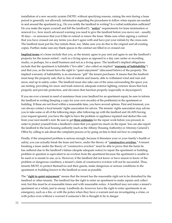installation of a new security system (NOTE: without specifying reasons, raising the rent during a lease period is generally not allowed), information regarding the procedures to follow when repairs are needed in and around the apartment (e.g., Do you notify the landlord in writing? Is a verbal notification sufficient? Do you make the repair yourself and bill the landlord?), "**notice**" requirements for lease termination or renewal (i.e., how much advanced warning you need to give the landlord before you move out – usually 30 days – or announce that you'd like to extend or renew the lease. Make sure when signing a contract that you have crossed out any terms you don't agree with and have put your initials by the cross-outs. The landlord must put his/her initials there, too. Make sure you do this to the original and all existing copies. Further, make sure any blank spaces in the contract are filled in or crossed out.

**Implied terms** of a lease include that you, as the tenant, agree to pay rent and agree to use the landlord's property for the reason rented – such as a living space as opposed to a day care center or recording studio, or perhaps, for a small business and not as a living space. The landlord's implied obligations include that the apartment is habitable ("live-able"; also called an implied "**warranty of habitability**") and that you, as the tenant have the right to "quiet enjoyment" (discussed below) of the property. The implied warranty of habitability is an enormous "gift" the tenant purchases. It means that the landlord must keep the property safe; that is, free of rodents and insects, able to withstand wind and rain and snow, and up to safety codes. The landlord must also take care of the areas surrounding the space you are renting, providing for snow and trash removal, adequate exterior lighting, exterior doors that lock properly and provide protection, and elevators that function properly (especially in skyscrapers!).

If you are ever a tenant in need of assistance from your landlord for an apartment repair, be sure to inform the landlord in writing (keeping a copy for your own records) of the problem(s) in the apartment or building. If these are not fixed within a reasonable time, you have several options. First and foremost, you can always contact a local tenants' rights association for advice. The tenants' rights association may advise you to take some or all of the following steps: after following-up with the landlord and AGAIN having your request ignored, you have the right to have the problem or appliance repaired and deduct the cost from your next month's rent. Be sure to get **three estimates** for the repair work before you proceed, in order to protect yourself from a landlord's claim that you spent too much on the repair. You can also report the landlord to the local housing authority (such as the Albany Housing Authority) or Attorney General's Office by calling to ask about the complaint process or by going on-line to find out how to complain.

Finally, if the unrepaired problem is serious enough, because it threatens your or your family's health or safety, you can actually break the lease and leave, under the theory of "**constructive eviction.**" A tenant breaking a lease under the theory of "constructive eviction" must be able to prove that the harm he has suffered due to the landlord's failure (despite adequate notice) to repair the apartment or building problem in question is equivalent to an eviction from the apartment because the apartment is unable to be used or is unsafe to use, as is. However, if the landlord did not know or have reason to know of the problem or dangerous condition, a tenant's claim of constructive eviction will not be successful. Thus, tenants MUST, to protect themselves and their guests, make dangerous or serious conditions in the apartment or building known to the landlord as soon as possible.

The "**right to quiet enjoyment**" means that the tenant has the reasonable right not to be disturbed by the landlord or other tenants. The landlord has the right to enter an apartment to make repairs and collect rent, but this must be at reasonable times and with reasonable notice. A landlord may not enter a tenant's apartment on a whim, just to snoop. Landlords do, however, have the right to enter apartments in an emergency, such as a fire, or with the police when they have a warrant and are investigating a crime, or with police even without a warrant if someone's life is thought to be in danger.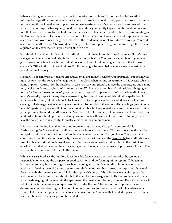When applying for a lease, you may expect to be asked for: a photo ID, biographical information, information regarding the source of your income (pay stubs are good proof), your social security number to run a credit check, addresses of previous homes/apartments you've rented, and references who can vouch for your responsible, (quiet!), good nature, and/or your ability to pay monthly rent on time and in full. If you are renting for the first time and lack a credit history and rental references, you might give the landlord the name of someone who can vouch for your "clean" living habits and responsible nature, such as an employer, coach, neighbor, relative or the resident advisor of your dorm in college. You could also ask the landlord if he/she would be willing to allow your parent or guardian to co-sign the lease as a guarantor, to cover the rent if you aren't able to do so.

You should know that it is illegal for a landlord to discriminate in renting based on an applicant's race, age, gender, ethnicity, sexual orientation or past criminal history. You can file a complaint if you have good reason to believe there is discrimination. Contact your local housing authority or the Attorney General's Office to find out how to do so. Public housing (discussed below) may screen against certain recent criminal history.

A **security deposit**, typically an amount equivalent to one month's rent of your apartment, but possibly as much as two months' rent, is often required by a landlord when renting an apartment. It is exactly what its name implies: "security" for the landlord, in case you (or your guests) damage the property, are late paying rent, or skip out before paying the last month's rent. While the law prohibits a landlord from charging a tenant for "**normal wear and tear**" (average, expected use) of an apartment, the landlord can dip into a tenant's security deposit for any damage exceeding the norm. Examples of this might be spelled out in your lease, but if not, might include: holes in walls, broken appliances, broken windows, cooking fires causing wall damage, leaks caused by overflowing tubs, mold or mildew on walls or ceilings (even in other tenants' apartments!) as a result of your overflowing tub, a broken-down door caused by police who raided your apartment for (and found) drugs, etc. Note that in this last scenario, if no drugs were found and your landlord feels you should pay for the door, you could contest this in small claims court. You might also take the police (and municipality) to small claims court for reimbursement.

It is worth mentioning here that more and more tenants are being charged a non-refundable "**redecorating fee**" before they are allowed to move in to an apartment. This fee is to allow the landlord to repaint and clean the apartment before the next tenant moves in, after you leave. There is a lot of controversy over this fee, as historically, the security deposit has been the refundable fee landlords have used for this very situation. Normal wear and tear has always been permitted, but in the past, if an apartment needed no new painting or cleaning after a tenant left, the security deposit was returned. This redecorating fee is never returned to the tenant.

While a lease is in place, the landlord is responsible for major repairs, and typically, the tenant is responsible for keeping the property in good condition and performing minor repairs. If the tenant harms the property by neglecting it – such as by going away and leaving the windows open one weekend, allowing torrential rains to pour through the windows that destroy the carpet and the wood floor beneath, the tenant is responsible for the repair. Of course, if the windows never shut properly, and the tenant had complained about this to the landlord who neglected to fix the problem, and that is why the damaging rains came into the apartment, the result could be very different. Each situation, each set of unique facts, requires a unique resolution under the law. The landlord must place your security deposit in an interest-bearing bank account and must return your security deposit, plus interest – or what is left of it after repairs are made to any "above-normal" damage that needed repairing -- within a specified time once the lease period has ended.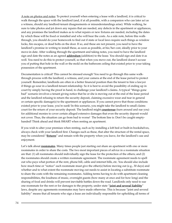A note on photos and notes: To protect yourself when entering a lease with a landlord, it is critical to walk through the space with the landlord (and, if at all possible, with a companion who can later act as a witness, should any landlord-tenant disagreements or misunderstandings arise). While walking, be sure to take photos and jot down any repairs that are needed, any defects in the apartment or appliances, and any promises the landlord makes as to what repairs or new fixtures are needed, including the dates by which these will be fixed or installed and who will bear the costs. As a side note, before this walkthrough, you should do your homework to find out if state or local laws require such things as window locks, fire escapes, or dead bolts on the door. If so, and these are not present, you need to have the landlord's promise in writing to install these, as soon as possible, at his/her cost, ideally prior to your move-in date. After walking through the apartment and taking notes, you need to have the landlord sign and date the notes as an agreed **addendum** (addition) to the lease. You should sign and date it as well. You need to do this to protect yourself, so that when you move out, the landlord doesn't accuse you of putting that hole in the wall or the mold on the bathroom ceiling that existed prior to your taking possession of the apartment.

Documentation is critical! This cannot be stressed enough! You need to go through this same walkthrough process with the landlord, a witness, and your camera at the end of the lease period to protect yourself. Remember, landlords are often in a better financial position than the tenant to hire a lawyer if things go sour in a landlord-tenant relationship. So it is best to avoid the possibility of ending up in court by simply having the proof in hand, to challenge your landlord's claims. A typical "things gone bad" scenario involves a tenant giving notice that he or she is moving out at the end of the lease period and the landlord refusing to return the security deposit, claiming excessive wear and tear in general or certain specific damage(s) to the apartment or appliances. If you cannot prove that those conditions existed prior to your lease, you're sunk! In this scenario, you might take the landlord to small claims court for the return of your security deposit. The landlord might **countersue** (turn around and sue you) for additional monies to cover certain alleged extensive damages that even the security deposit would not cover. Thus, the situation can go from bad to worse! The bottom line is: Don't be caught emptyhanded! Think ahead and think SMART when renting an apartment.

If you wish to alter your premises when renting, such as by installing a loft bed or built-in bookshelves, always check with your landlord first. Changes such as these, that alter the structure of the rental space, may be considered "**fixtures**" and remain with the property when you leave, for the landlord's use and enjoyment.

Let's talk about **roommates**. Many times people just starting out share an apartment with one or more roommates in order to share the costs. The two most important pieces of advice in a roommate situation are that: (1) all roommates should individually sign the lease for the protection of the others; and (2) the roommates should create a written roommate agreement. The roommate agreement needs to spell out who pays what portion of the rent, phone bill, cable and internet bills, etc. You should also include how much time or "notice" each roommate must give the other(s) before moving out (e.g., 30 days) and whether and to what extent the roommate moving out needs to assist in locating a substitute roommate to share the costs with the remaining roommates. Adding terms having to do with apartment cleaning responsibilities, the loudness of music, overnight guests (how many at once and for how long) and the sharing of food and drinks will prevent inevitable battles down the road. Landlords only need to sue one roommate for the rent or for damages to the property, under state "**joint and several liability**" laws, despite any agreements roommates may have made otherwise. This is because "joint and several liability" means that all tenants who sign a lease are individually responsible for upholding all terms of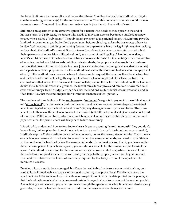the lease. So if one roommate splits, and leaves the other(s) "holding the bag," the landlord can legally sue the remaining roommate(s) for the entire amount due! Then this unlucky roommate would have to separately sue or "implead" the other roommates (legally join them to the landlord's suit).

**Subletting** an apartment is an attractive option for a tenant who needs to move prior to the end of his lease term. In a **sub-lease**, the tenant who needs to move, in essence, becomes a landlord to a new tenant, who is called a "sub-tenant." The sub-tenant pays rent to the original tenant, who, in turn, pays the landlord. A tenant must get the landlord's permission before subletting, unless the lease states otherwise. In New York, tenants in buildings containing four or more apartments have the legal right to sublet, as long as they obtain the landlord's consent. If such a tenant has a lease that states that tenants may not sublet their apartments, the provision is illegal and void, as a matter of public policy. A landlord may deny a tenant's sublet request, but the landlord must have a "reasonable basis" for the denial (such as: the number of tenants expected to sublet exceeds building code standards; the proposed sublet use is for a business purpose that does not comply with zoning laws [day care center, dog grooming business, dentist's office]; or the particular tenant proposed is one the landlord has dealt with before and had to sue for non-payment of rent). If the landlord has a reasonable basis to deny a sublet request, the tenant will not be able to sublet and the landlord would not be legally required to allow the tenant to get out of the lease contract. The circumstances that amount to a "reasonable basis" will depend on the facts of each situation. If the landlord denies the sublet on unreasonable grounds, the tenant can sublet anyway, and can even be awarded court costs and attorneys' fees if a judge later decides that the landlord's sublet denial was unreasonable and in "bad faith" (i.e., that the landlord just didn't want the tenant to sublet... period!).

The problem with subletting is, if the **sub lessee** (or "**subtenant**") neglects to pay rent to the original tenant (or "**prime tenant**"), or damages or destroys the apartment in some way and refuses to pay, the original tenant is obligated to pay the landlord and "cure" (fix) any damages caused by the sub lessee. The prime tenant could then take the subtenant to small claims court (if \$5,000 or less is at stake), or regular civil court (if more than \$5,000 is involved), which is a much bigger deal, requiring a sizeable filing fee and so much paperwork that the prime tenant will likely need to hire an attorney.

It is critical to understand how to **terminate a lease**. If you are renting "**month to month**" (i.e., you don't have a lease, but are planning to rent the apartment on a month to month basis, as long as you need it), landlords require 30 days written notice before you leave, unless the lease states otherwise. If you have a one or two year lease and do not wish to renew it when the lease period ends, you need to give 30 days written notice to the landlord before the lease period ends. If you break a lease, that is, you leave earlier than the lease period to which you agreed, you are still responsible for the remainder (the term) of the lease. The landlord can sue you for the amount of money he loses while the apartment is vacant, until the end of your original lease term, as well as any damage to the property above and beyond normal wear and tear. However, the landlord is actually required by law to try to re-rent the apartment to minimize his losses.

Breaking a lease is not to be encouraged, but if you do need to break a lease at some point (such as, you need to leave immediately to accept a job across the country), take precautions! The day you leave the apartment would be an incredibly crucial time to take photos of it, with the date printed on the photos, so that the landlord cannot claim that you caused certain damage that you know was not there when you left. Again, taking a witness with you when you walk through the apartment one last time would also be a very good idea, in case the landlord takes you to court over damages he or she claims you caused.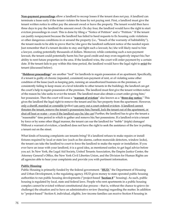**Non-payment proceedings** allow a landlord to recoup losses if the tenant does not pay. A landlord can terminate a lease early if the tenant violates the lease by not paying rent. First, a landlord must give the tenant written notice to either pay the amount owed or leave the property. The tenant would then have three days to pay the landlord the amount owed. On day four, the landlord would have the right to start eviction proceedings in court. This is done by filing a "Notice of Petition" and a "Petition." If the tenant can justify nonpayment because the landlord has failed to heed requests to fix housing code violations or other dangerous conditions in or around the property (i.e., "breach of the warranty of habitability"), the tenant needs to be able to prove that he/she gave the landlord sufficient notice of the needed repair. Just remember that if a tenant decides to stay and fight such a lawsuit, he/she will likely need to hire a lawyer, costing potentially thousands of dollars. Moreover, while contesting such a non-payment lawsuit, the tenant could potentially harm his/her good credit and may even negatively impact his/her ability to rent future properties in the area. If the landlord wins, the court will order payment by a certain date. If the tenant fails to pay within this time period, the landlord would have the legal right to **evict** the tenant (discussed below).

"**Holdover proceedings**" are another "tool" for landlords to regain possession of an apartment. Specifically, if a tenant is guilty of chronic (repeated, consistent) non-payment of rent, or of violating some other condition of the lease (such as keeping pets, running an unauthorized business on the premises, or consistently failing to keep music at a level tolerable to other tenants in the building), the landlord can get the court's help to regain possession of the premises. The landlord must first give the tenant written notice of the reason he/she seeks to evict the tenant. The landlord must also obtain a court order giving him/ her possession. Then the court will issue a "**warrant of eviction**" also known as a "**three-day notice.**" This gives the landlord the legal right to remove the tenant and his/her property from the apartment. However, only a sheriff, marshal or constable (police) can carry out a court ordered eviction. A landlord cannot threaten the tenant, remove the tenant's possessions him/herself, lock the tenant out of the apartment, or shut off heat or water – even if the landlord says he/she can! Further, the landlord has to give the tenant a "reasonable" time period in which to gather and remove his/her possessions. If a landlord evicts a tenant by force or by some other illegal manner, the tenant can sue the landlord for "treble" (triple) damages! Without a warrant of eviction, a landlord does not have the right to seek the assistance of the law in putting a tenant out on the street.

What kinds of housing complaints can tenants bring? If a landlord refuses to make repairs or install fixtures required by local or state law (such as fire alarms, carbon monoxide detectors, window locks), the tenant can take the landlord to court to force the landlord to make the repair or installation. If you ever have an issue with your landlord, it is a good idea, as mentioned earlier, to get legal advice before you act. In New York, the Legal Aid Society, United Tenants Association, the Empire Justice Center, the Attorney General's Office, the New York Civil Liberties Union, and the Division for Human Rights are all agencies able to hear your complaints and provide you with pertinent information.

### **Public Housing**:

Public Housing is primarily funded by the federal government. "**HUD,**" the Department of Housing and Urban Development, is the regulating agency. HUD gives money to state operated public housing authorities to run public housing developments ("project-based '**Section 8**'" housing). As such, public housing is regulated by local, state and federal laws. People who rent apartments in a public housing complex cannot be evicted without constitutional due process – that is, without the chance to grieve (to challenge) the situation and to have an administrative review (hearing) regarding the matter. In addition to "project-based" Section 8, individual, eligible, low-income families can receive Section 8 housing in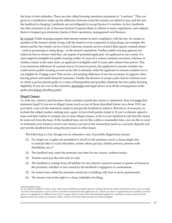the form of rent subsidies. These are also called housing assistance payments or "vouchers." They are given to a landlord to make up the difference between what the tenants can afford to pay and the rent the landlord is charging. Landlords are not obligated to accept Section 8 vouchers. In fact, landlords are often reluctant to do so because Section 8 requires them to adhere to many regulations, and subjects them to frequent governmental checks of their operations, management and finances.

Be warned: Public housing requires that tenants remain in strict compliance with the law. If a tenant or member of the tenant's family living with the tenant is even suspected of using drugs, for example, the tenant and his/her family can be evicted. Likewise, tenants can be evicted if their guests commit crimes – such as possessing or using drugs – in the tenant's apartment. Further, public housing agencies are relatively free to choose what they can require of potential applicants. An applicant in one county of a state might be ineligible for public housing within 10 years of a violent criminal conviction, whereas, in another county in the same state, an applicant is ineligible until 10 years after release from prison. This is an enormous difference! If a person serves 10 years in prison, the applicant in scenario number one could receive public housing as soon as he/she is released, while the applicant in scenario number two is not eligible for 10 more years! This can be a devastating difference if one has no means of support when leaving prison and needs financial assistance. Finally, the decision to accept a plea deal in criminal court in which a person pleads guilty to a crime will jeopardize and possibly eliminate his/her public housing eligibility. If you are ever in this situation, absolutely seek legal advice as to all the consequences of the guilty plea before pleading guilty!

### **Illegal Clauses**:

As with any contract, just because a lease contains a particular clause or statement, does not make that statement legal! If you see an illegal clause (such as one of those described below) on a lease YOU are provided, cross out the statement, initial it and get the landlord to initial it. Rewrite it, if necessary, to include the subject matter, making sure, again, to have both parties initial it. If you've already signed a lease and later realize it contains one or more illegal clauses, write to your landlord to ask that the clause be removed from the lease. If the landlord does not do this within a reasonable time, you can file in court to terminate your tenancy, receive any money you lost in the transaction (such as a security deposit) and prevent the landlord from using the provision in other leases.

The following is a list, though not an exhaustive one, of possible illegal lease clauses:

- (1) No single-sex couples are permitted to dwell on the premises (such a clause might also or instead refer to racial minorities, certain ethnic groups, elderly persons, persons with disabilities, etc.);<sup>14</sup>
- (2) The landlord may enter the premises any time for any reason, without notice;
- (3) Tenants must pay the rent only in cash;
- (4) The landlord is exempt from all liability for any injuries caused to tenant or guests of tenant on the premises, whether or not caused by the landlord's negligence or carelessness;
- (5) No tenant may sublet the premises rented (in a building with four or more apartments);
- (6) The tenant waives the right to a clean, habitable dwelling;

<sup>14.</sup> It would be unlikely to find a lease with such prohibitions actually stated in writing. However, renters should be aware of more subtle "de facto" discrimination, such as when a landlord consistently tells applicants of a certain race that no apartments are available, but then rents to an applicant of a different race. If you suspect that you have been discriminated against by a landlord, contact your local civil liberties union, the Attorney General's Office, and the New York State Division for Human Rights.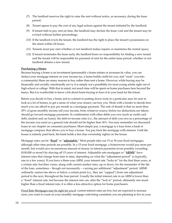- (7) The landlord reserves the right to raise the rent without notice, as necessary, during the lease period;
- (8) Tenant agrees to pay the cost of any legal actions against the tenant initiated by the landlord;
- (9) If tenant fails to pay rent on time, the landlord may declare the lease void and the tenant may be evicted without further proceedings;
- (10) If the landlord evicts the tenant, the landlord has the right to place the tenant's possessions on the street within 24 hours;
- (11) Tenants must pay rent whether or not landlord makes repairs or maintains the rented space;
- (12) If tenant terminates the lease early, the landlord bears no responsibility for finding a new tenant and the tenant will be responsible for payment of rent for the entire lease period, whether or not landlord obtains a new tenant.

#### **Purchasing a Home**:

Because buying a home is an investment (presumably a home retains or increases its value, you can deduct your mortgage interest on your income tax, a home builds credit for you, and "roots" you into a community) there are many reasons to buy rather than rent a home. However, while buying may be financially and socially/emotionally savvy, it is simply not a possibility for most young adults right out of high school or college. With that in mind, not much time will be spent on home purchases here beyond the basics. But it is worthwhile to know a bit about home buying to have it in your head for the future.

Before you decide to buy a home and to commit to putting down roots in a particular area, be sure to look at a lot of homes, to get a sense of what your money can buy you. Work with a lender to decide how much you can afford to pay per month as a mortgage payment. The rule of thumb is that no more than 29% of gross monthly income (all your income, from whatever source, before tax deductions are taken) should go toward mortgage payments. In combination with other debts you owe (such as credit card debt, student and car loans), the debt-to-income ratio (i.e., the amount of debt you owe as a percentage of the income you earn) as a general rule should not be higher than 36%. You may remember we discussed loans in our chapter on consumer purchases. Most simply put, a mortgage is a loan from a bank or mortgage company that allows you to buy a house. You pay back the mortgage with interest. Until the house is entirely paid back, the bank holds a lien (has ownership rights) on the house.

Mortgage rates can be "**fixed**" or "**adjustable.**" Most people take out 15 or 30 year fixed mortgages, although other time periods are possible. In a 15-year fixed mortgage, a homeowner would pay more per month, but would save an enormous amount of money in interest payments (even possibly exceeding \$100,000 or more!) by shaving off 15 years of interest. Adjustable rate mortgages or "**ARMS**" have interest rates that change from time to time, depending on what the "adjustment period" is (typically, one to a few years). If you have a three-year ARM, your interest rate "locks in" for the first three years, at a certain rate, but then varies, along with current market rates, up or down, for the remainder of the life of the loan, sometimes – though not necessarily -- varying per additional "adjustment" period. ARMS ordinarily cannot rise above or below a certain point (i.e., they are "capped") from one adjustment period to the next, throughout the loan period. Usually the initial interest rate in an ARM is lower than a "fixed" interest rate, but because the interest rate can, after the "lock in" period, ultimately rise much higher than a fixed interest rate, it is often a less attractive option for home purchasers.

Fixed Rate Mortgages may be right for you if: current interest rates are low, but are expected to increase soon; you want to count on your monthly mortgage costs being consistent; you are planning to live in your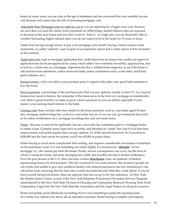home for many years; you are close to the age of retirement and are concerned that your monthly income will decrease and cannot take the risk of increasing mortgage costs.

Adjustable Rate Mortgages may be right for you if: you are applying for a bigger loan; your finances are such that you need the initial, lower payments an ARM brings; market interest rates are expected to decrease in the near future and you don't want to "lock in" at a high rate; you are financially able to weather fluctuating, higher interest rates; you do not expect to be in the home for 10 years or more.

Aside from having enough money to pay your mortgage each month, buying a home requires some immediate, so-called "upfront" costs: [copies of an inspection report and a radon report will be included in this section]

Application fees: such as mortgage application fees, credit report fees (to assess your credit), pre-approval application fees (to be pre-approved for a loan, which sellers view extremely favorably), appraisal fees, fees to lock-in a certain rate on a mortgage, inspection fees (by a certified home inspector, to see if the home is safe and free from infestation, carbon monoxide leaks, radon, foundation cracks, water leaks, mold lead paint, asbestos, etc.);

Earnest money: what you add to your purchase price to signal to the seller your good faith intention to buy the home;

Down payment: a percentage of the purchase price that you pay upfront, usually at least 3%. As a typical homeowner needs to borrow the remainder of the home price in the form of a mortgage at considerable cost, there is great incentive to make as great a down payment as you can afford, especially if your money is not earning much interest in the bank;

Closing costs: these include other fees related to the home purchase, such as: real estate agent/broker fees, mortgage underwriting fees, costs for a real estate lawyer, if you use one, governmental fees (such as for radon certification, etc.), mortgage recording fees, and real estate taxes;

Points: this may or may not be applicable, but are a once-only fee, sometimes paid to a mortgage lender to obtain a loan. Certainly many loans have no points, and therefore no "point" fees, but if your loan does require points, each point requires that you pay, upfront, 1% of the amount borrowed. So if you borrow \$100,000 and the loan carries two points, you'll owe \$2,000 in points alone.

Home buying is much more complicated than renting, and requires considerable seriousness of intention on the purchaser's part. It is not something one enters lightly. If a homeowner "**defaults**" on her mortgage (i.e., she cannot pay back the lender/bank), serious consequences can occur, not the least of which is losing her home, seriously damaging her credit, and possibly, having to declare bankruptcy. Over the past decade in the U.S., there has been a home **foreclosure** crisis, an epidemic of lenders repossessing homes for non-payment. This has occurred for two main reasons: the recession (people are out of jobs and unable to pay) and unethical lenders who enticed purchasers into low introductory rate, sub-prime loans, knowing that the loan rates would skyrocket beyond what they could afford. If you do find yourself facing foreclosure, there are agencies that one can go to for free assistance. In New York, the Empire Justice Center, as part of the New York Subprime Foreclosure Prevention Services Program, administered by the New York State Division of Housing and Community Renewal/Housing Trust Fund Corporation; Legal Aid; the New York State Bar Association and the Legal Project are all good resources.

Home ownership can be fabulously rewarding, but it is not something to jump into spontaneously, on a whim. It is critical to be, above all, an educated consumer. Home-buying is complex and requires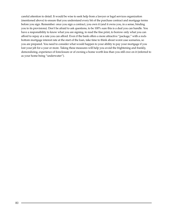careful attention to detail. It would be wise to seek help from a lawyer or legal services organization (mentioned above) to ensure that you understand every bit of the purchase contract and mortgage terms before you sign. Remember: once you sign a contract, you own it (and it owns you, in a sense, binding you to its provisions). Don't be afraid to ask questions, to be 100% sure this is a deal you can handle. You have a responsibility to know what you are signing, to read the fine print, to borrow only what you can afford to repay at a rate you can afford. Even if the bank offers a more attractive "package," with a rockbottom mortgage interest rate at the start of the loan, take time to think about worst case scenarios, so you are prepared. You need to consider what would happen to your ability to pay your mortgage if you lost your job for a year or more. Taking these measures will help you avoid the frightening and frankly, demoralizing, experience of foreclosure or of owning a home worth less than you still owe on it (referred to as your home being "underwater").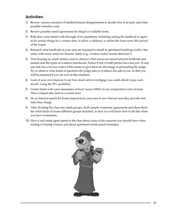## **Activities:**

- 1) Review various scenarios of landlord-tenant disagreements to decide who is at fault, and what possible remedies exist.
- 2) Review possible rental agreements for illegal or voidable terms.
- 3) Role play a pre-rental walk-through of an apartment, including asking the landlord to agree: to fix certain things by a certain date, to allow a sublease, to define the lease term (the period of the lease).
- 4) Research what landlords in your area are required to install in apartment buildings (with a few units; with many units) for tenants' safety (e.g., window locks? smoke detectors?).
- 5) Visit housing (or small claims) court to observe what issues are raised between landlords and tenants and the types of evidence introduced. Notice if one or both parties have lawyers. If only one side has a lawyer, notice if this seems to give them an advantage in persuading the judge. Try to observe what kinds of questions the judge asks or evidence she asks to see, so that you will be prepared if you are ever in this situation.
- 6) Look at your own finances to see how much rent or mortgage you could afford to pay each month, using the 29% guideline.
- 7) Create charts with your classmates of fixed versus ARM's to see comparative costs of loans. Then compare this chart to a rental chart.
- 8) Do an Internet search for home inspectors in your area to see what services they provide and rates they charge.
- 9) After dividing the class into small groups, draft sample roommate agreements and share them. See what kinds of issues different groups included, so that you will know how to do this when you have roommates.
- 10) Have a real estate agent speak to the class about some of the concerns you should have when renting or buying a home, and about apartment rental search strategies.

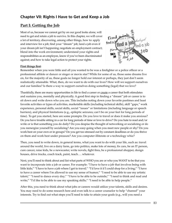## **Chapter VII: Rights I Have to Get and Keep a Job**

# **Part I: Getting the Job**

Most of us, because we cannot get by on our good looks alone, will need to get and retain a job to survive. In this chapter, we will cover a lot of territory, discovering, among other things, how to: apply and interview for a job; find your "dream" job; land a job even if your dream job isn't happening; negotiate an employment contract; blend into the work environment; understand your rights and responsibilities as an employee, know if you've been discriminated against; and how to take legal action to protect your rights.



## **First things first:**

Remember when you were little and all you wanted to be was a firefighter or a police officer or a professional athlete or dancer or singer or movie star? While for some of us, those same dreams live on, for the majority of us, these goals no longer hold our interest or perhaps, they just don't seem realistically attainable. What, then, do we want to do with our lives? How will we support ourselves and our families? Is there a way to support ourselves doing something (legal) that we love?

Thankfully, there are many opportunities in life to find a career or create a career that both stimulates and sustains you, mentally and physically. A good first step in finding a "dream" job or career is to sit down and write down who you are. This includes noting down your favorite pastimes and least favorite activities or types of activities, marketable skills (including technical skills), skill "gaps," work experience, personal skills, social skills, social "issues" or limitations (including language or speech barriers), and physical limitations (e.g., epileptic seizures; can't be on your feet for long periods of time). To get you started, here are some prompts: Do you love to travel or does it make you anxious? Do you have trouble sitting in a car for long periods of time or love to drive? Do you hate to read and/or write or is that something you do daily? Do you despise the thought of networking or socializing or do you reenergize yourself by socializing? Are you easy-going when you meet new people or shy? Do you work best on your own or in groups? Do you get too stressed out by constant deadlines or do you thrive on them and work best under pressure? Are you computer illiterate or a technology whiz?

Then, you need to write down, in general terms, what you want to do with your life, such as: travel around the world, live on a dairy farm, go into politics, make lots of money, fix cars, be an IT person, cure cancer, raise kids, be a newscaster, write novels, fight fires, be a professional shopper, design houses, drive trucks, coach track, paint, teach…. whatever.

Next, you'll need to think about and list what parts of WHO you are or who you WANT to be that you want to incorporate into a job or career. For example: "I have to have a job that involves being with little kids;" "I have to have a job where I get to travel;" "I'd love it if I could shop for a living;" "I have to have a career where I'm allowed to use my sense of humor;" "I need to be able to use my artistic talent;" "I need to dance every day;" "I have to be able to be outside;" "I need to think and read and write;" "I'd like to be able to use my speaking skills;" "I need to be able to help people."

After this, you need to think about what jobs or careers would utilize your talents, skills and desires. You may need to do some research here and even talk to a career counselor to help "channel" your interests. Try to find out what steps you'll need to take to attain your goals (e.g., will you need a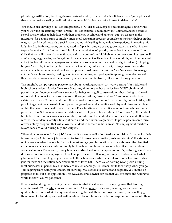plumbing certification, teaching degree post-college? go to medical school? law school? get a physical therapy degree? a welding certification? a commercial fishing license? a license to drive trucks?)

You should also develop a "B" list, and probably a "C" list as well, of jobs you can imagine doing, while you're working on attaining your "dream" job. For instance, you might want, ultimately, to be a middle school social worker, to help kids with their problems at school and at home, but you'd settle, in the meantime, for being a camp counselor, afterschool recreation program counselor or mother's helper. In this way, you could work towards a social work degree while still gaining valuable experience interacting with kids. Frankly, in this economy, you may need to flip a few burgers or bag groceries, if that's what it takes to pay the rent and put food on the table. No matter what job(s) you do, remember that you are utilizing skills that you will always have with you, and that you can later highlight on your ever-growing resume. If you're bagging groceries, you're gaining time management skills, efficient packing skills, and interpersonal skills (dealing with other employees and customers, some of whom can be downright difficult!). Flipping burgers? You might not be gaining grocery packing skills, but you can cook, in large quantities, under considerable time pressure and deal with unpleasant customers. Babysitting? You've learned to manage children's wants and needs, feeding, clothing, entertaining, and perhaps disciplining them, dealing with their moody behaviors (and diapers, runny noses, tears and tantrums) all without losing your cool.

This might be an appropriate place to talk about "working papers" or "work permits" for middle and high school students. Under New York State law, all minors -- those under 18 -- MUST obtain work permits or employment certificates (except for babysitters, golf course caddies, those doing yard work or household chores for persons or non-profit organizations, farm workers 16 and over, and school cafeteria workers). To get a work permit, you need to go to your school district or high school office, with proof of age, written consent of your parent or guardian, and a certificate of physical fitness (completed within the year from a health care provider). For a full-time work certificate, school records need to be presented, too. Schools can revoke a certificate of employment from a student "for cause" (if the student has failed four or more classes in a semester), considering: the student's overall academic and attendance records; the student's family's financial needs; and the student's agreement to participate in some form of work-study program that will allow the student to succeed in both areas. No employment certificate revocations are valid during July and August.

Where do you go to look for a job? It's not as if someone walks door to door, inquiring if anyone inside is in need of a job! Finding a job is a job unto itself! It takes determination, guts and stamina! For starters, online services advertise jobs by field of interest and geographic location. You can also read the classified ads in newspapers, check out community bulletin boards at libraries, town halls, coffee shops and even some restaurants. Periodically, local job fairs are advertised in newspapers and on TV, featuring sometimes dozens to hundreds of employers. These fairs provide an excellent opportunity to find out about what jobs are out there and to give your resume to those businesses which interest you. Some towns advertise jobs for teens at a recreation department office or town hall. There is also nothing wrong with visiting local businesses in person to ask if there are any job openings. Just remember to look sharp when you go – no sagging jeans with your underwear showing. Make good eye contact and be polite. You should be prepared to fill out a job application. This way, a business owner can see that you are eager and willing to work. In short, you've got game!

Finally, networking, networking, networking is what it's all about! The saying goes that landing a job is based 97% on who you know and only 3% on what you know (meaning your education, qualifications, and skills). It may sound sobering, but ask those employed around you how they got their current jobs. Many or most will mention a friend, family member or acquaintance who told them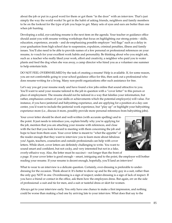about the job or put in a good word for them or got them "in the door" with an interview. That's just simply the way the world works! So get in the habit of asking friends, neighbors and family members to be on the lookout for the type of job you hope to get. Many sets of eyes and ears are better than one when job hunting.

Developing a solid, eye-catching resume is the next item on the agenda. Your teacher or guidance office should assist you with resume writing workshops that focus on highlighting our strong points – skills, education, experience, awards – and de-emphasizing possible employer "red flags" such as a delay in your graduation from high school due to suspension, expulsion, criminal penalties, illness and family issues. You'll also need to be able to provide names of a few personal or professional references on your resume, to vouch for your excellent work habits and personality. Be thinking about who you might ask, such as: a teacher who really liked your work, effort and creativity, a neighbor who paid you to water plants and feed the dog when she was away, a camp director who hired you as a volunteer one summer to help entertain kids.

DO NOT FEEL OVERWHELMED by the task of creating a resume! Help is available. If, for some reason, you are not comfortable going to your school guidance office for this, then seek out a professional who does resume-writing for a living. Many non-profit organizations offer such assistance for free.

Let's say you get your resume ready and have found a few jobs online that sound attractive to you. You'll want to send your resume tailored to the job in question with a "cover letter" to this person or place of employment. The resume should not be tailored in a way that falsifies your information, but rather, emphasizes certain of your skills or achievements which the potential employer(s) will value. For instance, if you have janitorial and babysitting experience, and are applying for a position at a day care center, you'd want to include the janitorial work experience, but "play up" or highlight your babysitting experience more (i.e., discuss it more, possibly provide more personal references from babysitting jobs).

Your cover letter should be short and well-written (with accurate spelling) and to the point. It just needs to introduce you, explain briefly why you're applying for the job, mention that you are attaching your resume with references, and close with the fact that you look forward to meeting with them concerning the job and hope to hear from them soon. Your cover letter is meant to "whet the appetite" of the reader enough that they want to interview you to learn more about fabulous you! Again, teachers, counselors and outside professionals can help with cover letters. While short, cover letters are definitely challenging to write. You want to sound smart and confident, but not cocky, and very interested but not in a fake, overly-effusive way. Also, the letter must be succinct – not longer than the front of



a page. If your cover letter is good enough – smart, intriguing and to the point, the employer will bother reading your resume. If your resume is decent enough, hopefully, you'll land an interview!

What to wear to an interview is a delicate question. Certainly, over-dressing is preferable to underdressing for the occasion. Think about it: It's better to show up and be the only guy in a suit, rather than the only guy NOT in one. Overdressing is a sign of respect; under-dressing is a sign of lack of respect. If you have a friend or contact in the office, ask them how the employees dress. But again, err on the side of professional: a suit and tie for men, and a suit or tasteful dress or skirt for women.

Always get to your interview early. You only have one chance to make a first impression, and nothing could be worse than making a bad one by arriving late to your interview. What does that say to the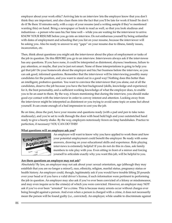employer about your work ethic? Arriving late to an interview lets the employer know that you don't think they are important, and also clues them into the fact that you'll be late for work if hired! So don't do it! Be there 10 minutes early, with a copy of your resume (and a writing sample if they've mentioned wanting this) on hand. Bring a newspaper or book to read as well, so that you look studious and industrious – a person who uses his/her time well -- while you are waiting for the interviewer to arrive. KNOW YOUR RESUME before you go into an interview. Do not embarrass yourself by being unfamiliar with dates of employment and schooling that you list on your resume, because the interviewer will be asking you. Also be ready to answer to any "gaps" on your resume due to illness, family issues, incarceration, etc.

Then, think about questions you might ask the interviewer about the place of employment or tasks of the job in question. Do this BEFORE you go to an interview. Interviewers always ask if the interviewee has any questions. If you have none, it could be interpreted as disinterest, shyness/meekness, failure to pay attention, or maybe, that you're just not smart. None of these interpretations is going to help you get that job! Do your homework about the employer and his/her business before the interview, so you can ask good, informed questions. Remember that the interviewer will be interviewing possibly many candidates for the position, and you want to stand out in a good way! Nothing does this better than an intelligent, probative question. You want to convince the interviewer that you alone, out of all the candidates, deserve the job because you have the best background (skills, knowledge and experience) for it, the best personality, and a sufficient working knowledge of what the employer does, to enable you to be an asset to them. By the way, it bears mentioning that during the interview, you should make good eye contact with the interviewer in order to convey interest and attention. Looking away from the interviewer might be interpreted as disinterest or you trying to avoid some topic or some fact about yourself. It can create enough of a bad impression to cost you the job.

Be on time, dress the part, have your resume and questions ready (with a pad and pen to take notes studiously), and you're set to walk through the door with head held high and your outstretched hand ready to give a hearty shake. By the way, employers notoriously frown on limp handshakes. Practice to perfection, if necessary! YOU CAN DO THIS!

## **What questions will an employer ask you?**



An employer will want to know why you have applied to work there and how your potential employment could benefit the employer. Be ready with some answers, drawing on your educational skills and experience. Role playing interviews is extremely helpful! If you do not do this in class, ask family members to role play with you. Even sitting in front of a mirror and forcing yourself to articulate exactly why you want this job, will be helpful to you.

### **Are there questions an employer may not ask?**

Absolutely! By law, an employer may not ask about your: sexual orientation, age (although they may establish that you are no longer a minor!), race, ethnicity, religion, marital status, pregnancy status or health history. An employer could, though, legitimately ask if you would have trouble lifting 20 pounds over your head or if you have a valid driver's license, if such information were pertinent to performing the job in question. An employer may also ask if you've ever been convicted of a felony or misdemeanor, and may even inquire as to the crime(s) of which you were convicted. However, an employer may NOT ask if you've ever been "arrested" for a crime. This is because many arrests occur without charges ever being brought against a person. And even when a person is charged with a crime, it does not necessarily mean the person will be found guilty (i.e., convicted). An employer, while unable to discriminate against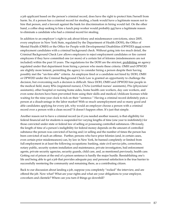a job applicant based on the person's criminal record, does have the right to protect him/herself from harm. So, if a person has a criminal record for stealing, a bank would have a legitimate reason not to hire that person, and a lawsuit against the bank for discrimination in hiring would fail. On the other hand, a coffee shop seeking to hire a lunch prep worker would probably not have a legitimate reason to eliminate a candidate who had a criminal record for stealing.

In addition to an employer's right to ask about felony and misdemeanor convictions, since 2005, every employer in New York State, regulated by the Department of Health (DOH), the Office of Mental Health (OMH) or the Office for People with Developmental Disabilities (OPWDD) must screen employment candidates with a criminal background check. Without going into too much detail, the Criminal Background Check Law allows employers to reject employment candidates or fire current employees if they have committed one (or more) of a certain list of felonies (misdemeanors are not included) within the past 10 years. The regulations for the DOH are the strictest, prohibiting an agency regulated under that department from hiring a person who meets these criteria. OMH and OPWDD are slightly more lenient, permitting the agency to consider hiring a person despite their having possibly met the "un-hire-able" criteria. An employee fired or a candidate not hired by DOH, OMH or OPWDD under the Criminal Background Check Law is granted an opportunity to challenge the decision, but overcoming such a decision is difficult. Since DOH, OMH and OPWDD hire people in the medical field, many RNs (registered nurses), CNAs (certified nurses' assistants), PAs (physicians' assistants), other hospital or nursing home aides, home health care workers, day care workers, and even some doctors have been prevented from using their skills and medical/childcare licenses while waiting for the nine-year clock to tick on their "sentence." Having a criminal record definitely puts a person at a disadvantage in the labor market! With so much unemployment and so many good and able candidates applying for every job, why would an employer choose a person with a criminal record over a person with a clean record? It doesn't happen often. It's just that simple.

Another reason not to have a criminal record (as if you needed another reason), is that eligibility for federal financial aid for students is suspended for varying lengths of time (one year to indefinitely) for those convicted under state or federal law of selling or possessing controlled substances. Obviously, the length of time of a person's ineligibility for federal money depends on the amount of controlled substance the person was convicted of having and/or selling and the number of times the person has been convicted of such an offense. Further, persons who have prior felonies (and, in certain cases, even certain prior misdemeanors) can, by law in New York, be banned completely or limited from full employment in at least the following occupations: banking, state civil service jobs, corrections, notary public, security system installation and maintenance, private investigators, bail enforcement agents, private security agencies, security guards, child care, and, as mentioned previously, health care. Getting out of prison at the end of a prison sentence is hardly the major hurdle. Reestablishing one's life and being able to get a job that provides adequate pay and personal satisfaction is the true barrier to successfully reentering the community and remaining there, as a contributing citizen.

Back to our discussion about landing a job, suppose you completely "rocked" the interview, and are offered the job. Now what? What are your rights and what are your obligations to your employer, coworkers and clientele? Where can you turn if things go downhill?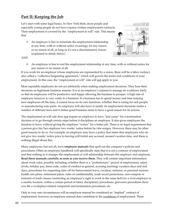# **Part II: Keeping the Job**

Let's start with some legal basics. In New York State, most people and especially young people do not have express written employment contracts. Their employment is covered by the "employment at will" rule. This means that

• An employer is free to terminate the employment relationship at any time, with or without notice (warning), for any reason or no reason at all, as long as it's not a discriminatory reason (explained in detail, below)



### AND

• An employee is free to end the employment relationship at any time, with or without notice for any reason or no reason at all.

If you work for an employer whose employees are represented by a union, there will be a labor contract, also called a "collective bargaining agreement," which will govern the terms and conditions of your employment. In this case, the "employment at will" rule will not apply to you.

Most reputable employers do not act arbitrarily when making employment decisions. They base their decisions on legitimate business reasons. It is in an employer's interest to manage its workforce fairly so that its employees will be productive and happy allowing the business to prosper. A high rate of employee turnover is very costly to a business. If a business has to spend money and time training new employees all the time, it cannot focus on its core functions, whether that is caring for sick people or manufacturing auto parts. An employer will also have to justify its employment decisions under a number of different laws and it makes good business sense to have a good reason for its actions.

The employment at-will rule does not require an employer to have "just cause" for a termination decision or to go through certain steps before it disciplines an employee. It also gives employees the freedom to leave without giving the employer "notice" for a better job. There is no legal requirement that a person give his/her employer two weeks' notice before he/she resigns. However, there may be other good reasons to do so. For example, an employer may have a policy that states that employees who do not give two weeks' notice prior to leaving will forfeit any accrued, unused vacation time, and there is nothing illegal about this.

Many employers, but not all, have **employee manuals** that spell out the company's policies and procedures. Often an employee handbook will specifically state that it is not a contract of employment and that nothing in it changes the employment at will relationship between the employer and employee. **Read these manuals carefully as soon as you receive them.** They will contain important information about work rules, possibly including; whether there is a "probationary" period of employment, salary levels, holiday pay, dress code, codes of conduct in general, accruing (earning) vacation days and sick days, procedures for requesting time off for bereavement leave, vacation, sickness, or personal reasons, health care plans, retirement plans, rules of confidentiality, trade secret protections, non-compete or restraint of trade clauses (restricting an employee's right to work in the same field for a rival employer in a nearby location, within a certain period of time), disciplinary procedures, grievance procedures (how you file a workplace-related complaint) and termination procedures, etc.

Only in very rare circumstances will an employee manual be considered an "implied" contract of employment, however, an employee manual does contribute to the conditions of employment. These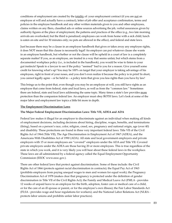conditions of employment are created by the totality of: your employment contract (if you are not an employee at will and actually have a contract), letter of job offer and acceptance confirmation, terms and policies in the employee handbook and any other written materials given to you and other employees, claims written on any fliers, classified ads or online sources advertising the job, verbal assurances given by authority figures at the place of employment, the patterns and practices of the office (e.g., two late morning arrivals are overlooked, but the third is penalized; employees can work from home with a sick child; lunch is eaten on-site and for 30 minutes only; no pets are allowed in the office), and federal and state laws.

Just because there may be a clause in an employee handbook that gives or takes away any employee rights, it does NOT mean that this clause is necessarily legal! An employer can put whatever clause she wants in an employee handbook, but whether or not the clause will be upheld in a court of law is a completely separate matter! If you, as an employee, are treated in a way that seems unfair, but which stems from a documented workplace policy (i.e., is included in the handbook), you would be wise to listen to your gut instincts! Speak to a lawyer to see if the policy "seemed" bad to you for a reason. Give yourself some credit for knowing what's up! You may be 100% on target that your employer is taking advantage of his employees, right in front of your noses, and you don't even realize it because the policy is in print! In short, you cannot legally agree – or be held to – a policy term that gives you less rights than you have by law!

This brings us to the point that, even though you may be an employee at will, you still have rights as an employee that come from federal, state and local laws, as well as from the "common law." Sometimes there are federal, state and local laws addressing the same topic. Many times a state's law provides more protection than the companion federal law. An employer must obey BOTH laws. Let's look at some of the major labor and employment law topics a little bit more in depth.

## **The Employment Discrimination Laws**

### **The Major Federal Employment Discrimination Laws: Title VII, ADEA and ADA**

Federal law makes it illegal for an employer to discriminate against an individual when making all kinds of employment decisions, including decisions about hiring, discipline, wages, benefits, and terminations (firing), based on a person's race, color, religion, creed, sex, pregnancy and national origin, age (over 40) and disability. These protections are found in three very important federal laws: Title VII of the Civil Rights Act of 1964 (Title VII), The Age Discrimination in Employment Act of 1967 (ADEA), and the Americans With Disabilities Act of 1990 (ADA). All state and local government employers and private employers with 15 or more employees are "covered" employers under the ADA and Title VII. Covered private employers under the ADEA are those having 20 or more employees. This is true regardless of the state in which you work, and it is very likely you will hear about these federal laws in the workplace. These laws are all administered by a federal agency called the Equal Employment Opportunity Commission (EEOC [www.eeoc.gov](http://www.eeoc.gov).).

There are other federal laws that protect against discrimination. Some of these include: the Civil Rights Act of 1866 (protects against racial discrimination in contracts); the Equal Pay Act of 1963 (prohibits employers from paying unequal wages to men and women for equal work); the Pregnancy Discrimination Act of 1978 (makes clear that pregnancy is protected under the definition of gender discrimination in Title VII of the Civil Rights Act); the Family and Medical Leave Act (FMLA - provides 12 weeks of unpaid leave to an employee for the birth, adoption, foster care or medical care of a child, or for the care of an ill spouse or parent, or for the employee's own illness); the Fair Labor Standards Act (FLSA - provides wage and hour regulations for workers); and the National Labor Relations Act (NLRA protects labor unions and prohibits unfair labor practices).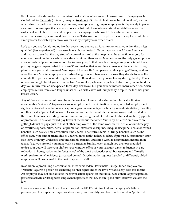Employment discrimination can be intentional, such as when an employee or group of employees is singled out for **disparate** (different, unequal) **treatment**. Or, discrimination can be unintentional, such as when, due to a particular policy or procedure, an employee or group of employees is disparately impacted as a result. For example, if a new work policy is that only those who can stand for eight hours can be cashiers, it would have a disparate impact on the employees who want to be cashiers, but who are in wheelchairs. An easy accommodation, which we'll discuss more in depth in the next chapter, would be to simply lower the cash register to allow for use by employees in wheelchairs.

Let's say you are female and notice that every time you are up for a promotion at your law firm, a less qualified (less experienced) male associate is chosen instead. Or perhaps you are African American and happen to see that the pay stub of a co-worker hired at the hospital at the same time as you, for equivalent work, reflects a salary considerably higher than yours. Maybe you are the only gay employee at a car dealership and return to your locker everyday to find new, lewd magazine photos taped there portraying gay couples. What if you are 55 and realize that every time someone at the manufacturing plant where you work is named "employee of the month," that person is 30 or younger? Imagine if you were the only Muslim employee at an advertising firm and two years in a row, they decide to have the annual office picnic at noon during the month of Ramadan, when you are fasting during the day. Think of how you might feel if you are one of two Asians at a particular department store and you are fired the day you return from an unexpected three-day sick leave, but you have witnessed many other, non-Asian employees return from even longer, unscheduled sick leaves without penalty, despite the fact that your boss is Asian.

Any of these situations could well be evidence of employment discrimination. Typically, it takes considerable "evidence" to prove a case of employment discrimination, where, as noted, employment rights are violated based on one's race, color, gender, age, religion, ethnicity, sexual orientation, disability, or other legally "protected" reason. Discrimination can be manifested in many ways, as illustrated in the examples above, including: unfair termination, assignment of undesirable shifts, demotion (opposite of promotion), denial of earned pay (even of the bonus that other "similarly situated" employees are getting), denial of pay equal to that of other employees of the same work status, denial of overtime pay or overtime opportunities, denial of promotion, excessive discipline, unequal discipline, denial of earned benefits (such as sick time or vacation time), denial or effective denial of fringe benefits (such as the office party you cannot attend due to your religious faith), failure to rehire if promised, termination after sick leave or injury, undesired and undesirable transfer, undesired work reassignments, intimidation tactics (e.g., you are told you must work a particular Sunday, even though you are not scheduled to do so, or you will lose your shift or your window office or your vacation days), reduction in pay, reduction in hours, reduction in "substance" of the work assigned, **sexual harassment** and "**hostile work environment**" evidence (discussed below). Discrimination against disabled or differently abled employees will be covered in the next chapter in detail.

In addition to prohibiting discrimination, these same federal laws make it illegal for an employer to "retaliate" against a person for exercising his/her rights under the laws. What exactly does this mean? An employer may not take adverse (negative) action against an individual who either: (a) participates in protected activity or (b) opposes employment practices that he/she in "good faith" believes violates the law.

Here are some examples. If you file a charge at the EEOC claiming that your employer's failure to promote you to a supervisor's job was based on your disability, you have participated in "protected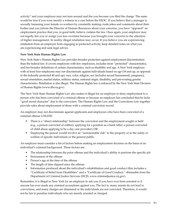activity" and your employer may not turn around and fire you because you filed the charge. The same would be true if you were merely a witness in a case before the EEOC. If you believe that a manager is sexually harassing your female co-workers by constantly making crude jokes and comments about their bodies and you inform the Director of Human Resources about your concerns, you have "opposed" an employment practice that you, in good faith, believe violates the law. Once again, your employer may not legally fire you or assign you less overtime because you brought your concerns to the attention of higher management. In reality, illegal retaliation may occur. If you believe you are experiencing retaliation from an employer from engaging in protected activity, keep detailed notes on what you are experiencing and seek legal advice.

## **New York State Human Rights Law**

New York State's Human Rights Law provides broader protection against employment discrimination than the federal law. It covers employers with few employees, includes more "protected" characteristics, and has broader definitions of certain characteristics, such as disability and age. A New York employer with at least four employees may not discriminate against individuals based on age (18 and up, as opposed to the federally protected 40 and up), race, color, religion, sex (includes sexual harassment), pregnancy, sexual orientation, marital status, military status, national origin, disability, and pre-existing genetic characteristics. Retaliation is also illegal. The Human Rights law is enforced by the New York State Division of Human Rights [\(www.dhr.ny.gov](http://www.dhr.ny.gov)).

The New York State Human Rights Law also makes it illegal for an employer to deny employment to a person who has been convicted of a criminal offense or because an employer has concluded that he lacks "good moral character" due to the conviction. The Human Rights Law and the Corrections Law together provide rules about employment of those with a criminal conviction record.

An employer may not discriminate against applicants and employees who have been convicted of a criminal offense UNLESS:

- There is a "direct relationship" between the conviction and the employment sought or held (e.g., a person convicted of robbery applying for a position as a bank teller; a person convicted of child abuse applying to be a day care provider); OR
- Employing the person would involve an "unreasonable risk" to the property or to the safety or welfare of specific individuals or the general public.

An employer must consider a list of factors before making an employment decision on the basis of an individual's criminal background. These factors are:

- The relationship between the prior offense and the individual's ability to perform the specific job
- Seriousness of the offense
- Person's age at the time of the offense
- The length of time elapsed since the offense
- Information produced about the individual's rehabilitation and good conduct (this includes a "Certificate of Relief from Disabilities" and a "Certificate of Good Conduct," obtainable from the Department of Criminal Justice Services (DCJS; [www.criminaljustice.ny.gov\)](http://www.criminaljustice.ny.gov/).

Remember, it is illegal in New York for an employer to ask you if you have ever been arrested or if anyone has ever made any criminal accusations against you. The fact is, many arrests do not lead to convictions, and many charges are dismissed or the individuals are not convicted. Therefore, it would not be fair to penalize individuals who are merely arrested or charged.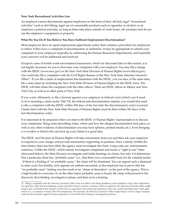### **New York Recreational Activities Law**

An employer cannot discriminate against employees on the basis of their off-duty legal "recreational activities" such as dirt biking, legal use of consumable products such as cigarettes or alcohol, or an employee's political activities, as long as these take place outside of work hours, off- premises and do not use the employer's equipment or property.

## **What Do You Do If You Believe You Have Suffered Employment Discrimination?**

Most employers have an equal employment opportunity policy that contains a procedure for employees to follow if they have a complaint of discrimination or retaliation. It may be appropriate to submit your complaint to your employer (typically, by addressing the Human Resources Department), and hopefully your concerns will be addressed and resolved.

Except in cases of hostile work environment harassment, which are discussed later in this section, it is not legally necessary for you to first raise your complaint with your employer. You may file a charge with the EEOC ([www.eeoc.gov](http://www.eeoc.gov/)) or the New York State Division of Human Rights [\(www.dhr.ny.gov](http://www.dhr.ny.gov/)). You could also file a complaint with the Civil Rights Bureau of the New York State Attorney General's Office<sup>15</sup>. If you file a claim of employment discrimination with the EEOC, you can also, at the same time, file a state claim by including the New York State Division of Human Rights on the EEOC form. The EEOC will then share the complaint with the other offices. There are EEOC offices in Albany and New York City, as well as in other parts of New York.

If you want, ultimately, to file a lawsuit against your employer in federal court (which you'd need to do if asserting a claim under Title VII, the federal anti-discrimination statute), you would first need to file a complaint with the EEOC within 300 days of the last date the discriminatory act(s) occurred. Claims filed with the New York State Division of Human Rights must be filed within 365 days of the last discriminatory act(s).

It is important to be prepared when you meet with EEOC or Human Rights' representatives to discuss your complaints. Bring notes describing when, where and how the alleged discrimination took place, as well as any other evidence of discrimination you may have (photos, printed emails, etc.). Even bringing a co-worker or friend who can back up your claims is a good idea.

The EEOC and Division of Human Rights will take information from you and then ask your employer to respond to your charge, and provide information supporting its position. Once a timely (within the time limits) claim has been filed, the agency must investigate the claim. Long waits are, unfortunately, notorious. Unlike the EEOC, which merely investigates complaints and issues a "right to sue" letter (discussed below), the State Division investigates and holds hearings on claims, but only if it determines that a particular claim has "probable cause" (i.e., that there was a reasonable basis for the claim[s] made) . If there is a finding of "no probable cause," the claim will be dismissed. You can appeal such a dismissal to state court, but frankly, such appeals are seldom successful, as the employee has to prove that the "no probable cause" finding was the result of an "abuse of discretion" on the part of the agency. This is a high hurdle to overcome. If, on the other hand, probable cause is found, the claim will proceed to the discovery (fact-finding, investigative) phase, and then on to a hearing.

<sup>15.</sup> Filing a complaint with the Attorney General's Office does not affect court filing deadlines or the deadlines of any other administrative agencies. After first investigating a claim and then trying to resolve a situation with an employer, the Attorney General's office might bring a case on behalf of the "people" of New York, as opposed to the individual employee, if the case could potentially have "wide application" (i.e., an impact on many New York employees). For example, the Attorney General's Office might bring a case if a huge company routinely discriminates against female employees in New York when hiring for managerial positions.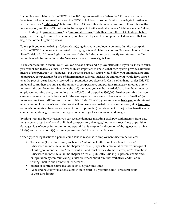If you file a complaint with the EEOC, it has 180 days to investigate. When the 180 days has run, you have two choices: you can either allow the EEOC to hold onto the complaint to investigate it further, or you can ask for a "**right to sue**" letter from the EEOC and file a claim in federal court. If you choose the former option, and the EEOC holds onto the complaint, it will eventually issue a "right to sue letter" along with a finding of "**probable cause**" or "**no probable cause.**" Whether or not the EEOC finds probable cause, once the right to sue letter is printed, you have 90 days to file a complaint in federal court that will begin the formal litigation process.

To recap, if you want to bring a federal claim(s) against your employer, you must first file a complaint with the EEOC. If you are not interested in bringing a federal claim(s), you can file a complaint with the State Division for Human Rights or, you could simply bring your case directly to state court to file a complaint of discrimination under New York State's Human Rights Law.

If you choose to file in federal court, you can also add state and city law claims (but if you file in state court, you cannot add federal claims). The reason this is important to know is that each system provides different means of compensation or "damages." For instance, state law claims would allow you unlimited amounts of monetary compensation for acts of discrimination suffered, such as the amount you would have earned over the past six years had you received that promotion you deserved. On the other hand, under Title VII, in federal court, there are limits to the amount of compensatory and punitive (monetary amounts purely to punish the employer for what he or she did) damages you can be awarded, based on the number of employees working there, but not less than \$50,000 and capped at \$300,000. Further, punitive damages can only be awarded in federal court if the employer can be shown to have acted with "malice" (evil intent) or "reckless indifference" to your rights. Under Title VII, you can receive **back pay**, with interest (compensation for amounts you didn't receive if you were terminated unjustly or demoted, etc.), **front pay** (amounts not received because you weren't hired or promoted), reinstatement to the job, lost benefits, other compensatory damages, punitive damages, and attorneys' fees, among other damages.

By filing with the State Division, you can receive damages including back pay, with interest, front pay, reinstatement, lost benefits and unlimited compensatory damages, but not attorneys' fees or punitive damages. It is of course important to understand that it is up to the discretion of the agency as to what kind(s) and what amount(s) of damages are awarded in any particular case.

Other types of legal actions a person could take in response to employment discrimination are:

- Tort claims (1-year time limit) such as for "intentional infliction of emotional distress" ([discussed in more detail in the chapter on torts]; purposeful emotional harm; requires proof of outrageous conduct –not "mere insults" –and must cause extreme distress) or "defamation" ([discussed in more detail in the chapter on torts]; publically "dis-ing" a person's name and/ or reputation by communicating a false statement about him/her verbally[slander] or in writing[libel] to one or more other persons);
- Breach of contract claims in state court (3-6 year time limit);
- Wage and hour law violation claims in state court (3-6 year time limit) or federal court (2-year time limit);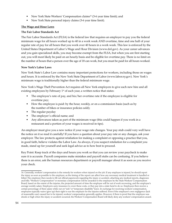- New York State Workers' Compensation claims<sup>16</sup> (3-6 year time limit); and
- New York State personal injury claims (3-6 year time limit).

#### **The Wage and Hour Laws**

#### **The Fair Labor Standards Act**

The Fair Labor Standards Act (FLSA) is the federal law that requires an employer to pay you the federal minimum wage for all hours worked up to 40 in a work week AND overtime, time and one half of your regular rate of pay for all hours that you work over 40 hours in a work week. This law is enforced by the United States Department of Labor's Wage and Hour Division ([www.dol.gov\)](http://www.dol.gov). As your career advances and you gain specialized skills, you may become exempt from the FLSA, but when you are first starting out, you will most likely be paid on an hourly basis and be eligible for overtime pay. There is no limit on the number of hours that a person over the age of 18 can work, but you must be paid for all hours worked.

### **New York's Labor Laws**

New York State's Labor Law contains many important protections for workers, including those on wages and hours. It is enforced by the New York State Department of Labor [\(www.labor.ny.gov](http://www.labor.ny.gov)). New York's minimum wage is traditionally higher than the federal minimum wage.

New York's Wage Theft Prevention Act requires all New York employers to give each new hire and all existing employees by February 1<sup>st</sup> of each year, a written notice that states:

- The employee's rate of pay, and his/her overtime rate if the employee is eligible for overtime pay;
- How the employee is paid: by the hour, weekly, or on a commission basis (such as by the number of bikes or insurance policies sold);
- The regular payday
- The employer's official name; and
- Any allowances taken as part of the minimum wage (this could happen if you work in a restaurant and a portion of your wages is received in tips).

An employer must give you a new notice if your wage rate changes. Your pay stub could very well have the notice on it so read it carefully! If you have a question about your pay rate or any changes, ask your employer. The law protects against retaliation for making a complaint or opposing a practice that you, in good faith, believe violates the Labor Law. As always, if you suspect retaliation for a complaint you made, stand up for yourself and seek legal advice as to how best to proceed.

Key Point: Keep track of the days and hours you work so that you can review your paycheck to make sure it is accurate. Payroll companies make mistakes and payroll stubs can be confusing. If you believe there is an error, ask the human resources department or payroll manager about it as soon as you receive your check.

<sup>16.</sup> Generally, workers' compensation is the remedy for workers when injured on the job. If any employee is injured, he should report the injury as soon as possible to the employer, as the timing of the report can affect how any necessary medical treatment is handled or billed. The employee then needs to fill out official paperwork regarding the injury or accident, attaching any medical reports, diagnoses and bills. "Workers' Compensation" or monetary compensation will be awarded to the employee by the State Workers' Compensation Board, based on the extent of the injuries, the projected amount of time the employee will be out of work recovering, and the employee's average weekly salary. Employers carry insurance to cover these costs, or they pay into a state fund to do so. Employees then receive a certain percentage of their salary while out on "sick" or "temporary disability" leave. In exchange for receiving workers' compensation, employees typically waive (give up) their right to sue the employer for the injuries suffered. Even if the employee's own negligence (lack of reasonable care) caused her to be injured, workers' compensation generally applies. However, if there is proof that the employee was drunk or high when the injury or accident occurred, the Workers' Compensation Board will likely deny any workers' compensation award.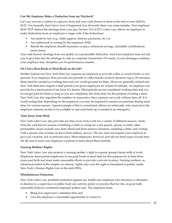## **Can My Employer Make a Deduction from my Paycheck?**

Let's say you are a cashier at a grocery store and your cash drawer is short at the end of your shift by \$3.21. You honestly don't know how it happened, but obviously there was some mistake. Your employer MAY NOT deduct the shortage from your pay. Section 193 of NY's Labor Law allows an employer to make deductions from an employee's wages only if the deductions:

- Are made by law (e.g., child support, alimony payments, etc.) or
- Are authorized in writing by the employee AND
- Benefit the employee (health insurance co-pays, retirement savings, charitable contributions, union dues).

Your cash drawer shortage does not qualify as a permissible deduction. And your employer may not ask you to give him/her the shortage in cash as a separate transaction. Of course, if your shortages continue, your employer may discipline you for performance reasons.

## **Do I Get a Rest Break or Meal Break on the Job?**

Neither federal nor New York State law requires an employer to provide coffee or snack breaks or rest periods. If an employer does provide rest periods or coffee breaks of short duration (up to 20 minutes), these must be counted as working time and you would get paid for them. However, generally, federal and New York State laws require a meal period to be given employees for at least 30 minutes. An employer can provide for a meal period of one hour if it desires. Meal periods are not considered working time and you do not get paid for them so long as you are completely free from duty for the purpose of eating a meal. New York Law also regulates the number of consecutive days a person can work without time off. It is worth noting that, depending on the employer, you may be required to remain on-premises during meal time, for various reasons. A good example of this is correctional officers at certain jails, who must eat in the employee cafeteria on-site, to be available in case extra back-up is needed in an emergency.

## **Time Away from Work**

New York Labor Law also provides for time away from work for a variety of different reasons. Aside from the well-known reasons of birthing a child or caring for a sick parent, spouse or child, other permissible causes include: jury duty, blood and bone marrow donation, adopting a child, and visiting with a spouse who is home on leave from military service. The law does not require your employer to give you vacation, sick or personal days. Most employers, however, provide for these types of paid time off. Be sure to read your employer's policies to learn about these benefits.

## **Nursing Mothers' Rights**

New York Labor Law also protects a nursing mother's right to express (pump) breast milk at work. Employers must permit employees to use paid break or meal time for this purpose for at least three years post birth and must make reasonable efforts to provide a private location. Nursing mothers, as referenced earlier in the chapter on citizens' rights, also won the right to breastfeed in public, under New York's Human Rights Law in the mid-1990s.

### **Whistleblower Protection**

New York Labor Law prohibits retaliation against any health care employee who discloses or threatens to disclose to a supervisor or public body any activity, policy or practice that he/she, in good faith, reasonably believes constitutes improper patient care. The employee must:

- Bring it to supervisor's attention first; and
- Give the employer a reasonable opportunity to correct it.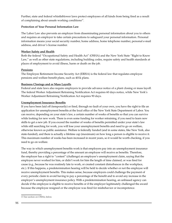Further, state and federal whistleblower laws protect employees of all kinds from being fired as a result of complaining about unsafe working conditions<sup>17</sup>.

## **Protection of Your Personal Information Law**

The Labor Law also prevents an employer from disseminating personal information about you to others and requires an employer to take certain precautions to safeguard your personal information. Personal information means your social security number, home address, home telephone number, personal e-mail address, and driver's license number.

## **Worker Safety and Health**

Both the federal "Occupational Safety and Health Act" (OSHA) and the New York State "Right to Know Law," as well as other state regulations, including building codes, require safety and health standards at places of employment to avoid illness, harm or death on the job.

## **Pensions**

The Employee Retirement Income Security Act (ERISA) is the federal law that regulates employee pensions and welfare benefit plans, such as 401k plans.

## **Business Closings and or Mass Layoffs**

Federal and state laws also require employers to provide advance notice of a plant closing or mass layoff. The federal Worker Adjustment Retraining Notification Act requires 60 days notice, while New York's Worker Adjustment Retraining Notification Act requires 90 days.

## **Unemployment Insurance Benefits**

If you have been laid off (temporarily) or fired, through no fault of your own, you have the right to file an application for unemployment benefits at the local office of the New York State Department of Labor. You can receive, depending on your state's law, a certain number of weeks of benefits so that you can survive while looking for new work. There is even some funding for worker retraining, if you need to learn new skills to get a new job. If you exceed the number of weeks of benefits permitted under your state's law while still searching for work, you will lose your unemployment benefits and need to go on welfare, otherwise known as public assistance. Welfare is federally funded (and in some states, like New York, also state-funded), and there is actually a lifetime cap (maximum) on how long a person is eligible to receive it. This maximum number of weeks has been increased in recent years, so it would be worth checking, if you need to go on welfare.

The way in which unemployment benefits work is that employers pay into an unemployment insurance fund, thereby providing a percentage of the amount an employee will receive as benefits. Therefore, the employer has a right to "contest" (challenge) an employee's unemployment claim, saying that the employee never worked for him, or didn't work for him the length of time claimed, or was fired for cause (e.g., because he was routinely late to work, or created constant disturbances in the workplace, etc.). If this happens, a predetermination hearing will be held to decide whether or not the employee will receive unemployment benefits. This makes sense, because employers could challenge the payment of every periodic claim to avoid having to pay a percentage of the benefit and to avoid any increase in the employer's unemployment insurance policy. With a predetermination hearing, an unbiased agency can decide if the employee is eligible to receive benefits or if the employer legitimately challenged the award because the employee resigned or the employee was fired for misbehavior or incompetence.

<sup>17.</sup>See section on OSHA, below.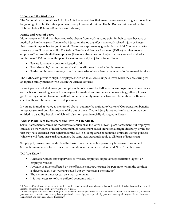## **Unions and the Workplace**

The National Labor Relations Act (NLRA) is the federal law that governs union organizing and collective bargaining. It prohibits unfair practices by employers and unions. The NLRA is administered by the National Labor Relations Board [\(www.nlrb.gov](http://www.nlrb.gov)).

### **Family and Medical Leave**

Many people will find that they need to be absent from work at some point in their careers because of medical or family reasons. You may be injured on the job or suffer a non-work related injury or illness that makes it impossible for you to work. You or your spouse may give birth to a child. You may have to take care of an ill parent or child. The federal Family and Medical Leave Act (FMLA) requires covered employers<sup>18</sup> to provide eligible employees (those who have been on the job for one year and worked a minimum of 1250 hours) with up to 12 weeks of unpaid, but job-protected<sup>19</sup>leave:

- To care for a newly born or adopted child
- To address his/her own serious health condition or that of a family member
- To deal with certain emergencies that may arise when a family member is in the Armed Services.

The FMLA also provides eligible employees with up to 26 weeks unpaid leave when they are caring for an injured family member who was in the Armed Services.

Even if you are not eligible or your employer is not covered by FMLA, your employer may have a policy or practice of providing leaves to employees for medical and/or personal reasons (e.g., all employees get three days unpaid leave for death of immediate family members, to attend funerals, etc.). Be sure to check with your human resources department.

If you are injured at work, as mentioned above, you may be entitled to Workers' Compensation benefits to replace some of your lost income while out of work. If your injury is not work-related, you may be entitled to disability benefits, which will also help you financially during your illness.

### **What is Work Place Harassment and How Do I Handle It?**

Sexual harassment receives the most news attention of all the forms of work place harassment, but employees can also be the victims of racial harassment, or harassment based on national origin, disability, or the fact that they have exercised their rights under the law (e.g., complained about unfair or unsafe worker policies). While we will focus on sexual harassment, the same legal standards apply to all forms of harassment.

Simply put, unwelcome conduct on the basis of sex that affects a person's job is sexual harassment. Sexual harassment is a form of sex discrimination and it violates federal and New York State law.

### **Did You Know?**

- A harasser can be any supervisor, co-worker, employer, employer representative (agent) or employer vendor
- A victim is anyone affected by the offensive conduct, not just the person to whom the conduct is directed (e.g., a co-worker stressed out by witnessing the conduct)
- The victim or harasser can be a man or woman
- It is not necessary to have suffered economic injury.

<sup>18. &</sup>quot;Covered" employers, as noted earlier in this chapter, refers to employers who are obligated to abide by this law because they have at least the minimum number of employees the law requires.

<sup>19.</sup> FMLA eligible employees have the right to be reinstated to their position or an equivalent one at the end of their leave. If you believe you have been reinstated to a non-equivalent position in terms of pay or responsibility, you need to complain to your Human Resources Department and seek legal advice, if necessary.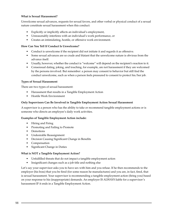#### **What is Sexual Harassment?**

Unwelcome sexual advances, requests for sexual favors, and other verbal or physical conduct of a sexual nature constitute sexual harassment when this conduct:

- Explicitly or implicitly affects an individual's employment,
- Unreasonably interferes with an individual's work performance, or
- Creates an intimidating, hostile, or offensive work environment.

### **How Can You Tell If Conduct Is Unwelcome?**

- Conduct is unwelcome if the recipient did not initiate it and regards it as offensive.
- Some sexual advances are so crude and blatant that the unwelcome nature is obvious from the advance itself.
- Usually, however, whether the conduct is "welcome" will depend on the recipient's reaction to it.
- Consensual dating, joking, and touching, for example, are not harassment if they are welcomed by the persons involved. But remember: a person may consent to behavior but still find the conduct unwelcome, such as when a person feels pressured to consent to protect his/her job.

### **Types of Sexual Harassment**

There are two types of sexual harassment:

- Harassment that results in a Tangible Employment Action
- Hostile Work Environment

#### **Only Supervisors Can Be Involved in Tangible Employment Action Sexual Harassment**

A supervisor is a person who has the ability to take or recommend tangible employment actions or is someone who directs an employee's daily work activities.

#### **Examples of Tangible Employment Action include:**

- Hiring and Firing
- Promoting and Failing to Promote
- Demotions
- Undesirable Reassignment
- Decision Causing Significant Change in Benefits
- Compensation
- Significant Change in Duties

### **What is NOT a Tangible Employment Action?**

- Unfulfilled threats that do not impact a tangible employment action
- Insignificant changes such as a job title and nothing else

Let's say your supervisor asks you to have sex with him and you refuse. If he then recommends to the employer (his boss) that you be fired (for some reason he manufactures) and you are, in fact, fired, that is sexual harassment. Your supervisor is recommending a tangible employment action (firing you) based on your response to his (inappropriate) demands. An employer IS ALWAYS liable for a supervisor's harassment IF it ends in a Tangible Employment Action.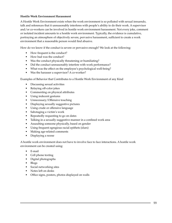### **Hostile Work Environment Harassment**

A Hostile Work Environment exists when the work environment is so polluted with sexual innuendo, talk and references that it unreasonably interferes with people's ability to do their work. A supervisor and/or co-workers can be involved in hostile work environment harassment. Not every joke, comment or isolated incident amounts to a hostile work environment. Typically, the evidence is cumulative, portraying an atmosphere of objectively severe, pervasive harassment, sufficient to create a work environment that a reasonable person would find abusive.

How do we know if the conduct is severe or pervasive enough? We look at the following:

- How frequent is the conduct?
- How bad was the conduct?
- Was the conduct physically threatening or humiliating?
- Did the conduct unreasonably interfere with work performance?
- What was the effect on the employee's psychological well-being?
- Was the harasser a supervisor? A co-worker?

Examples of Behavior that Contributes to a Hostile Work Environment of any Kind

- Discussing sexual activities
- Relaying off-color jokes
- Commenting on physical attributes
- Using indecent gestures
- Unnecessary/Offensive touching
- Displaying sexually suggestive pictures
- Using crude or offensive language
- Sabotaging a victim's work
- Repeatedly requesting to go on dates
- Talking in a sexually suggestive manner in a confined work area
- Assaulting someone physically, based on gender
- Using frequent egregious racial epithets (slurs)
- Making age-related comments
- Displaying a noose

A hostile work environment does not have to involve face to face interactions. A hostile work environment can be created using:

- E-mail
- Cell phone texting
- Digital photographs
- Blogs
- Social networking sites
- Notes left on desks
- Office signs, posters, photos displayed on walls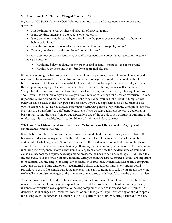## **You Should Avoid All Sexually Charged Conduct at Work**

If you are NOT SURE if any of YOUR behavior amounts to sexual harassment, ask yourself these questions:

- Am I exhibiting verbal or physical behavior of a sexual nature?
- Is my conduct offensive to the people who witness it?
- Is my behavior being initiated by me and I have the power over the other(s) at whom my behavior is aimed?
- Does the employee have to tolerate my conduct in order to keep his/her job?
- Does my conduct make the employee's job unpleasant?

 If you are still not sure your conduct is sexual harassment, ask yourself these questions, to gain a new perspective:

- Would my behavior change if my mom or dad or family member were in the room?
- Would I want someone in my family to be treated like this?

If the person doing the harassing is a coworker and not a supervisor, the employer will only be held responsible for allowing the conduct to continue if the employer was made aware of it or should have been aware of it because it was so blatant, and did nothing to stop it, or trivialized it (i.e., made the complaining employee feel ridiculous that he/she bothered the supervisor with a matter so "insignificant"). If an overture is not wanted or invited, the employee has the right to stop it and say "no." Even if, as an employee, you believe you have developed feelings for a boss or coworker, it is very important to understand that acting on these feelings could get you in a lot of trouble. Simply, such behavior has no place in the workplace. It's too risky. If you develop feelings for a coworker or boss, you would be well-advised to discuss the situation with that person away from the workplace. You may even ask to be transferred to a different department if you do start a relationship with a coworker or boss. It may sound drastic and crazy, but especially if one of the couple is in a position of authority at the workplace, it is inadvisable, legally, to combine work with workplace romance.

## **What Are Your Obligations if You Have Been a Victim of Sexual Harassment or Any Type of Employment Discrimination?**

If you believe you have been discriminated against at work, first, start keeping a journal or log of the harassing or discriminatory acts. Note the date, time and place of the incident, the actors involved, and details of what happened. Names of witnesses of the incident and contact information for them, would be useful. Be sure to make note of any attempts you made to notify supervisors of the incident(s), including their responses, if any. Other items to keep track of are how the incident affected you. Did it cause you headaches, sleeplessness, high blood pressure, the need to see a psychologist? Did it lead to a divorce because of the stress you brought home with you from the job? All of these "costs" are important to document. Use any employer complaint mechanism or grievance system available to file a complaint about the conduct. Many employers have internal policies that address harassment and a special procedure to use to file complaints. Some may even have an 800 number to call. If you are unsure what to do, tell a supervisor, manager or the human resources director – it doesn't have to be your supervisor.

Your employer is not allowed to retaliate against you for filing a complaint. It has a responsibility to investigate complaints and take prompt action to correct the problem. You should absolutely log any instances of retaliation you experience for having complained (such as increased hostile treatment, a demotion, shift changes, an unwanted transfer, or even firing, etc.). If you are too shy or afraid to speak to the employer's supervisor or human resources department on your own, bring a trusted coworker,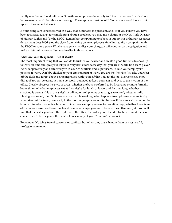family member or friend with you. Sometimes, employees have only told their parents or friends about harassment at work, but this is not enough. The employer must be told! No person should have to put up with harassment at work!

If your complaint is not resolved in a way that eliminates the problem, and/or if you believe you have been retaliated against for complaining about a problem, you may file a charge at the New York Division of Human Rights and/or the EEOC. Remember: complaining to a boss or supervisor or human resources department does NOT stop the clock from ticking on an employee's time limit to file a complaint with the EEOC or state agency. Whichever agency handles your charge, it will conduct an investigation and make a determination (as discussed earlier in this chapter).

## **What Are Your Responsibilities at Work?**

The most important thing that you can do to further your career and create a good future is to show up to work on time and give your job your very best effort every day that you are at work. Be a team player. Work cooperatively and effectively with your co-workers and supervisors. Follow your employer's policies at work. Don't be clueless to your environment at work. You are the "newbie," so take your feet off the desk and forget about being impressed with yourself that you got the job. Everyone else there did, too! You can celebrate at home. At work, you need to keep your ears and eyes to the rhythm of the office. Closely observe: the style of dress, whether the boss is referred to by first name or more formally, break times, whether employees eat at their desks for lunch or leave, and for how long; whether snacking is permissible at one's desk, if talking on cell phones or texting is tolerated; whether radio playing is allowed, if mp3 players are used while working, what happens to employees who are tardy, who takes out the trash; how early in the morning employees notify the boss if they are sick; whether the boss requires doctors' notes; how much in advance employees ask for vacation days; whether there is an office coffee maker, and how much and how often employees contribute to the coffee fund; etc. You will find that the faster you heed the rhythms of the office, the faster you'll blend into the mix (and the less chance there'll be for your office mates to resent any of your "foreign" behavior).

Remember: No job is free of concerns or conflicts, but when they arise, handle them in a respectful, professional manner.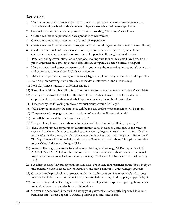## **Activities:**

- 1) Have everyone in the class read job listings in a local paper for a week to see what jobs are available for high school students versus college versus advanced degree applicants.
- 2) Conduct a resume workshop in your classroom, providing "challenges" as follows:
- 3) Create a resume for a person who was previously incarcerated;
- 4) Create a resume for a person with no formal job experience;
- 5) Create a resume for a person who took years off from working out of the home to raise children;
- 6) Create a resume skill list for someone who has years of janitorial experience; years of camp counselor experience; years of running errands for people in the neighborhood for pay.
- 7) Practice writing cover letters for various jobs, making sure to include a small law firm, a nonprofit organization, a grocery store, a big software company, a doctor's office, a hospital.
- 8) Have a professional career counselor speak to your class about learning how to translate talents and experience into marketable skills for a resume.
- 9) Make a list of your skills, talents, job interests, job goals; explore what you want to do with your life.
- 10) Role play interviewing from both sides of the desk (interviewer and interviewee).
- 11) Role play office etiquette in different scenarios.
- 12) Scrutinize fictitious job applicants by their resumes to see what makes a "stand-out" candidate.
- 13) Have speakers from the EEOC or the State Human Rights Division come to speak about employment discrimination, and what types of cases they hear about most often.
- 14) Discuss why the following employee manual clauses would be illegal:
- 15) "All salary payments to the employee will be in cash, and no written receipts will be given;"
- 16) "Employees who engage in union organizing of any kind will be terminated;"
- 17) "Whistleblowers will be disciplined severely;"
- 18) "Pregnant employees may only remain on site until the  $6<sup>th</sup>$  month of their pregnancy;"
- 19) Read several famous employment discrimination cases in class to get a sense of the range of cases and the level of evidence needed to win a claim (*Griggs v. Duke Power Co., 1971; Cleveland Bd. Of Ed. v. LaFleur, 1974; Oncale v. Sundowner Offshore Serv., Inc., 1987; Bragdon v. Abbott, 1998).*  The Department of Labor website is also an excellent way to learn about this topic: [www.labor.](http://www.labor.ny.gov/) [ny.gov](http://www.labor.ny.gov/) (New York); [www.dol.gov](http://www.dol.gov/) (U.S.).
- 20) Research the origin of various federal laws protecting workers (e.g., NLRA, Equal Pay Act, ADEA, FLSA, FMLA) to learn how an incident or series of incidents becomes an issue, which inspires legislation, which often becomes law (e.g., OSHA and the Triangle Shirtwaist Factory Fire).
- 21) See a film in class (various tutorials are available) about sexual harassment on the job so that you understand what it is, know how to handle it, and don't commit it, unknowingly, yourself.
- 22) Go over sample paychecks/paystubs to understand what portion of an employee's salary goes towards health insurance, retirement plan, state and federal taxes, child support, if applicable, etc.
- 23) Practice filling out tax forms given to every new employee for purposes of paying them, so you understand how many deductions to claim, if any.
- 24) Go over the paperwork involved in having your paycheck automatically deposited into your bank account ("direct deposit"). Discuss possible pros and cons of this.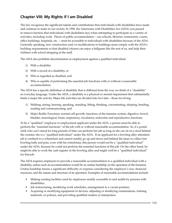# **Chapter VIII: My Rights if I am Disabled**

The law recognizes the significant talents and contributions that individuals with disabilities have made and continue to make to our society. In 1990, the Americans with Disabilities Act (ADA) was passed to remove barriers that individuals with disabilities face when attempting to participate in a variety of activities, including work. Places of public accommodation – our schools, libraries, restaurants, courts, office buildings, hospitals, etc. -- must be accessible to individuals with disabilities because of the ADA. Generally speaking, new construction and/or modifications to buildings must comply with the ADA's building requirements so that disabled citizens can enjoy a ballgame like the rest of us, and help their children with school shopping at the mall.

The ADA also prohibits discrimination in employment against a qualified individual:

- 1) With a disability
- 2) With a record of a disability, or
- 3) Who is regarded as disabled, and
- 4) Who is capable of performing the essential job functions with or without a reasonable accommodation.

The ADA has a specific definition of disability that is different from the way we think of a "disability" in everyday language. Under the ADA, a disability is a physical or mental impairment that substantially limits a major life activity. Major life activities are divided into two lists – those involving:

- 1) Walking, seeing, hearing, speaking, standing, lifting, thinking, concentrating, sleeping, bending, reading and communicating; and
- 2) Major Bodily Functions: normal cell growth, functions of the immune system, digestive, bowel, bladder, neurological, brain, respiratory, circulatory, endocrine and reproductive functions.

To be a "qualified" employee or employment applicant under the ADA, a person must be able to perform the "essential functions" of the job with or without reasonable accommodation. So, if a postal clerk who can't stand for long periods of time can perform her job as long as she can sit on a stool behind the counter, she is a "qualified individual" under the ADA. If an applicant for a bowling alley attendant job is confined to a wheelchair and cannot readily go up and down and behind the lanes to collect lost bowling balls and pins, even with his wheelchair, this person would not be a "qualified individual" under the ADA, because he could not perform the essential functions of this job. On the other hand, he might be able to work the cash register at the bowling alley and might well be a "qualified individual" for that job.

The ADA requires employers to provide a reasonable accommodation to a qualified individual with a disability, unless such an accommodation would be an undue hardship on the operation of the business. Undue hardship means a significant difficulty or expense considering the employer's size, financial resources, and the nature and structure of its operation. Examples of reasonable accommodations include:

- Making existing facilities used by employees readily accessible to and usable by persons with disabilities;
- Job restructuring, modifying work schedules, reassignment to a vacant position;
- Acquiring or modifying equipment or devices, adjusting or modifying examinations, training materials, or policies, and providing qualified readers or interpreters.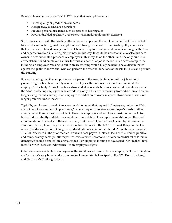Reasonable Accommodation DOES NOT mean that an employer must:

- Lower quality or production standards
- Assign away essential job functions
- Provide personal use items such as glasses or hearing aids
- Favor a disabled applicant over others when making placement decisions

So, in our scenario with the bowling alley attendant applicant, the employer would not likely be held to have discriminated against the applicant for refusing to reconstruct his bowling alley complex so that each alley contained an adjacent wheelchair runway for easy ball and pin access. Imagine the time and expense involved in altering his business in this way. It would be unreasonable to ask a business owner to accommodate a prospective employee in this way. If, on the other hand, the only hurdle to a wheelchair-bound employee's ability to work at a particular job is the lack of an access ramp to the building, an employer refusing to put in an access ramp would likely be held to have discriminated against the qualified individual who can perform the essential functions of the job, but just can't get into the building.

It is worth noting that if an employee cannot perform the essential functions of the job without jeopardizing the health and safety of other employees, the employer need not accommodate the employee's disability. Along these lines, drug and alcohol addiction are considered disabilities under the ADA, protecting employees who are addicts, only if they are in recovery from addiction and are no longer using the substance(s). If an employee in addiction recovery relapses into addiction, she is no longer protected under the ADA.

Typically, employees in need of an accommodation must first request it. Employers, under the ADA, are not held to a standard of "prescience," where they must foresee an employee's needs. Rather, a verbal or written request is sufficient. Then, the employer and employee must, under the ADA, try to find a mutually suitable, reasonable accommodation. The employee might not get the exact accommodation she seeks. If these efforts fail, or if the employer refuses to even try to resolve the situation, the employee may file a discrimination claim with the EEOC within 300 days of the last incident of discrimination. Damages an individual can sue for, under the ADA, are the same as under Title VII (discussed in the prior chapter): front and back pay with interest, lost benefits, limited punitive and compensatory damages, attorneys' fees, reinstatement, promotion, or other remedial relief. Punitive damages, it should be noted, are only awarded if an employer is found to have acted with "malice" (evil intent) or with "reckless indifference" to an employee's rights.

Other state laws available to employees with disabilities who are victims of employment discrimination are New York's very broad and encompassing Human Rights Law (part of the NYS Executive Law), and New York's Civil Rights Law.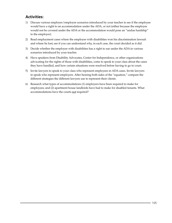## **Activities:**

- 1) Discuss various employer/employee scenarios introduced by your teacher to see if the employee would have a right to an accommodation under the ADA, or not (either because the employee would not be covered under the ADA or the accommodation would pose an "undue hardship" to the employer).
- 2) Read employment cases where the employee with disabilities won his discrimination lawsuit and where he lost; see if you can understand why, in each case, the court decided as it did.
- 3) Decide whether the employee with disabilities has a right to sue under the ADA in various scenarios introduced by your teacher.
- 4) Have speakers from Disability Advocates, Center for Independence, or other organizations advocating for the rights of those with disabilities, come to speak to your class about the cases they have handled, and how certain situations were resolved before having to go to court.
- 5) Invite lawyers to speak to your class who represent employees in ADA cases. Invite lawyers to speak who represent employers. After hearing both sides of the "equation," compare the different strategies the different lawyers use to represent their clients.
- 6) Research what types of accommodations (1) employers have been required to make for employees; and (2) apartment house landlords have had to make for disabled tenants. What accommodations have the courts not required?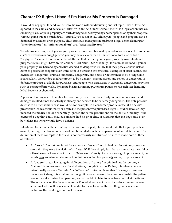# **Chapter IX: Rights I Have if I'm Hurt or My Property is Damaged**

It would be negligent to send you off into the world without discussing one last topic – that of torts. As opposed to the edible and delicious "tortes" with an "e," a "tort" without the "e" is a legal action that you can bring if you or your property are hurt, damaged or destroyed by another person or by their property. Without going into too much detail – after all, you're not in law school yet! – people and property can be damaged by accident or on purpose. Thus, it follows that a person can bring a legal action claiming an "**intentional tort,**" an "**unintentional tort**" or a "**strict liability tort.**"

Translating into English, if you or your property have been harmed by accident or as a result of someone else's carelessness or "**negligence,**" you may have a claim for an unintentional tort, also called a "negligence" claim. If, on the other hand, the act that harmed you or your property was intentional or purposeful, you might have an "intentional" tort claim. "Strict liability" torts can be claimed if you or your property are harmed by activities deemed so dangerous by law that they pose a serious risk of harm to persons or property even if the actor is exercising extreme care. Examples of strict liability are: owners of "dangerous" animals (inherently dangerous, like tigers, or determined so by a judge, like a particularly vicious dog that has proven to be a danger), manufacturers and sellers of dangerous or defective products available for purchase, and people who participate in extremely dangerous activities, such as setting off fireworks, dynamite blasting, running plutonium plants, or research labs handling lethal bacteria or chemicals.

A person claiming a strict liability tort need only prove that the activity in question occurred and damages resulted, since the activity is already one deemed to be extremely dangerous. The only possible defense to a strict liability case would be, for example, in a consumer products case, if a doctor's prescription led to serious injury or death, but the person who purchased it got ill or died because they misused the medication or deliberately ignored the safety precautions on the bottle. Similarly, if the owner of a dog that badly mauled someone had no prior clue, or warning, that the dog could ever be violent, the owner would have a defense.

Intentional torts can be those that injure persons or property. Intentional torts that injure people are: assault, battery, intentional infliction of emotional distress, false imprisonment and defamation. The definition of these concepts in tort law is not necessarily intuitive, so be sure to make note of these, as follows:

- An "**assault**" in tort law is not the same as an "assault" in criminal law. In tort law, someone can claim they were the victim of an "assault" if they simply fear that an immediate harmful or offensive contact was about to occur. "Mere words" are typically not enough to prove assault, but words plus an intentional scary action that creates fear in a person is enough to prove assault.
- A "**battery**" in tort law is, again, different from a "battery" in criminal law. In tort law, a "battery" is not necessarily a physical attack, though it can be. Rather, it is when a person intentionally causes a "harmful" or "offensive" contact with another. If a surgeon removes the wrong kidney, it is a battery (although it is not an assault, because presumably, the patient was not awake during the operation, and so couldn't claim to have been fearful at the time). The actor causing the "offensive contact" -- whether or not it also includes an assault or even a criminal act – will be responsible under tort law, for all of the resulting damages – even including the resulting emotional distress.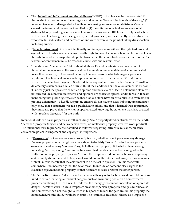- The "**intentional infliction of emotional distress**" (IIED) in tort law can be demonstrated if the conduct in question was: (1) outrageous and extreme, "beyond the bounds of decency;" (2) intended to cause or disregarded a likelihood of causing severe emotional distress; (3) what caused the injury; and the conduct resulted in (4) the suffering of actual severe emotional distress. Merely insulting someone is not enough to make out an IIED case. This type of action will no doubt be brought increasingly in cyberbullying cases, such as recently, where students who were bullied, stalked and harassed online were driven to the point of taking drastic action – including suicide.
- "**False Imprisonment**" involves intentionally confining someone without the right to do so, and against her will. While a store manager has the right to protect store merchandise, he does not have the right to handcuff a suspected shoplifter to a chair in the store's back room for three hours. The restraint or confinement must be reasonable time-wise and restraint-wise.
- To understand "defamation," think about all those TV and movie stars you read about in those tabloid magazines at the grocery store. Defamation is a false statement, communicated to another person or, in the case of tabloids, to many persons, which damages a person's reputation. The false statement can be spoken out loud, as on the radio or TV, or it can be written, as in a tabloid magazine. Spoken defamatory statements are called "**slander.**" Written defamatory statements are called "**libel.**" But if the slanderous or libelous statement is true, or if it is clearly just the speaker's or writer's opinion and not a claim of fact, a defamation claim will not succeed. In sum, true statements and opinions are protected speech, under tort law. It bears mentioning that public figures, such as those tabloid stars, have an extra hurdle to overcome in proving defamation – a hurdle we private citizens do not have to clear. Public figures must not only show that a statement was false, published to others, and that it harmed their reputation, they must also prove that the writer or speaker acted knowing the statement was false or acted with "reckless disregard" for the truth.

Intentional torts can harm property, as well, including: "real" property (land or structures on the land); "personal" property (objects and pets a person owns) or intellectual property (creative work product). The intentional torts to property are classified as follows: trespassing, attractive nuisance, nuisance, conversion, patent infringement and copyright infringement.

- "**Trespassing**" onto someone else's property is a tort, whether or not you cause any damage. Because property owner's rights are considered to be fairly "sacred" under the law, property owners are said to enjoy "exclusive" rights to their own property. But what if there's no sign indicating "no trespassing," and so the trespasser had no idea he was trespassing when he walked onto the property in question? Even if the trespasser did not know he was trespassing and certainly did not intend to trespass, it would not matter. Under tort law, you may remember, "intent" means merely that the actor meant to do the act in question – in this case, walk somewhere – not necessarily that the actor meant to intrude on someone else's right to the exclusive enjoyment of his property, or that he meant to scare or harm the other person.
- The "**attractive nuisance**" doctrine is the name of a theory of tort action based on children being lured to certain, enticing (attractive) dangers, such as swimming pools, on a homeowner's property and being hurt, as a result. Children, the theory goes, cannot understand or appreciate danger. Therefore, even if a child trespasses on another person's property and gets hurt because the homeowner had not thought to fence-in his pool or to lock the gate around his property, the homeowner, not the child, would be at fault. The "attractive nuisance" theory also imposes a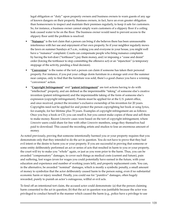legal obligation or "duty" upon property owners and business owners to warn guests of any age of known dangers on their property. Business owners, in fact, have an even greater obligation than homeowners to inspect and maintain their premises regularly, to keep it safe for customers. So, for instance, a business owner cannot simply warn customers of a slippery floor if a ceiling leak caused water to be on the floor. The business owner would need to prevent access to the slippery floor until the problem is resolved.

- "**Nuisance**" is the tort claim that a person can bring if she believes there has been unreasonable interference with her use and enjoyment of her own property. So if your neighbor regularly mows the lawn on summer Sundays at 5 a.m., waking you and everyone in your house, you might well have a "nuisance" complaint. Courts can compensate people who bring nuisance complaints by having the tort-doer ("tortfeasor") pay them money, and/or imposing a "cease and desist" order (forcing the tortfeasor to stop committing the offensive act) or an "injunction" (a temporary stoppage of the activity, pending a final decision).
- "**Conversion**" is the name of the tort a person can claim if someone has taken their personal property. For instance, if you put your college dorm furniture in a storage unit over the summer near campus, only to find that the furniture was sold, there's a good chance you have a winning "conversion" action.
- "**Copyright Infringement**" and "**patent infringement**" are tort actions having to do with "intellectual" property, and are defined as the impermissible "taking" of someone else's creative invention (patent infringement) and the impermissible taking of the form of someone else's expression (copyright infringement). Patents must be applied for at the U.S. patent office, and once received, protect the inventor's exclusive ownership of his invention for 20 years. Copyrights need not be applied for and protect the person copyrighting her book or song lyrics, for example, for her lifetime plus 70 years. Examples of copyright infringement are as follows: Once you buy a book or CD, you can resell it, but you cannot make copies of these and sell them to make money. Recent *Limewire* cases were based on the tort of copyright infringement, where *Limewire* users could share for free with other *Limewire* members, songs they themselves had paid to download. This caused the recording artists and studios to lose an enormous amount of money.

As noted previously, proving that someone intentionally harmed you or your property requires that you demonstrate only that they intended to do the act in question. You do not have to prove that they had evil intent or the desire to harm you or your property. If you are successful in proving that someone or some entity deliberately performed an act or series of acts that resulted in harm to you or your property, the court will try to make you "whole" again, or just as you were prior to the harm. Thus, you can be awarded "compensatory" damages, to cover such things as medical costs (current and future), pain and suffering, lost wages (even for wages you could potentially have earned in the future, with your education and experience and number of working years left), and property replacement costs. You can, in the alternative, be awarded "nominal" damages, which is mostly a symbolic penalty, a small amount of money to symbolize that the actor deliberately caused harm to the person suing, even if no substantial economic harm or injury resulted. Finally, you could sue for "punitive" damages, often hugely rewarded, purely to punish an actor's outrageous, willful or evil acts.

To fend off an intentional tort claim, the accused actor could demonstrate: (a) that the person claiming harm consented to the act in question; (b) that the act in question was justifiable because the actor was privileged to conduct herself in the manner which caused the harm (e.g., police have a privilege to use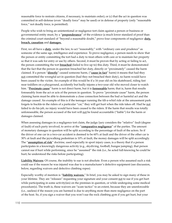reasonable force to restrain citizens, if necessary, to maintain order); or (c) that the act in question was committed in self-defense (even "deadly force" may be used) or in defense of property (only "reasonable force," not deadly force, is permitted).

People who wish to bring an unintentional or negligence tort claim against a person or business or governmental entity must, by a "**preponderance**" of the evidence (a much lower standard of proof than the criminal court standard of "beyond a reasonable doubt," prove four components of negligence: **duty, breach, causation** and **damages.**

First, we all have a **duty**, under the law, to act "reasonably," with "ordinary care and prudence" as someone of the same age, intelligence and experience. To prove negligence, a person needs to show that the person or entity committing the tort had a duty to treat others with care or to maintain her property so that it was safe for entry or use by others. Second, it must be proven that by acting or failing to act, the person committing the tort **breached** (failed to live up to) this duty. Third, it must be demonstrated that the fact that the person in question breached her duty, directly or "proximately" caused the harm claimed. If a person "**directly**" caused someone harm, ("**cause in fact**" harm) it means that had they not committed the wrongful act in question (had they not breached their duty), no harm would have been caused to the victim. An example of this would be if a 16 year old on his skateboard, riding fast near toddlers on a playground, accidently but badly injures a two-year old who moved closer to watch him. "**Proximate cause**" harm is not direct harm, but it is **foreseeable** harm; that is, harm that results foreseeably from the act or acts of the person in question. To prove "proximate cause" harm, the person claiming harm must be able to demonstrate a close connection between the bad or harmful act and the damage caused. An example of this is if the teenager running the tilt-a-whirl ride at the amusement park forgets to buckle-in the riders of a particular "car," they will get hurt when the ride takes off. Had he not failed to do his job, no injury would have been caused to the riders. If the harm that results was totally unforeseeable, the person accused of the tort will not be found accountable ("liable") for the harm or damages claimed.

When assessing damages in a negligence tort claim, the judge/jury considers the "relative" fault (degree of fault) of each party involved, to arrive at the "**comparative negligence**" of the parties. The amount of monetary damages in question will be split according to the percentage of fault of the actors. So if the driver of one car in a two-car accident is deemed to be 60% at fault and the driver of the other car is 30% at fault and the jaywalking pedestrian is 10% at fault, the money damages will be split accordingly. The "**assumption of risk**" doctrine, used especially in sport injury cases, is a theory that if a person participates in a knowingly dangerous activity (e.g., skydiving, football, bungee jumping), that person cannot sue if hurt while performing, since he "assumed" the risk (i.e., he acted full-knowing he could be hurt; he understood the risks before participating).

**Liability Waivers**: Of course, the inability to sue is not absolute. Even a person who assumed such a risk could sue if the reason he was injured was due to a manufacturer's defective equipment (see discussion, below, regarding waivers and defective climbing ropes).

Especially worthy of mention is "**liability waivers.**" In brief, you may be asked to sign many of these in your lifetime. They are "releases" requesting your signature and your consent not to sue if you get hurt while participating in some activity(ies) on the premises in question, or while undergoing some medical procedure(s). The truth is, these waivers are "scare tactics" to an extent, because they are unenforceable (i.e., useless) if the reason you are harmed is due to anything more than mere negligence on the part of the host. So, if you sign a waiver that you won't sue the rock climbing gym if you get hurt, but your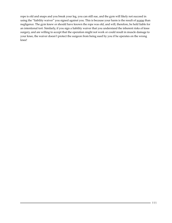rope is old and snaps and you break your leg, you can still sue, and the gym will likely not succeed in using the "liability waiver" you signed against you. This is because your harm is the result of worse than negligence. The gym knew or should have known the rope was old, and will, therefore, be held liable for an intentional tort. Similarly, if you sign a liability waiver that you understand the inherent risks of knee surgery, and are willing to accept that the operation might not work or could result in muscle damage to your knee, the waiver doesn't protect the surgeon from being sued by you if he operates on the wrong knee!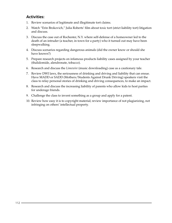## **Activities:**

- 1. Review scenarios of legitimate and illegitimate tort claims.
- 2. Watch "Erin Brokovich," Julia Roberts' film about toxic tort (strict liability tort) litigation and discuss.
- 3. Discuss the case out of Rochester, N.Y. where self-defense of a homeowner led to the death of an intruder (a teacher, in town for a party) who it turned out may have been sleepwalking.
- 4. Discuss scenarios regarding dangerous animals (did the owner know or should she have known?)
- 5. Prepare research projects on infamous products liability cases assigned by your teacher (thalidomide, alendronate, tobacco).
- 6. Research and discuss the *Limewire* (music downloading) case as a cautionary tale.
- 7. Review DWI laws, the seriousness of drinking and driving and liability that can ensue. Have MADD or SADD (Mothers/Students Against Drunk Driving) speakers visit the class to relay personal stories of drinking and driving consequences, to make an impact.
- 8. Research and discuss the increasing liability of parents who allow kids to host parties for underage friends.
- 9. Challenge the class to invent something as a group and apply for a patent.
- 10. Review how easy it is to copyright material; review importance of not plagiarizing, not infringing on others' intellectual property.